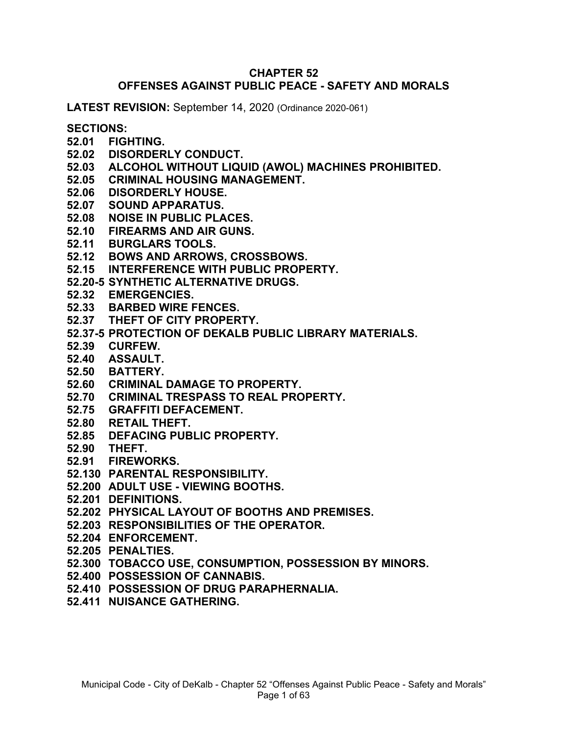#### **CHAPTER 52 OFFENSES AGAINST PUBLIC PEACE - SAFETY AND MORALS**

**LATEST REVISION:** September 14, 2020 (Ordinance 2020-061)

#### **SECTIONS:**

- **52.01 FIGHTING.**
- **52.02 DISORDERLY CONDUCT.**
- **52.03 ALCOHOL WITHOUT LIQUID (AWOL) MACHINES PROHIBITED.**
- **52.05 CRIMINAL HOUSING MANAGEMENT.**
- **52.06 DISORDERLY HOUSE.**
- **52.07 SOUND APPARATUS.**
- **52.08 NOISE IN PUBLIC PLACES.**
- **52.10 FIREARMS AND AIR GUNS.**
- **52.11 BURGLARS TOOLS.**
- **52.12 BOWS AND ARROWS, CROSSBOWS.**
- **52.15 INTERFERENCE WITH PUBLIC PROPERTY.**
- **52.20-5 SYNTHETIC ALTERNATIVE DRUGS.**
- **52.32 EMERGENCIES.**
- **52.33 BARBED WIRE FENCES.**
- **52.37 THEFT OF CITY PROPERTY.**
- **52.37-5 PROTECTION OF DEKALB PUBLIC LIBRARY MATERIALS.**
- **52.39 CURFEW.**
- **52.40 ASSAULT.**
- **52.50 BATTERY.**
- **52.60 CRIMINAL DAMAGE TO PROPERTY.**
- **52.70 CRIMINAL TRESPASS TO REAL PROPERTY.**
- **52.75 GRAFFITI DEFACEMENT.**
- **52.80 RETAIL THEFT.**
- **52.85 DEFACING PUBLIC PROPERTY.**
- **52.90 THEFT.**
- **52.91 FIREWORKS.**
- **52.130 PARENTAL RESPONSIBILITY.**
- **52.200 ADULT USE - VIEWING BOOTHS.**
- **52.201 DEFINITIONS.**
- **52.202 PHYSICAL LAYOUT OF BOOTHS AND PREMISES.**
- **52.203 RESPONSIBILITIES OF THE OPERATOR.**
- **52.204 ENFORCEMENT.**
- **52.205 PENALTIES.**
- **52.300 TOBACCO USE, CONSUMPTION, POSSESSION BY MINORS.**
- **52.400 POSSESSION OF CANNABIS.**
- **52.410 POSSESSION OF DRUG PARAPHERNALIA.**
- **52.411 NUISANCE GATHERING.**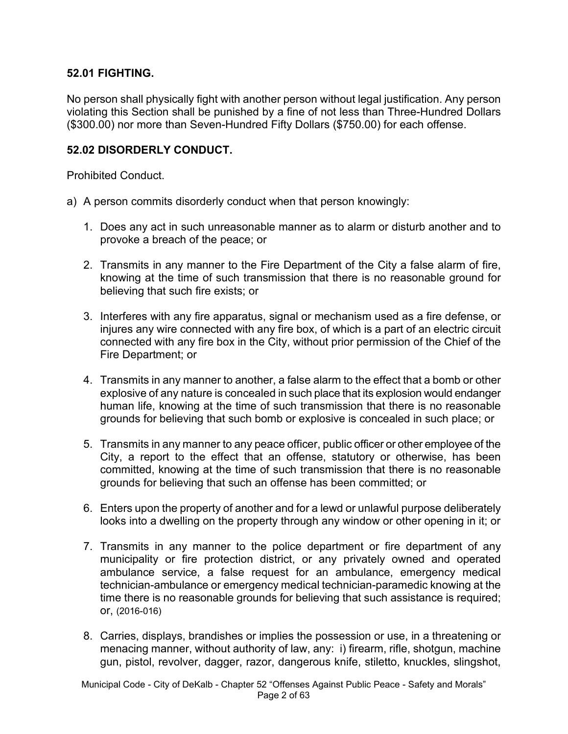### **52.01 FIGHTING.**

No person shall physically fight with another person without legal justification. Any person violating this Section shall be punished by a fine of not less than Three-Hundred Dollars (\$300.00) nor more than Seven-Hundred Fifty Dollars (\$750.00) for each offense.

#### **52.02 DISORDERLY CONDUCT.**

Prohibited Conduct.

- a) A person commits disorderly conduct when that person knowingly:
	- 1. Does any act in such unreasonable manner as to alarm or disturb another and to provoke a breach of the peace; or
	- 2. Transmits in any manner to the Fire Department of the City a false alarm of fire, knowing at the time of such transmission that there is no reasonable ground for believing that such fire exists; or
	- 3. Interferes with any fire apparatus, signal or mechanism used as a fire defense, or injures any wire connected with any fire box, of which is a part of an electric circuit connected with any fire box in the City, without prior permission of the Chief of the Fire Department; or
	- 4. Transmits in any manner to another, a false alarm to the effect that a bomb or other explosive of any nature is concealed in such place that its explosion would endanger human life, knowing at the time of such transmission that there is no reasonable grounds for believing that such bomb or explosive is concealed in such place; or
	- 5. Transmits in any manner to any peace officer, public officer or other employee of the City, a report to the effect that an offense, statutory or otherwise, has been committed, knowing at the time of such transmission that there is no reasonable grounds for believing that such an offense has been committed; or
	- 6. Enters upon the property of another and for a lewd or unlawful purpose deliberately looks into a dwelling on the property through any window or other opening in it; or
	- 7. Transmits in any manner to the police department or fire department of any municipality or fire protection district, or any privately owned and operated ambulance service, a false request for an ambulance, emergency medical technician-ambulance or emergency medical technician-paramedic knowing at the time there is no reasonable grounds for believing that such assistance is required; or, (2016-016)
	- 8. Carries, displays, brandishes or implies the possession or use, in a threatening or menacing manner, without authority of law, any: i) firearm, rifle, shotgun, machine gun, pistol, revolver, dagger, razor, dangerous knife, stiletto, knuckles, slingshot,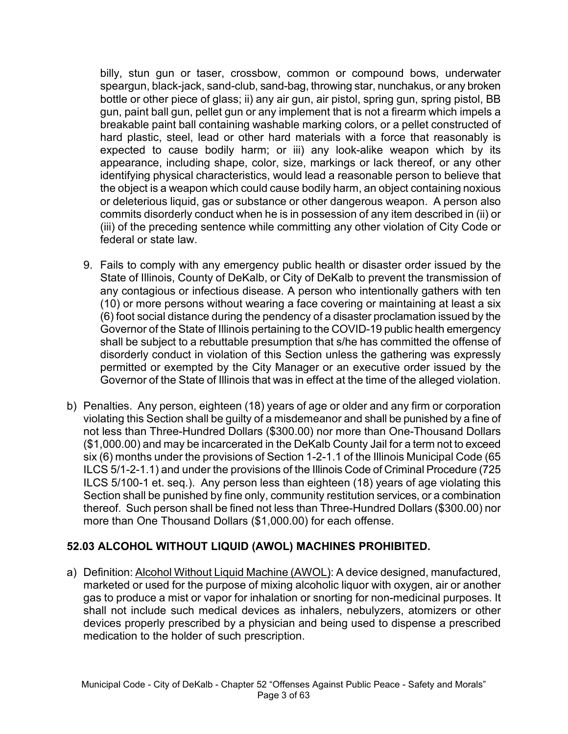billy, stun gun or taser, crossbow, common or compound bows, underwater speargun, black-jack, sand-club, sand-bag, throwing star, nunchakus, or any broken bottle or other piece of glass; ii) any air gun, air pistol, spring gun, spring pistol, BB gun, paint ball gun, pellet gun or any implement that is not a firearm which impels a breakable paint ball containing washable marking colors, or a pellet constructed of hard plastic, steel, lead or other hard materials with a force that reasonably is expected to cause bodily harm; or iii) any look-alike weapon which by its appearance, including shape, color, size, markings or lack thereof, or any other identifying physical characteristics, would lead a reasonable person to believe that the object is a weapon which could cause bodily harm, an object containing noxious or deleterious liquid, gas or substance or other dangerous weapon. A person also commits disorderly conduct when he is in possession of any item described in (ii) or (iii) of the preceding sentence while committing any other violation of City Code or federal or state law.

- 9. Fails to comply with any emergency public health or disaster order issued by the State of Illinois, County of DeKalb, or City of DeKalb to prevent the transmission of any contagious or infectious disease. A person who intentionally gathers with ten (10) or more persons without wearing a face covering or maintaining at least a six (6) foot social distance during the pendency of a disaster proclamation issued by the Governor of the State of Illinois pertaining to the COVID-19 public health emergency shall be subject to a rebuttable presumption that s/he has committed the offense of disorderly conduct in violation of this Section unless the gathering was expressly permitted or exempted by the City Manager or an executive order issued by the Governor of the State of Illinois that was in effect at the time of the alleged violation.
- b) Penalties. Any person, eighteen (18) years of age or older and any firm or corporation violating this Section shall be guilty of a misdemeanor and shall be punished by a fine of not less than Three-Hundred Dollars (\$300.00) nor more than One-Thousand Dollars (\$1,000.00) and may be incarcerated in the DeKalb County Jail for a term not to exceed six (6) months under the provisions of Section 1-2-1.1 of the Illinois Municipal Code (65 ILCS 5/1-2-1.1) and under the provisions of the Illinois Code of Criminal Procedure (725 ILCS 5/100-1 et. seq.). Any person less than eighteen (18) years of age violating this Section shall be punished by fine only, community restitution services, or a combination thereof. Such person shall be fined not less than Three-Hundred Dollars (\$300.00) nor more than One Thousand Dollars (\$1,000.00) for each offense.

## **52.03 ALCOHOL WITHOUT LIQUID (AWOL) MACHINES PROHIBITED.**

a) Definition: Alcohol Without Liquid Machine (AWOL): A device designed, manufactured, marketed or used for the purpose of mixing alcoholic liquor with oxygen, air or another gas to produce a mist or vapor for inhalation or snorting for non-medicinal purposes. It shall not include such medical devices as inhalers, nebulyzers, atomizers or other devices properly prescribed by a physician and being used to dispense a prescribed medication to the holder of such prescription.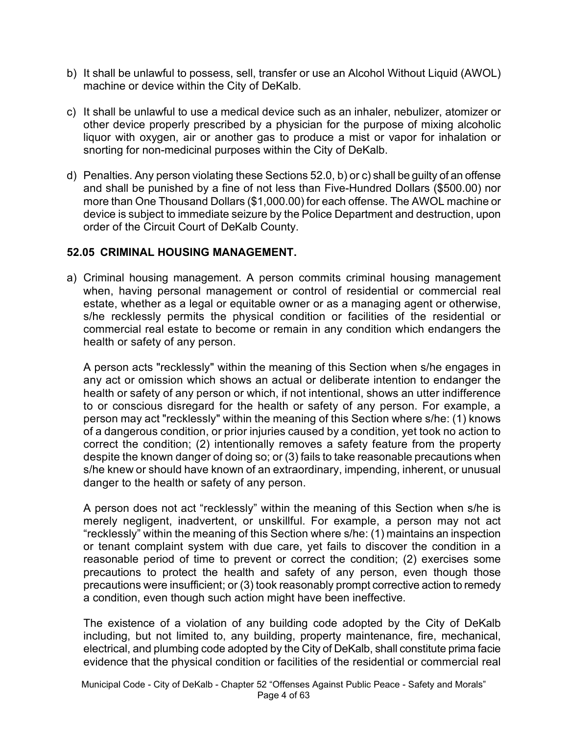- b) It shall be unlawful to possess, sell, transfer or use an Alcohol Without Liquid (AWOL) machine or device within the City of DeKalb.
- c) It shall be unlawful to use a medical device such as an inhaler, nebulizer, atomizer or other device properly prescribed by a physician for the purpose of mixing alcoholic liquor with oxygen, air or another gas to produce a mist or vapor for inhalation or snorting for non-medicinal purposes within the City of DeKalb.
- d) Penalties. Any person violating these Sections 52.0, b) or c) shall be guilty of an offense and shall be punished by a fine of not less than Five-Hundred Dollars (\$500.00) nor more than One Thousand Dollars (\$1,000.00) for each offense. The AWOL machine or device is subject to immediate seizure by the Police Department and destruction, upon order of the Circuit Court of DeKalb County.

#### **52.05 CRIMINAL HOUSING MANAGEMENT.**

a) Criminal housing management. A person commits criminal housing management when, having personal management or control of residential or commercial real estate, whether as a legal or equitable owner or as a managing agent or otherwise, s/he recklessly permits the physical condition or facilities of the residential or commercial real estate to become or remain in any condition which endangers the health or safety of any person.

A person acts "recklessly" within the meaning of this Section when s/he engages in any act or omission which shows an actual or deliberate intention to endanger the health or safety of any person or which, if not intentional, shows an utter indifference to or conscious disregard for the health or safety of any person. For example, a person may act "recklessly" within the meaning of this Section where s/he: (1) knows of a dangerous condition, or prior injuries caused by a condition, yet took no action to correct the condition; (2) intentionally removes a safety feature from the property despite the known danger of doing so; or (3) fails to take reasonable precautions when s/he knew or should have known of an extraordinary, impending, inherent, or unusual danger to the health or safety of any person.

A person does not act "recklessly" within the meaning of this Section when s/he is merely negligent, inadvertent, or unskillful. For example, a person may not act "recklessly" within the meaning of this Section where s/he: (1) maintains an inspection or tenant complaint system with due care, yet fails to discover the condition in a reasonable period of time to prevent or correct the condition; (2) exercises some precautions to protect the health and safety of any person, even though those precautions were insufficient; or (3) took reasonably prompt corrective action to remedy a condition, even though such action might have been ineffective.

The existence of a violation of any building code adopted by the City of DeKalb including, but not limited to, any building, property maintenance, fire, mechanical, electrical, and plumbing code adopted by the City of DeKalb, shall constitute prima facie evidence that the physical condition or facilities of the residential or commercial real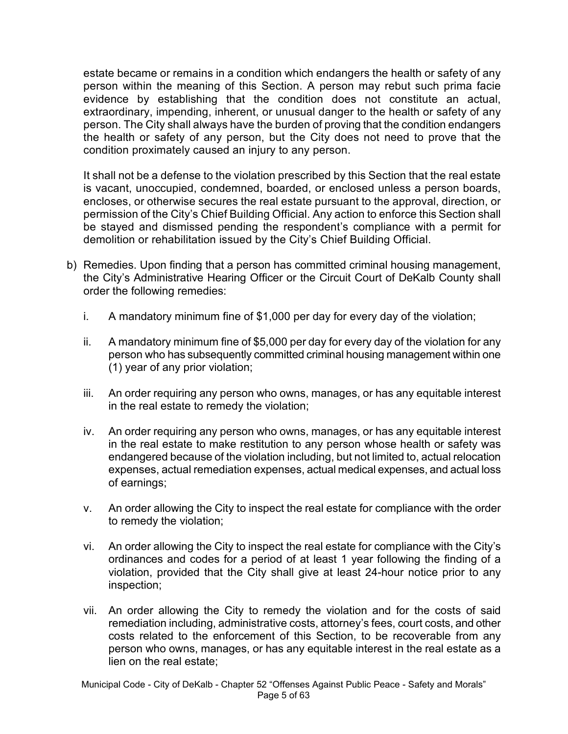estate became or remains in a condition which endangers the health or safety of any person within the meaning of this Section. A person may rebut such prima facie evidence by establishing that the condition does not constitute an actual, extraordinary, impending, inherent, or unusual danger to the health or safety of any person. The City shall always have the burden of proving that the condition endangers the health or safety of any person, but the City does not need to prove that the condition proximately caused an injury to any person.

It shall not be a defense to the violation prescribed by this Section that the real estate is vacant, unoccupied, condemned, boarded, or enclosed unless a person boards, encloses, or otherwise secures the real estate pursuant to the approval, direction, or permission of the City's Chief Building Official. Any action to enforce this Section shall be stayed and dismissed pending the respondent's compliance with a permit for demolition or rehabilitation issued by the City's Chief Building Official.

- b) Remedies. Upon finding that a person has committed criminal housing management, the City's Administrative Hearing Officer or the Circuit Court of DeKalb County shall order the following remedies:
	- i. A mandatory minimum fine of \$1,000 per day for every day of the violation;
	- ii. A mandatory minimum fine of \$5,000 per day for every day of the violation for any person who has subsequently committed criminal housing management within one (1) year of any prior violation;
	- iii. An order requiring any person who owns, manages, or has any equitable interest in the real estate to remedy the violation;
	- iv. An order requiring any person who owns, manages, or has any equitable interest in the real estate to make restitution to any person whose health or safety was endangered because of the violation including, but not limited to, actual relocation expenses, actual remediation expenses, actual medical expenses, and actual loss of earnings;
	- v. An order allowing the City to inspect the real estate for compliance with the order to remedy the violation;
	- vi. An order allowing the City to inspect the real estate for compliance with the City's ordinances and codes for a period of at least 1 year following the finding of a violation, provided that the City shall give at least 24-hour notice prior to any inspection;
	- vii. An order allowing the City to remedy the violation and for the costs of said remediation including, administrative costs, attorney's fees, court costs, and other costs related to the enforcement of this Section, to be recoverable from any person who owns, manages, or has any equitable interest in the real estate as a lien on the real estate;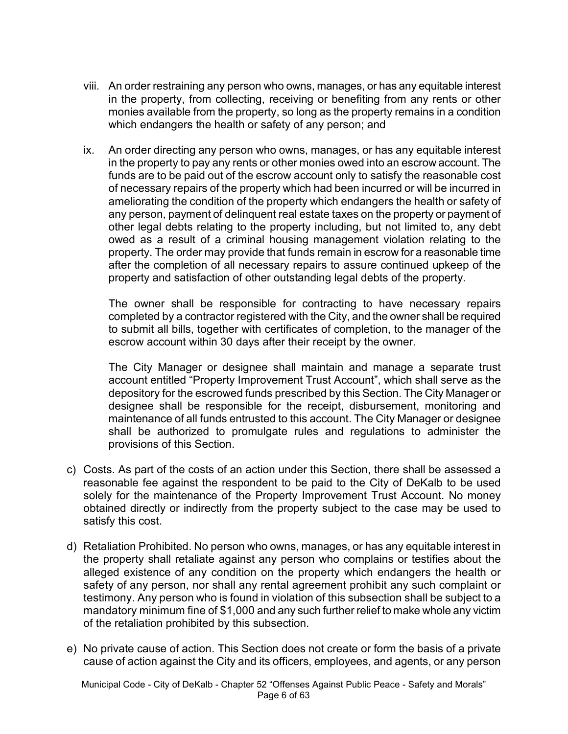- viii. An order restraining any person who owns, manages, or has any equitable interest in the property, from collecting, receiving or benefiting from any rents or other monies available from the property, so long as the property remains in a condition which endangers the health or safety of any person; and
- ix. An order directing any person who owns, manages, or has any equitable interest in the property to pay any rents or other monies owed into an escrow account. The funds are to be paid out of the escrow account only to satisfy the reasonable cost of necessary repairs of the property which had been incurred or will be incurred in ameliorating the condition of the property which endangers the health or safety of any person, payment of delinquent real estate taxes on the property or payment of other legal debts relating to the property including, but not limited to, any debt owed as a result of a criminal housing management violation relating to the property. The order may provide that funds remain in escrow for a reasonable time after the completion of all necessary repairs to assure continued upkeep of the property and satisfaction of other outstanding legal debts of the property.

The owner shall be responsible for contracting to have necessary repairs completed by a contractor registered with the City, and the owner shall be required to submit all bills, together with certificates of completion, to the manager of the escrow account within 30 days after their receipt by the owner.

The City Manager or designee shall maintain and manage a separate trust account entitled "Property Improvement Trust Account", which shall serve as the depository for the escrowed funds prescribed by this Section. The City Manager or designee shall be responsible for the receipt, disbursement, monitoring and maintenance of all funds entrusted to this account. The City Manager or designee shall be authorized to promulgate rules and regulations to administer the provisions of this Section.

- c) Costs. As part of the costs of an action under this Section, there shall be assessed a reasonable fee against the respondent to be paid to the City of DeKalb to be used solely for the maintenance of the Property Improvement Trust Account. No money obtained directly or indirectly from the property subject to the case may be used to satisfy this cost.
- d) Retaliation Prohibited. No person who owns, manages, or has any equitable interest in the property shall retaliate against any person who complains or testifies about the alleged existence of any condition on the property which endangers the health or safety of any person, nor shall any rental agreement prohibit any such complaint or testimony. Any person who is found in violation of this subsection shall be subject to a mandatory minimum fine of \$1,000 and any such further relief to make whole any victim of the retaliation prohibited by this subsection.
- e) No private cause of action. This Section does not create or form the basis of a private cause of action against the City and its officers, employees, and agents, or any person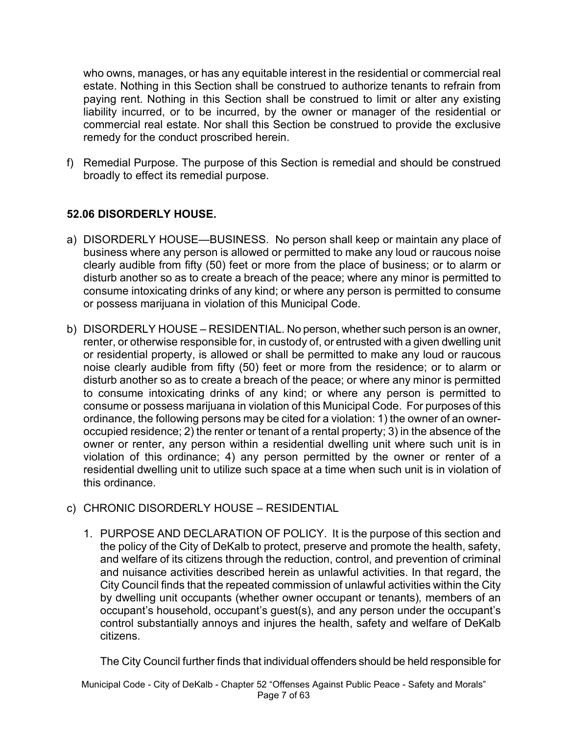who owns, manages, or has any equitable interest in the residential or commercial real estate. Nothing in this Section shall be construed to authorize tenants to refrain from paying rent. Nothing in this Section shall be construed to limit or alter any existing liability incurred, or to be incurred, by the owner or manager of the residential or commercial real estate. Nor shall this Section be construed to provide the exclusive remedy for the conduct proscribed herein.

f) Remedial Purpose. The purpose of this Section is remedial and should be construed broadly to effect its remedial purpose.

## **52.06 DISORDERLY HOUSE.**

- a) DISORDERLY HOUSE—BUSINESS. No person shall keep or maintain any place of business where any person is allowed or permitted to make any loud or raucous noise clearly audible from fifty (50) feet or more from the place of business; or to alarm or disturb another so as to create a breach of the peace; where any minor is permitted to consume intoxicating drinks of any kind; or where any person is permitted to consume or possess marijuana in violation of this Municipal Code.
- b) DISORDERLY HOUSE RESIDENTIAL. No person, whether such person is an owner, renter, or otherwise responsible for, in custody of, or entrusted with a given dwelling unit or residential property, is allowed or shall be permitted to make any loud or raucous noise clearly audible from fifty (50) feet or more from the residence; or to alarm or disturb another so as to create a breach of the peace; or where any minor is permitted to consume intoxicating drinks of any kind; or where any person is permitted to consume or possess marijuana in violation of this Municipal Code. For purposes of this ordinance, the following persons may be cited for a violation: 1) the owner of an owneroccupied residence; 2) the renter or tenant of a rental property; 3) in the absence of the owner or renter, any person within a residential dwelling unit where such unit is in violation of this ordinance; 4) any person permitted by the owner or renter of a residential dwelling unit to utilize such space at a time when such unit is in violation of this ordinance.
- c) CHRONIC DISORDERLY HOUSE RESIDENTIAL
	- 1. PURPOSE AND DECLARATION OF POLICY. It is the purpose of this section and the policy of the City of DeKalb to protect, preserve and promote the health, safety, and welfare of its citizens through the reduction, control, and prevention of criminal and nuisance activities described herein as unlawful activities. In that regard, the City Council finds that the repeated commission of unlawful activities within the City by dwelling unit occupants (whether owner occupant or tenants)*,* members of an occupant's household, occupant's guest(s), and any person under the occupant's control substantially annoys and injures the health, safety and welfare of DeKalb citizens.

The City Council further finds that individual offenders should be held responsible for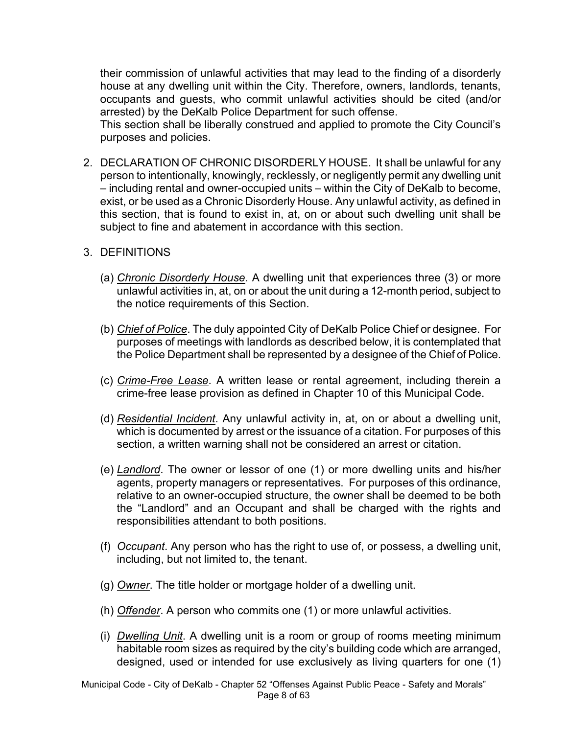their commission of unlawful activities that may lead to the finding of a disorderly house at any dwelling unit within the City. Therefore, owners, landlords, tenants, occupants and guests, who commit unlawful activities should be cited (and/or arrested) by the DeKalb Police Department for such offense.

This section shall be liberally construed and applied to promote the City Council's purposes and policies.

2. DECLARATION OF CHRONIC DISORDERLY HOUSE. It shall be unlawful for any person to intentionally, knowingly, recklessly, or negligently permit any dwelling unit – including rental and owner-occupied units – within the City of DeKalb to become, exist, or be used as a Chronic Disorderly House. Any unlawful activity, as defined in this section, that is found to exist in, at, on or about such dwelling unit shall be subject to fine and abatement in accordance with this section.

#### 3. DEFINITIONS

- (a) *Chronic Disorderly House*. A dwelling unit that experiences three (3) or more unlawful activities in, at, on or about the unit during a 12-month period, subject to the notice requirements of this Section.
- (b) *Chief of Police*. The duly appointed City of DeKalb Police Chief or designee. For purposes of meetings with landlords as described below, it is contemplated that the Police Department shall be represented by a designee of the Chief of Police.
- (c) *Crime-Free Lease*. A written lease or rental agreement, including therein a crime-free lease provision as defined in Chapter 10 of this Municipal Code.
- (d) *Residential Incident*. Any unlawful activity in, at, on or about a dwelling unit, which is documented by arrest or the issuance of a citation. For purposes of this section, a written warning shall not be considered an arrest or citation.
- (e) *Landlord*. The owner or lessor of one (1) or more dwelling units and his/her agents, property managers or representatives. For purposes of this ordinance, relative to an owner-occupied structure, the owner shall be deemed to be both the "Landlord" and an Occupant and shall be charged with the rights and responsibilities attendant to both positions.
- (f) *Occupant*. Any person who has the right to use of, or possess, a dwelling unit, including, but not limited to, the tenant.
- (g) *Owner*. The title holder or mortgage holder of a dwelling unit.
- (h) *Offender*. A person who commits one (1) or more unlawful activities.
- (i) *Dwelling Unit*. A dwelling unit is a room or group of rooms meeting minimum habitable room sizes as required by the city's building code which are arranged, designed, used or intended for use exclusively as living quarters for one (1)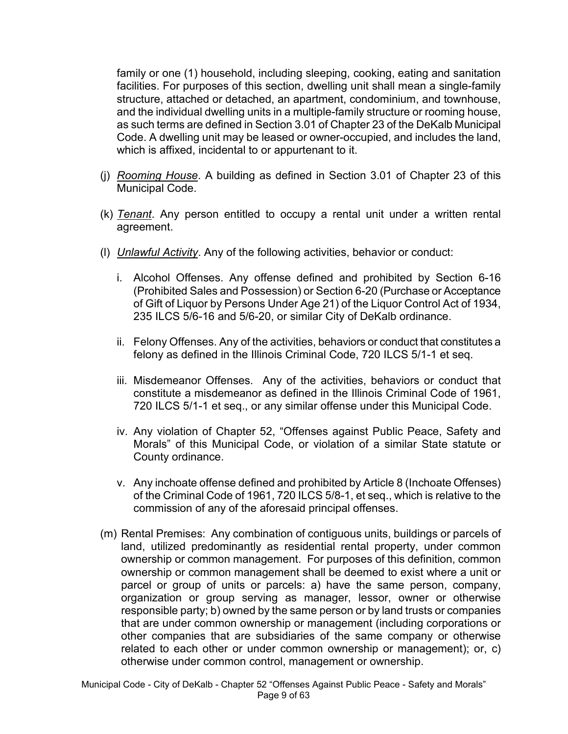family or one (1) household, including sleeping, cooking, eating and sanitation facilities. For purposes of this section, dwelling unit shall mean a single-family structure, attached or detached, an apartment, condominium, and townhouse, and the individual dwelling units in a multiple-family structure or rooming house, as such terms are defined in Section 3.01 of Chapter 23 of the DeKalb Municipal Code. A dwelling unit may be leased or owner-occupied, and includes the land, which is affixed, incidental to or appurtenant to it.

- (j) *Rooming House*. A building as defined in Section 3.01 of Chapter 23 of this Municipal Code.
- (k) *Tenant*. Any person entitled to occupy a rental unit under a written rental agreement.
- (l) *Unlawful Activity*. Any of the following activities, behavior or conduct:
	- i. Alcohol Offenses. Any offense defined and prohibited by Section 6-16 (Prohibited Sales and Possession) or Section 6-20 (Purchase or Acceptance of Gift of Liquor by Persons Under Age 21) of the Liquor Control Act of 1934, 235 ILCS 5/6-16 and 5/6-20, or similar City of DeKalb ordinance.
	- ii. Felony Offenses. Any of the activities, behaviors or conduct that constitutes a felony as defined in the Illinois Criminal Code, 720 ILCS 5/1-1 et seq.
	- iii. Misdemeanor Offenses. Any of the activities, behaviors or conduct that constitute a misdemeanor as defined in the Illinois Criminal Code of 1961, 720 ILCS 5/1-1 et seq., or any similar offense under this Municipal Code.
	- iv. Any violation of Chapter 52, "Offenses against Public Peace, Safety and Morals" of this Municipal Code, or violation of a similar State statute or County ordinance.
	- v. Any inchoate offense defined and prohibited by Article 8 (Inchoate Offenses) of the Criminal Code of 1961, 720 ILCS 5/8-1, et seq., which is relative to the commission of any of the aforesaid principal offenses.
- (m) Rental Premises: Any combination of contiguous units, buildings or parcels of land, utilized predominantly as residential rental property, under common ownership or common management. For purposes of this definition, common ownership or common management shall be deemed to exist where a unit or parcel or group of units or parcels: a) have the same person, company, organization or group serving as manager, lessor, owner or otherwise responsible party; b) owned by the same person or by land trusts or companies that are under common ownership or management (including corporations or other companies that are subsidiaries of the same company or otherwise related to each other or under common ownership or management); or, c) otherwise under common control, management or ownership.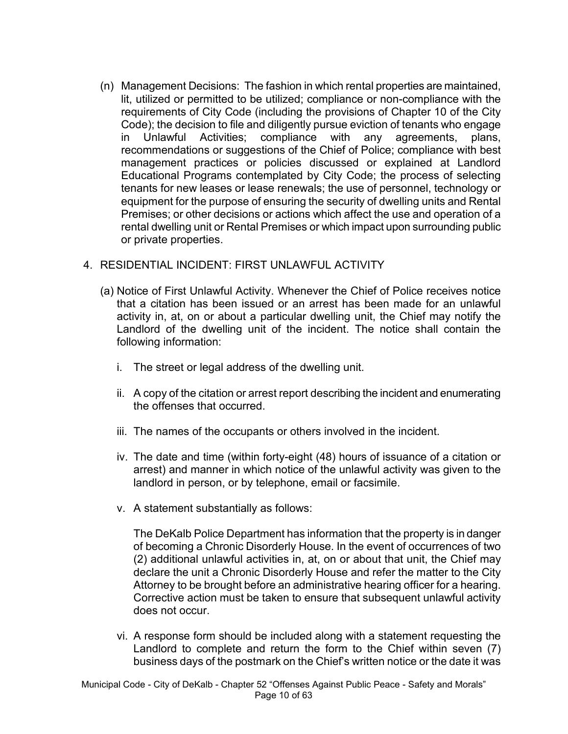(n) Management Decisions: The fashion in which rental properties are maintained, lit, utilized or permitted to be utilized; compliance or non-compliance with the requirements of City Code (including the provisions of Chapter 10 of the City Code); the decision to file and diligently pursue eviction of tenants who engage in Unlawful Activities; compliance with any agreements, plans, recommendations or suggestions of the Chief of Police; compliance with best management practices or policies discussed or explained at Landlord Educational Programs contemplated by City Code; the process of selecting tenants for new leases or lease renewals; the use of personnel, technology or equipment for the purpose of ensuring the security of dwelling units and Rental Premises; or other decisions or actions which affect the use and operation of a rental dwelling unit or Rental Premises or which impact upon surrounding public or private properties.

#### 4. RESIDENTIAL INCIDENT: FIRST UNLAWFUL ACTIVITY

- (a) Notice of First Unlawful Activity. Whenever the Chief of Police receives notice that a citation has been issued or an arrest has been made for an unlawful activity in, at, on or about a particular dwelling unit, the Chief may notify the Landlord of the dwelling unit of the incident. The notice shall contain the following information:
	- i. The street or legal address of the dwelling unit.
	- ii. A copy of the citation or arrest report describing the incident and enumerating the offenses that occurred.
	- iii. The names of the occupants or others involved in the incident.
	- iv. The date and time (within forty-eight (48) hours of issuance of a citation or arrest) and manner in which notice of the unlawful activity was given to the landlord in person, or by telephone, email or facsimile.
	- v. A statement substantially as follows:

The DeKalb Police Department has information that the property is in danger of becoming a Chronic Disorderly House. In the event of occurrences of two (2) additional unlawful activities in, at, on or about that unit, the Chief may declare the unit a Chronic Disorderly House and refer the matter to the City Attorney to be brought before an administrative hearing officer for a hearing. Corrective action must be taken to ensure that subsequent unlawful activity does not occur.

vi. A response form should be included along with a statement requesting the Landlord to complete and return the form to the Chief within seven (7) business days of the postmark on the Chief's written notice or the date it was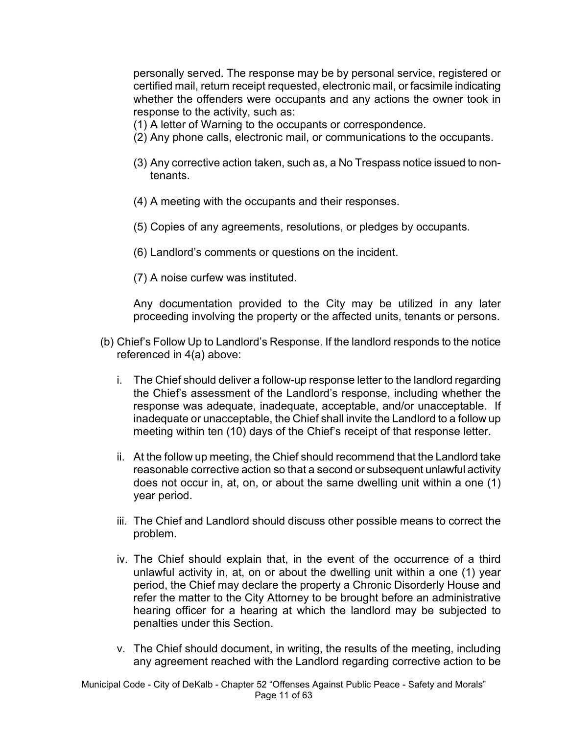personally served. The response may be by personal service, registered or certified mail, return receipt requested, electronic mail, or facsimile indicating whether the offenders were occupants and any actions the owner took in response to the activity, such as:

- (1) A letter of Warning to the occupants or correspondence.
- (2) Any phone calls, electronic mail, or communications to the occupants.
- (3) Any corrective action taken, such as, a No Trespass notice issued to nontenants.
- (4) A meeting with the occupants and their responses.
- (5) Copies of any agreements, resolutions, or pledges by occupants.
- (6) Landlord's comments or questions on the incident.
- (7) A noise curfew was instituted.

Any documentation provided to the City may be utilized in any later proceeding involving the property or the affected units, tenants or persons.

- (b) Chief's Follow Up to Landlord's Response. If the landlord responds to the notice referenced in 4(a) above:
	- i. The Chief should deliver a follow-up response letter to the landlord regarding the Chief's assessment of the Landlord's response, including whether the response was adequate, inadequate, acceptable, and/or unacceptable. If inadequate or unacceptable, the Chief shall invite the Landlord to a follow up meeting within ten (10) days of the Chief's receipt of that response letter.
	- ii. At the follow up meeting, the Chief should recommend that the Landlord take reasonable corrective action so that a second or subsequent unlawful activity does not occur in, at, on, or about the same dwelling unit within a one (1) year period.
	- iii. The Chief and Landlord should discuss other possible means to correct the problem.
	- iv. The Chief should explain that, in the event of the occurrence of a third unlawful activity in, at, on or about the dwelling unit within a one (1) year period, the Chief may declare the property a Chronic Disorderly House and refer the matter to the City Attorney to be brought before an administrative hearing officer for a hearing at which the landlord may be subjected to penalties under this Section.
	- v. The Chief should document, in writing, the results of the meeting, including any agreement reached with the Landlord regarding corrective action to be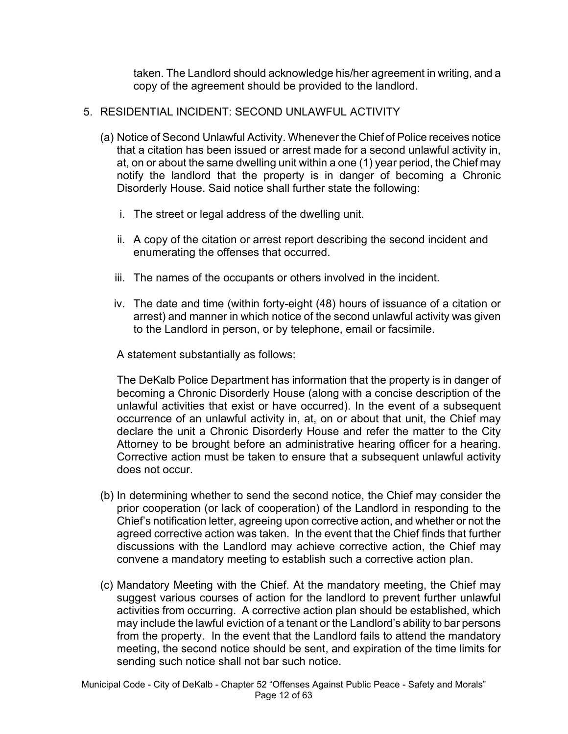taken. The Landlord should acknowledge his/her agreement in writing, and a copy of the agreement should be provided to the landlord.

#### 5. RESIDENTIAL INCIDENT: SECOND UNLAWFUL ACTIVITY

- (a) Notice of Second Unlawful Activity. Whenever the Chief of Police receives notice that a citation has been issued or arrest made for a second unlawful activity in, at, on or about the same dwelling unit within a one (1) year period, the Chief may notify the landlord that the property is in danger of becoming a Chronic Disorderly House. Said notice shall further state the following:
	- i. The street or legal address of the dwelling unit.
	- ii. A copy of the citation or arrest report describing the second incident and enumerating the offenses that occurred.
	- iii. The names of the occupants or others involved in the incident.
	- iv. The date and time (within forty-eight (48) hours of issuance of a citation or arrest) and manner in which notice of the second unlawful activity was given to the Landlord in person, or by telephone, email or facsimile.

A statement substantially as follows:

The DeKalb Police Department has information that the property is in danger of becoming a Chronic Disorderly House (along with a concise description of the unlawful activities that exist or have occurred). In the event of a subsequent occurrence of an unlawful activity in, at, on or about that unit, the Chief may declare the unit a Chronic Disorderly House and refer the matter to the City Attorney to be brought before an administrative hearing officer for a hearing. Corrective action must be taken to ensure that a subsequent unlawful activity does not occur.

- (b) In determining whether to send the second notice, the Chief may consider the prior cooperation (or lack of cooperation) of the Landlord in responding to the Chief's notification letter, agreeing upon corrective action, and whether or not the agreed corrective action was taken. In the event that the Chief finds that further discussions with the Landlord may achieve corrective action, the Chief may convene a mandatory meeting to establish such a corrective action plan.
- (c) Mandatory Meeting with the Chief. At the mandatory meeting, the Chief may suggest various courses of action for the landlord to prevent further unlawful activities from occurring. A corrective action plan should be established, which may include the lawful eviction of a tenant or the Landlord's ability to bar persons from the property. In the event that the Landlord fails to attend the mandatory meeting, the second notice should be sent, and expiration of the time limits for sending such notice shall not bar such notice.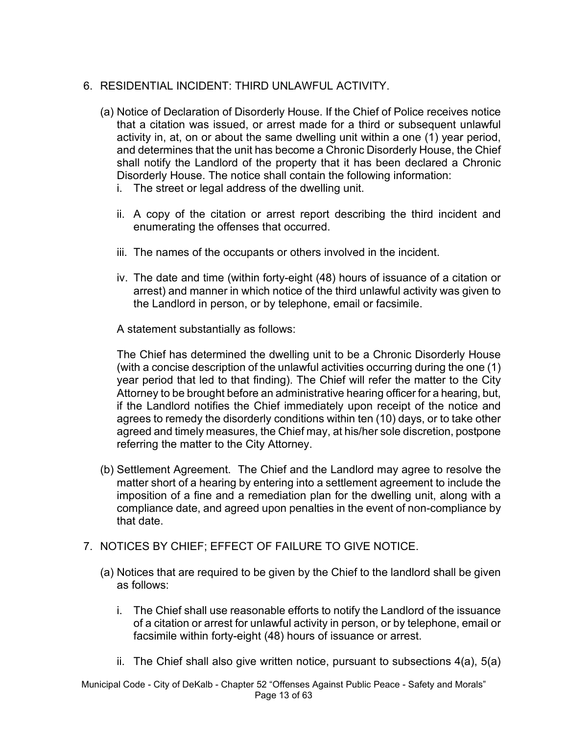### 6. RESIDENTIAL INCIDENT: THIRD UNLAWFUL ACTIVITY.

- (a) Notice of Declaration of Disorderly House. If the Chief of Police receives notice that a citation was issued, or arrest made for a third or subsequent unlawful activity in, at, on or about the same dwelling unit within a one (1) year period, and determines that the unit has become a Chronic Disorderly House, the Chief shall notify the Landlord of the property that it has been declared a Chronic Disorderly House. The notice shall contain the following information:
	- i. The street or legal address of the dwelling unit.
	- ii. A copy of the citation or arrest report describing the third incident and enumerating the offenses that occurred.
	- iii. The names of the occupants or others involved in the incident.
	- iv. The date and time (within forty-eight (48) hours of issuance of a citation or arrest) and manner in which notice of the third unlawful activity was given to the Landlord in person, or by telephone, email or facsimile.

A statement substantially as follows:

The Chief has determined the dwelling unit to be a Chronic Disorderly House (with a concise description of the unlawful activities occurring during the one (1) year period that led to that finding). The Chief will refer the matter to the City Attorney to be brought before an administrative hearing officer for a hearing, but, if the Landlord notifies the Chief immediately upon receipt of the notice and agrees to remedy the disorderly conditions within ten (10) days, or to take other agreed and timely measures, the Chief may, at his/her sole discretion, postpone referring the matter to the City Attorney.

- (b) Settlement Agreement. The Chief and the Landlord may agree to resolve the matter short of a hearing by entering into a settlement agreement to include the imposition of a fine and a remediation plan for the dwelling unit, along with a compliance date, and agreed upon penalties in the event of non-compliance by that date.
- 7. NOTICES BY CHIEF; EFFECT OF FAILURE TO GIVE NOTICE.
	- (a) Notices that are required to be given by the Chief to the landlord shall be given as follows:
		- i. The Chief shall use reasonable efforts to notify the Landlord of the issuance of a citation or arrest for unlawful activity in person, or by telephone, email or facsimile within forty-eight (48) hours of issuance or arrest.
		- ii. The Chief shall also give written notice, pursuant to subsections  $4(a)$ ,  $5(a)$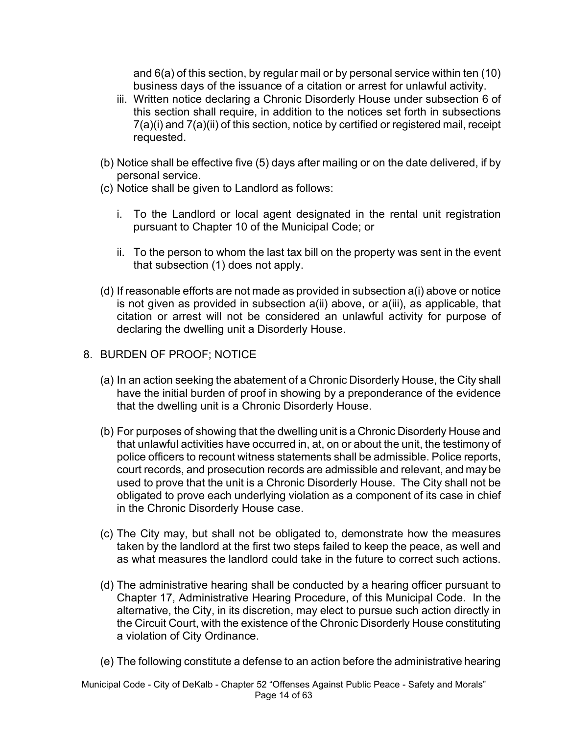and 6(a) of this section, by regular mail or by personal service within ten (10) business days of the issuance of a citation or arrest for unlawful activity.

- iii. Written notice declaring a Chronic Disorderly House under subsection 6 of this section shall require, in addition to the notices set forth in subsections 7(a)(i) and 7(a)(ii) of this section, notice by certified or registered mail, receipt requested.
- (b) Notice shall be effective five (5) days after mailing or on the date delivered, if by personal service.
- (c) Notice shall be given to Landlord as follows:
	- i. To the Landlord or local agent designated in the rental unit registration pursuant to Chapter 10 of the Municipal Code; or
	- ii. To the person to whom the last tax bill on the property was sent in the event that subsection (1) does not apply.
- (d) If reasonable efforts are not made as provided in subsection a(i) above or notice is not given as provided in subsection a(ii) above, or a(iii), as applicable, that citation or arrest will not be considered an unlawful activity for purpose of declaring the dwelling unit a Disorderly House.
- 8. BURDEN OF PROOF; NOTICE
	- (a) In an action seeking the abatement of a Chronic Disorderly House, the City shall have the initial burden of proof in showing by a preponderance of the evidence that the dwelling unit is a Chronic Disorderly House.
	- (b) For purposes of showing that the dwelling unit is a Chronic Disorderly House and that unlawful activities have occurred in, at, on or about the unit, the testimony of police officers to recount witness statements shall be admissible. Police reports, court records, and prosecution records are admissible and relevant, and may be used to prove that the unit is a Chronic Disorderly House. The City shall not be obligated to prove each underlying violation as a component of its case in chief in the Chronic Disorderly House case.
	- (c) The City may, but shall not be obligated to, demonstrate how the measures taken by the landlord at the first two steps failed to keep the peace, as well and as what measures the landlord could take in the future to correct such actions.
	- (d) The administrative hearing shall be conducted by a hearing officer pursuant to Chapter 17, Administrative Hearing Procedure, of this Municipal Code. In the alternative, the City, in its discretion, may elect to pursue such action directly in the Circuit Court, with the existence of the Chronic Disorderly House constituting a violation of City Ordinance.
	- (e) The following constitute a defense to an action before the administrative hearing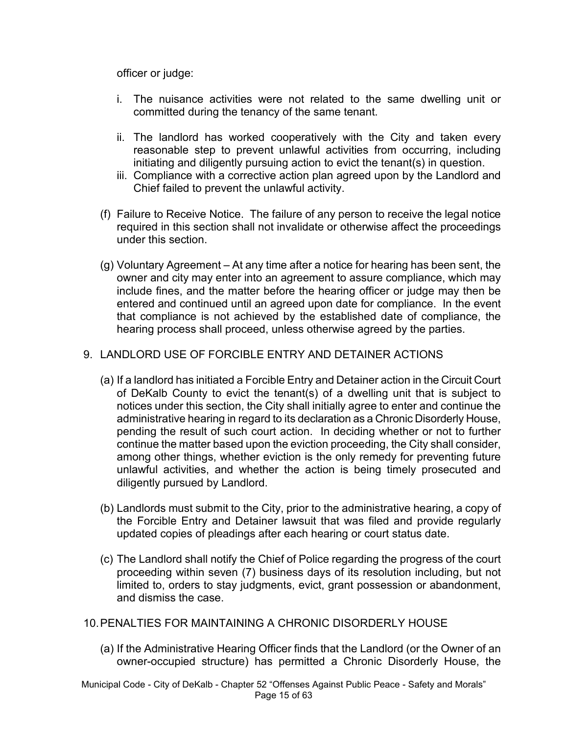officer or judge:

- i. The nuisance activities were not related to the same dwelling unit or committed during the tenancy of the same tenant.
- ii. The landlord has worked cooperatively with the City and taken every reasonable step to prevent unlawful activities from occurring, including initiating and diligently pursuing action to evict the tenant(s) in question.
- iii. Compliance with a corrective action plan agreed upon by the Landlord and Chief failed to prevent the unlawful activity.
- (f) Failure to Receive Notice. The failure of any person to receive the legal notice required in this section shall not invalidate or otherwise affect the proceedings under this section.
- (g) Voluntary Agreement At any time after a notice for hearing has been sent, the owner and city may enter into an agreement to assure compliance, which may include fines, and the matter before the hearing officer or judge may then be entered and continued until an agreed upon date for compliance. In the event that compliance is not achieved by the established date of compliance, the hearing process shall proceed, unless otherwise agreed by the parties.

### 9. LANDLORD USE OF FORCIBLE ENTRY AND DETAINER ACTIONS

- (a) If a landlord has initiated a Forcible Entry and Detainer action in the Circuit Court of DeKalb County to evict the tenant(s) of a dwelling unit that is subject to notices under this section, the City shall initially agree to enter and continue the administrative hearing in regard to its declaration as a Chronic Disorderly House, pending the result of such court action. In deciding whether or not to further continue the matter based upon the eviction proceeding, the City shall consider, among other things, whether eviction is the only remedy for preventing future unlawful activities, and whether the action is being timely prosecuted and diligently pursued by Landlord.
- (b) Landlords must submit to the City, prior to the administrative hearing, a copy of the Forcible Entry and Detainer lawsuit that was filed and provide regularly updated copies of pleadings after each hearing or court status date.
- (c) The Landlord shall notify the Chief of Police regarding the progress of the court proceeding within seven (7) business days of its resolution including, but not limited to, orders to stay judgments, evict, grant possession or abandonment, and dismiss the case.
- 10.PENALTIES FOR MAINTAINING A CHRONIC DISORDERLY HOUSE
	- (a) If the Administrative Hearing Officer finds that the Landlord (or the Owner of an owner-occupied structure) has permitted a Chronic Disorderly House, the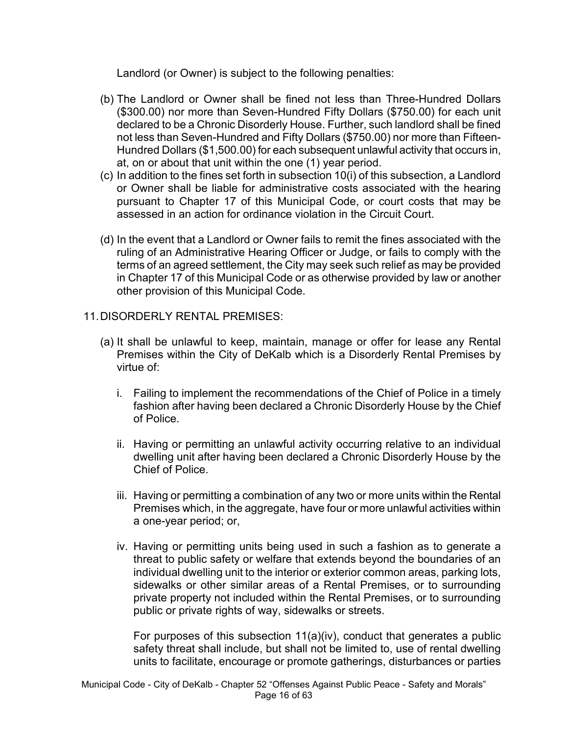Landlord (or Owner) is subject to the following penalties:

- (b) The Landlord or Owner shall be fined not less than Three-Hundred Dollars (\$300.00) nor more than Seven-Hundred Fifty Dollars (\$750.00) for each unit declared to be a Chronic Disorderly House. Further, such landlord shall be fined not less than Seven-Hundred and Fifty Dollars (\$750.00) nor more than Fifteen-Hundred Dollars (\$1,500.00) for each subsequent unlawful activity that occurs in, at, on or about that unit within the one (1) year period.
- (c) In addition to the fines set forth in subsection 10(i) of this subsection, a Landlord or Owner shall be liable for administrative costs associated with the hearing pursuant to Chapter 17 of this Municipal Code, or court costs that may be assessed in an action for ordinance violation in the Circuit Court.
- (d) In the event that a Landlord or Owner fails to remit the fines associated with the ruling of an Administrative Hearing Officer or Judge, or fails to comply with the terms of an agreed settlement, the City may seek such relief as may be provided in Chapter 17 of this Municipal Code or as otherwise provided by law or another other provision of this Municipal Code.

### 11.DISORDERLY RENTAL PREMISES:

- (a) It shall be unlawful to keep, maintain, manage or offer for lease any Rental Premises within the City of DeKalb which is a Disorderly Rental Premises by virtue of:
	- i. Failing to implement the recommendations of the Chief of Police in a timely fashion after having been declared a Chronic Disorderly House by the Chief of Police.
	- ii. Having or permitting an unlawful activity occurring relative to an individual dwelling unit after having been declared a Chronic Disorderly House by the Chief of Police.
	- iii. Having or permitting a combination of any two or more units within the Rental Premises which, in the aggregate, have four or more unlawful activities within a one-year period; or,
	- iv. Having or permitting units being used in such a fashion as to generate a threat to public safety or welfare that extends beyond the boundaries of an individual dwelling unit to the interior or exterior common areas, parking lots, sidewalks or other similar areas of a Rental Premises, or to surrounding private property not included within the Rental Premises, or to surrounding public or private rights of way, sidewalks or streets.

For purposes of this subsection 11(a)(iv), conduct that generates a public safety threat shall include, but shall not be limited to, use of rental dwelling units to facilitate, encourage or promote gatherings, disturbances or parties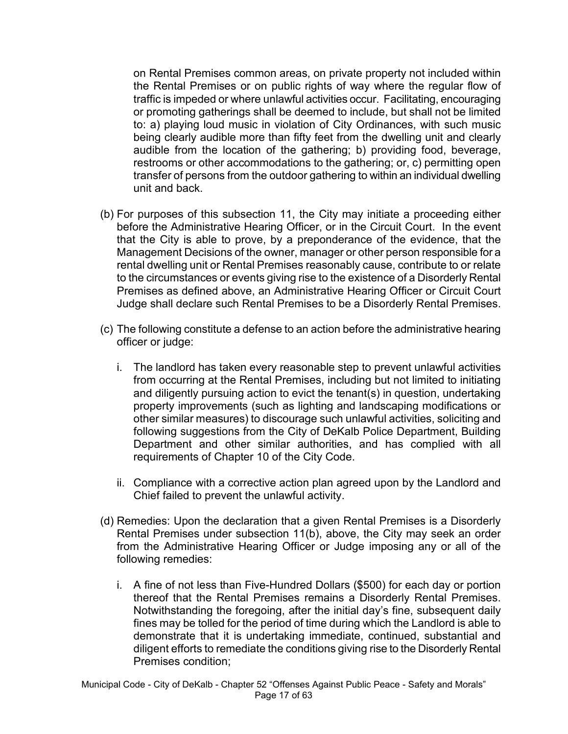on Rental Premises common areas, on private property not included within the Rental Premises or on public rights of way where the regular flow of traffic is impeded or where unlawful activities occur. Facilitating, encouraging or promoting gatherings shall be deemed to include, but shall not be limited to: a) playing loud music in violation of City Ordinances, with such music being clearly audible more than fifty feet from the dwelling unit and clearly audible from the location of the gathering; b) providing food, beverage, restrooms or other accommodations to the gathering; or, c) permitting open transfer of persons from the outdoor gathering to within an individual dwelling unit and back.

- (b) For purposes of this subsection 11, the City may initiate a proceeding either before the Administrative Hearing Officer, or in the Circuit Court. In the event that the City is able to prove, by a preponderance of the evidence, that the Management Decisions of the owner, manager or other person responsible for a rental dwelling unit or Rental Premises reasonably cause, contribute to or relate to the circumstances or events giving rise to the existence of a Disorderly Rental Premises as defined above, an Administrative Hearing Officer or Circuit Court Judge shall declare such Rental Premises to be a Disorderly Rental Premises.
- (c) The following constitute a defense to an action before the administrative hearing officer or judge:
	- i. The landlord has taken every reasonable step to prevent unlawful activities from occurring at the Rental Premises, including but not limited to initiating and diligently pursuing action to evict the tenant(s) in question, undertaking property improvements (such as lighting and landscaping modifications or other similar measures) to discourage such unlawful activities, soliciting and following suggestions from the City of DeKalb Police Department, Building Department and other similar authorities, and has complied with all requirements of Chapter 10 of the City Code.
	- ii. Compliance with a corrective action plan agreed upon by the Landlord and Chief failed to prevent the unlawful activity.
- (d) Remedies: Upon the declaration that a given Rental Premises is a Disorderly Rental Premises under subsection 11(b), above, the City may seek an order from the Administrative Hearing Officer or Judge imposing any or all of the following remedies:
	- i. A fine of not less than Five-Hundred Dollars (\$500) for each day or portion thereof that the Rental Premises remains a Disorderly Rental Premises. Notwithstanding the foregoing, after the initial day's fine, subsequent daily fines may be tolled for the period of time during which the Landlord is able to demonstrate that it is undertaking immediate, continued, substantial and diligent efforts to remediate the conditions giving rise to the Disorderly Rental Premises condition;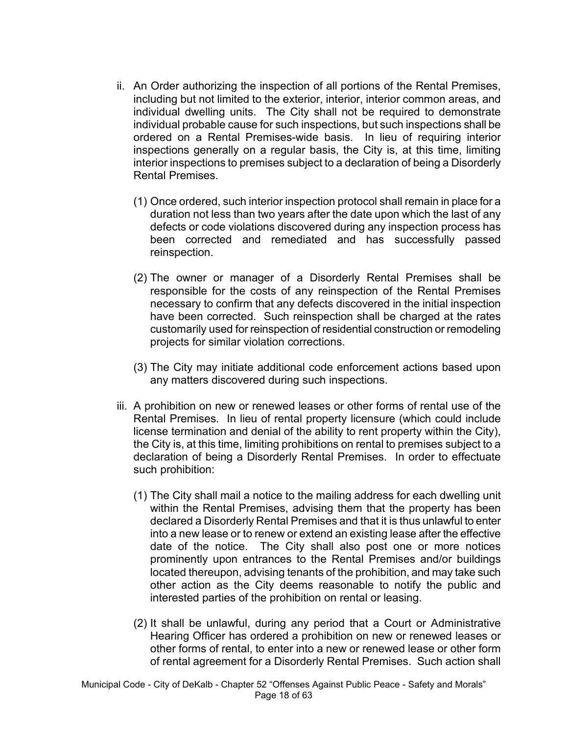- ii. An Order authorizing the inspection of all portions of the Rental Premises, including but not limited to the exterior, interior, interior common areas, and individual dwelling units. The City shall not be required to demonstrate individual probable cause for such inspections, but such inspections shall be ordered on a Rental Premises-wide basis. In lieu of requiring interior inspections generally on a regular basis, the City is, at this time, limiting interior inspections to premises subject to a declaration of being a Disorderly Rental Premises.
	- (1) Once ordered, such interior inspection protocol shall remain in place for a duration not less than two years after the date upon which the last of any defects or code violations discovered during any inspection process has been corrected and remediated and has successfully passed reinspection.
	- (2) The owner or manager of a Disorderly Rental Premises shall be responsible for the costs of any reinspection of the Rental Premises necessary to confirm that any defects discovered in the initial inspection have been corrected. Such reinspection shall be charged at the rates customarily used for reinspection of residential construction or remodeling projects for similar violation corrections.
	- (3) The City may initiate additional code enforcement actions based upon any matters discovered during such inspections.
- iii. A prohibition on new or renewed leases or other forms of rental use of the Rental Premises. In lieu of rental property licensure (which could include license termination and denial of the ability to rent property within the City), the City is, at this time, limiting prohibitions on rental to premises subject to a declaration of being a Disorderly Rental Premises. In order to effectuate such prohibition:
	- (1) The City shall mail a notice to the mailing address for each dwelling unit within the Rental Premises, advising them that the property has been declared a Disorderly Rental Premises and that it is thus unlawful to enter into a new lease or to renew or extend an existing lease after the effective date of the notice. The City shall also post one or more notices prominently upon entrances to the Rental Premises and/or buildings located thereupon, advising tenants of the prohibition, and may take such other action as the City deems reasonable to notify the public and interested parties of the prohibition on rental or leasing.
	- (2) It shall be unlawful, during any period that a Court or Administrative Hearing Officer has ordered a prohibition on new or renewed leases or other forms of rental, to enter into a new or renewed lease or other form of rental agreement for a Disorderly Rental Premises. Such action shall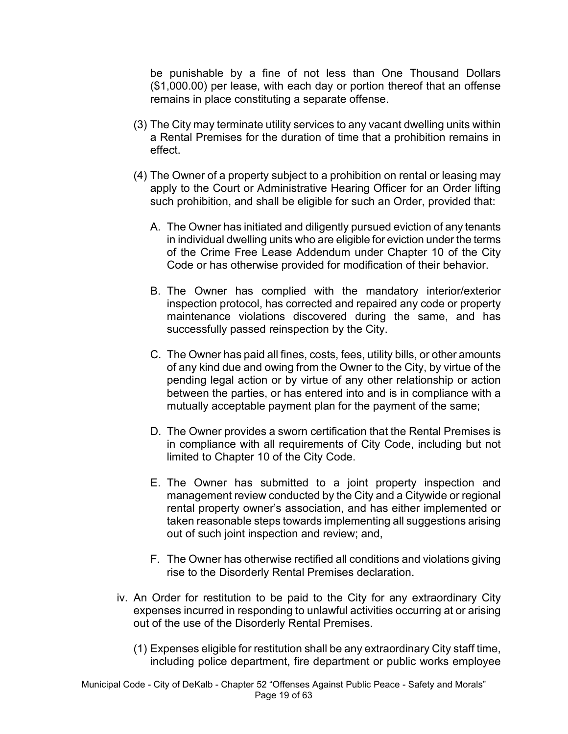be punishable by a fine of not less than One Thousand Dollars (\$1,000.00) per lease, with each day or portion thereof that an offense remains in place constituting a separate offense.

- (3) The City may terminate utility services to any vacant dwelling units within a Rental Premises for the duration of time that a prohibition remains in effect.
- (4) The Owner of a property subject to a prohibition on rental or leasing may apply to the Court or Administrative Hearing Officer for an Order lifting such prohibition, and shall be eligible for such an Order, provided that:
	- A. The Owner has initiated and diligently pursued eviction of any tenants in individual dwelling units who are eligible for eviction under the terms of the Crime Free Lease Addendum under Chapter 10 of the City Code or has otherwise provided for modification of their behavior.
	- B. The Owner has complied with the mandatory interior/exterior inspection protocol, has corrected and repaired any code or property maintenance violations discovered during the same, and has successfully passed reinspection by the City.
	- C. The Owner has paid all fines, costs, fees, utility bills, or other amounts of any kind due and owing from the Owner to the City, by virtue of the pending legal action or by virtue of any other relationship or action between the parties, or has entered into and is in compliance with a mutually acceptable payment plan for the payment of the same;
	- D. The Owner provides a sworn certification that the Rental Premises is in compliance with all requirements of City Code, including but not limited to Chapter 10 of the City Code.
	- E. The Owner has submitted to a joint property inspection and management review conducted by the City and a Citywide or regional rental property owner's association, and has either implemented or taken reasonable steps towards implementing all suggestions arising out of such joint inspection and review; and,
	- F. The Owner has otherwise rectified all conditions and violations giving rise to the Disorderly Rental Premises declaration.
- iv. An Order for restitution to be paid to the City for any extraordinary City expenses incurred in responding to unlawful activities occurring at or arising out of the use of the Disorderly Rental Premises.
	- (1) Expenses eligible for restitution shall be any extraordinary City staff time, including police department, fire department or public works employee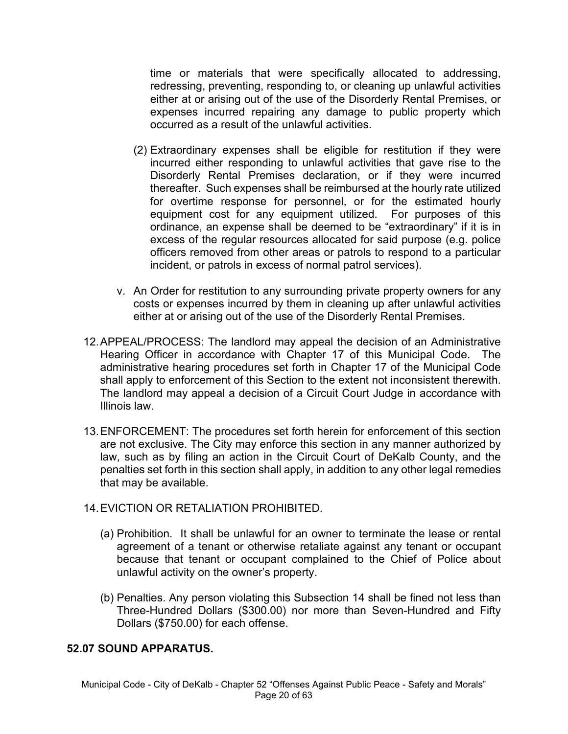time or materials that were specifically allocated to addressing, redressing, preventing, responding to, or cleaning up unlawful activities either at or arising out of the use of the Disorderly Rental Premises, or expenses incurred repairing any damage to public property which occurred as a result of the unlawful activities.

- (2) Extraordinary expenses shall be eligible for restitution if they were incurred either responding to unlawful activities that gave rise to the Disorderly Rental Premises declaration, or if they were incurred thereafter. Such expenses shall be reimbursed at the hourly rate utilized for overtime response for personnel, or for the estimated hourly equipment cost for any equipment utilized. For purposes of this ordinance, an expense shall be deemed to be "extraordinary" if it is in excess of the regular resources allocated for said purpose (e.g. police officers removed from other areas or patrols to respond to a particular incident, or patrols in excess of normal patrol services).
- v. An Order for restitution to any surrounding private property owners for any costs or expenses incurred by them in cleaning up after unlawful activities either at or arising out of the use of the Disorderly Rental Premises.
- 12.APPEAL/PROCESS: The landlord may appeal the decision of an Administrative Hearing Officer in accordance with Chapter 17 of this Municipal Code. The administrative hearing procedures set forth in Chapter 17 of the Municipal Code shall apply to enforcement of this Section to the extent not inconsistent therewith. The landlord may appeal a decision of a Circuit Court Judge in accordance with Illinois law.
- 13.ENFORCEMENT: The procedures set forth herein for enforcement of this section are not exclusive. The City may enforce this section in any manner authorized by law, such as by filing an action in the Circuit Court of DeKalb County, and the penalties set forth in this section shall apply, in addition to any other legal remedies that may be available.
- 14.EVICTION OR RETALIATION PROHIBITED.
	- (a) Prohibition. It shall be unlawful for an owner to terminate the lease or rental agreement of a tenant or otherwise retaliate against any tenant or occupant because that tenant or occupant complained to the Chief of Police about unlawful activity on the owner's property.
	- (b) Penalties. Any person violating this Subsection 14 shall be fined not less than Three-Hundred Dollars (\$300.00) nor more than Seven-Hundred and Fifty Dollars (\$750.00) for each offense.

#### **52.07 SOUND APPARATUS.**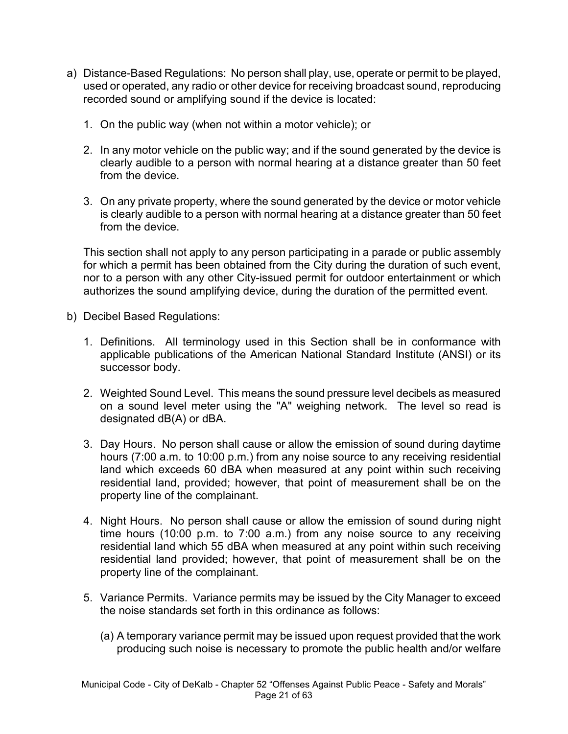- a) Distance-Based Regulations: No person shall play, use, operate or permit to be played, used or operated, any radio or other device for receiving broadcast sound, reproducing recorded sound or amplifying sound if the device is located:
	- 1. On the public way (when not within a motor vehicle); or
	- 2. In any motor vehicle on the public way; and if the sound generated by the device is clearly audible to a person with normal hearing at a distance greater than 50 feet from the device.
	- 3. On any private property, where the sound generated by the device or motor vehicle is clearly audible to a person with normal hearing at a distance greater than 50 feet from the device.

This section shall not apply to any person participating in a parade or public assembly for which a permit has been obtained from the City during the duration of such event, nor to a person with any other City-issued permit for outdoor entertainment or which authorizes the sound amplifying device, during the duration of the permitted event.

- b) Decibel Based Regulations:
	- 1. Definitions. All terminology used in this Section shall be in conformance with applicable publications of the American National Standard Institute (ANSI) or its successor body.
	- 2. Weighted Sound Level. This means the sound pressure level decibels as measured on a sound level meter using the "A" weighing network. The level so read is designated dB(A) or dBA.
	- 3. Day Hours. No person shall cause or allow the emission of sound during daytime hours (7:00 a.m. to 10:00 p.m.) from any noise source to any receiving residential land which exceeds 60 dBA when measured at any point within such receiving residential land, provided; however, that point of measurement shall be on the property line of the complainant.
	- 4. Night Hours. No person shall cause or allow the emission of sound during night time hours (10:00 p.m. to 7:00 a.m.) from any noise source to any receiving residential land which 55 dBA when measured at any point within such receiving residential land provided; however, that point of measurement shall be on the property line of the complainant.
	- 5. Variance Permits. Variance permits may be issued by the City Manager to exceed the noise standards set forth in this ordinance as follows:
		- (a) A temporary variance permit may be issued upon request provided that the work producing such noise is necessary to promote the public health and/or welfare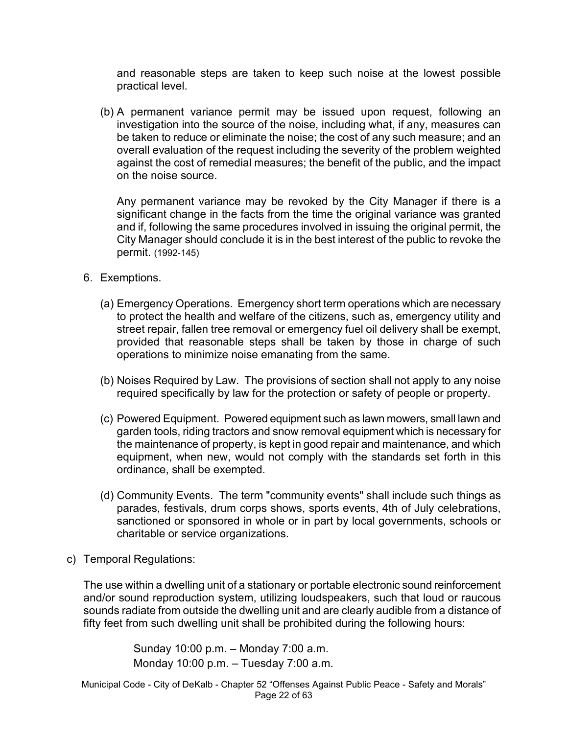and reasonable steps are taken to keep such noise at the lowest possible practical level.

(b) A permanent variance permit may be issued upon request, following an investigation into the source of the noise, including what, if any, measures can be taken to reduce or eliminate the noise; the cost of any such measure; and an overall evaluation of the request including the severity of the problem weighted against the cost of remedial measures; the benefit of the public, and the impact on the noise source.

Any permanent variance may be revoked by the City Manager if there is a significant change in the facts from the time the original variance was granted and if, following the same procedures involved in issuing the original permit, the City Manager should conclude it is in the best interest of the public to revoke the permit. (1992-145)

- 6. Exemptions.
	- (a) Emergency Operations. Emergency short term operations which are necessary to protect the health and welfare of the citizens, such as, emergency utility and street repair, fallen tree removal or emergency fuel oil delivery shall be exempt, provided that reasonable steps shall be taken by those in charge of such operations to minimize noise emanating from the same.
	- (b) Noises Required by Law. The provisions of section shall not apply to any noise required specifically by law for the protection or safety of people or property.
	- (c) Powered Equipment. Powered equipment such as lawn mowers, small lawn and garden tools, riding tractors and snow removal equipment which is necessary for the maintenance of property, is kept in good repair and maintenance, and which equipment, when new, would not comply with the standards set forth in this ordinance, shall be exempted.
	- (d) Community Events. The term "community events" shall include such things as parades, festivals, drum corps shows, sports events, 4th of July celebrations, sanctioned or sponsored in whole or in part by local governments, schools or charitable or service organizations.
- c) Temporal Regulations:

The use within a dwelling unit of a stationary or portable electronic sound reinforcement and/or sound reproduction system, utilizing loudspeakers, such that loud or raucous sounds radiate from outside the dwelling unit and are clearly audible from a distance of fifty feet from such dwelling unit shall be prohibited during the following hours:

> Sunday 10:00 p.m. – Monday 7:00 a.m. Monday 10:00 p.m. – Tuesday 7:00 a.m.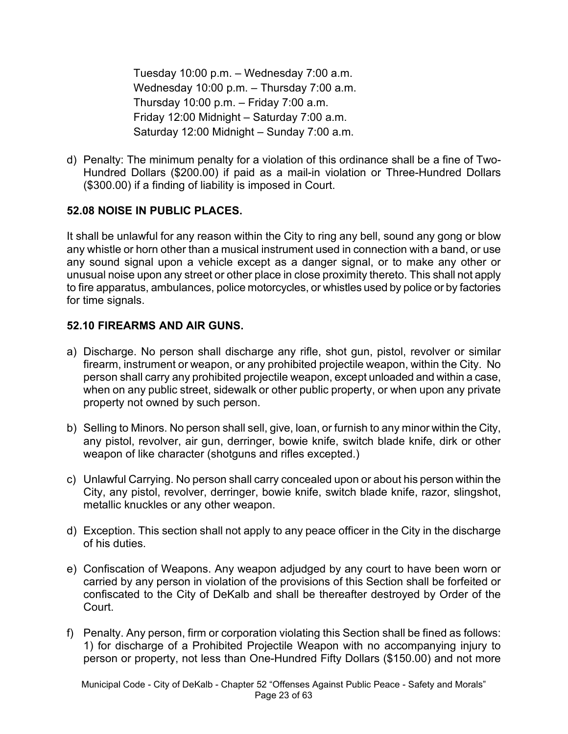Tuesday 10:00 p.m. – Wednesday 7:00 a.m. Wednesday 10:00 p.m. – Thursday 7:00 a.m. Thursday 10:00 p.m. – Friday 7:00 a.m. Friday 12:00 Midnight – Saturday 7:00 a.m. Saturday 12:00 Midnight – Sunday 7:00 a.m.

d) Penalty: The minimum penalty for a violation of this ordinance shall be a fine of Two-Hundred Dollars (\$200.00) if paid as a mail-in violation or Three-Hundred Dollars (\$300.00) if a finding of liability is imposed in Court.

### **52.08 NOISE IN PUBLIC PLACES.**

It shall be unlawful for any reason within the City to ring any bell, sound any gong or blow any whistle or horn other than a musical instrument used in connection with a band, or use any sound signal upon a vehicle except as a danger signal, or to make any other or unusual noise upon any street or other place in close proximity thereto. This shall not apply to fire apparatus, ambulances, police motorcycles, or whistles used by police or by factories for time signals.

### **52.10 FIREARMS AND AIR GUNS.**

- a) Discharge. No person shall discharge any rifle, shot gun, pistol, revolver or similar firearm, instrument or weapon, or any prohibited projectile weapon, within the City. No person shall carry any prohibited projectile weapon, except unloaded and within a case, when on any public street, sidewalk or other public property, or when upon any private property not owned by such person.
- b) Selling to Minors. No person shall sell, give, loan, or furnish to any minor within the City, any pistol, revolver, air gun, derringer, bowie knife, switch blade knife, dirk or other weapon of like character (shotguns and rifles excepted.)
- c) Unlawful Carrying. No person shall carry concealed upon or about his person within the City, any pistol, revolver, derringer, bowie knife, switch blade knife, razor, slingshot, metallic knuckles or any other weapon.
- d) Exception. This section shall not apply to any peace officer in the City in the discharge of his duties.
- e) Confiscation of Weapons. Any weapon adjudged by any court to have been worn or carried by any person in violation of the provisions of this Section shall be forfeited or confiscated to the City of DeKalb and shall be thereafter destroyed by Order of the Court.
- f) Penalty. Any person, firm or corporation violating this Section shall be fined as follows: 1) for discharge of a Prohibited Projectile Weapon with no accompanying injury to person or property, not less than One-Hundred Fifty Dollars (\$150.00) and not more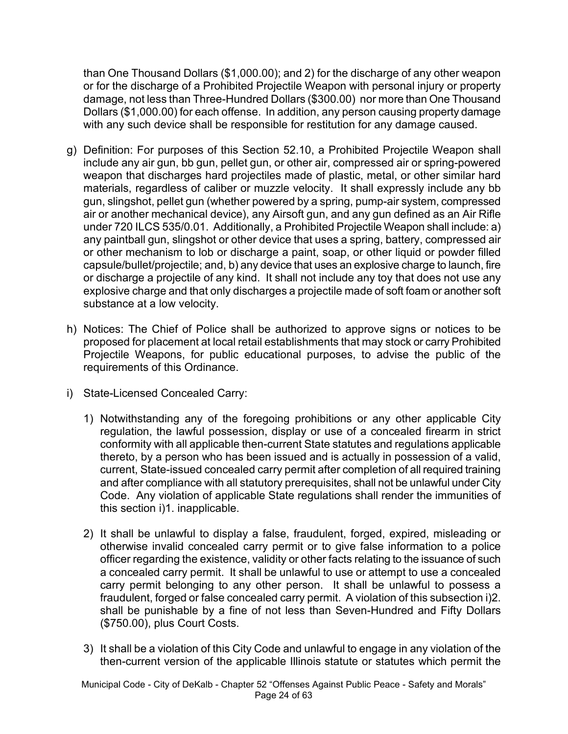than One Thousand Dollars (\$1,000.00); and 2) for the discharge of any other weapon or for the discharge of a Prohibited Projectile Weapon with personal injury or property damage, not less than Three-Hundred Dollars (\$300.00) nor more than One Thousand Dollars (\$1,000.00) for each offense. In addition, any person causing property damage with any such device shall be responsible for restitution for any damage caused.

- g) Definition: For purposes of this Section 52.10, a Prohibited Projectile Weapon shall include any air gun, bb gun, pellet gun, or other air, compressed air or spring-powered weapon that discharges hard projectiles made of plastic, metal, or other similar hard materials, regardless of caliber or muzzle velocity. It shall expressly include any bb gun, slingshot, pellet gun (whether powered by a spring, pump-air system, compressed air or another mechanical device), any Airsoft gun, and any gun defined as an Air Rifle under 720 ILCS 535/0.01. Additionally, a Prohibited Projectile Weapon shall include: a) any paintball gun, slingshot or other device that uses a spring, battery, compressed air or other mechanism to lob or discharge a paint, soap, or other liquid or powder filled capsule/bullet/projectile; and, b) any device that uses an explosive charge to launch, fire or discharge a projectile of any kind. It shall not include any toy that does not use any explosive charge and that only discharges a projectile made of soft foam or another soft substance at a low velocity.
- h) Notices: The Chief of Police shall be authorized to approve signs or notices to be proposed for placement at local retail establishments that may stock or carry Prohibited Projectile Weapons, for public educational purposes, to advise the public of the requirements of this Ordinance.
- i) State-Licensed Concealed Carry:
	- 1) Notwithstanding any of the foregoing prohibitions or any other applicable City regulation, the lawful possession, display or use of a concealed firearm in strict conformity with all applicable then-current State statutes and regulations applicable thereto, by a person who has been issued and is actually in possession of a valid, current, State-issued concealed carry permit after completion of all required training and after compliance with all statutory prerequisites, shall not be unlawful under City Code. Any violation of applicable State regulations shall render the immunities of this section i)1. inapplicable.
	- 2) It shall be unlawful to display a false, fraudulent, forged, expired, misleading or otherwise invalid concealed carry permit or to give false information to a police officer regarding the existence, validity or other facts relating to the issuance of such a concealed carry permit. It shall be unlawful to use or attempt to use a concealed carry permit belonging to any other person. It shall be unlawful to possess a fraudulent, forged or false concealed carry permit. A violation of this subsection i)2. shall be punishable by a fine of not less than Seven-Hundred and Fifty Dollars (\$750.00), plus Court Costs.
	- 3) It shall be a violation of this City Code and unlawful to engage in any violation of the then-current version of the applicable Illinois statute or statutes which permit the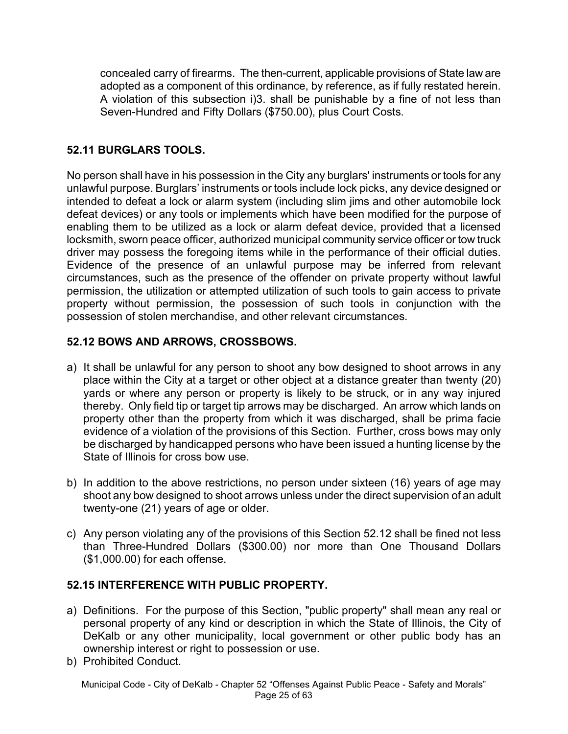concealed carry of firearms. The then-current, applicable provisions of State law are adopted as a component of this ordinance, by reference, as if fully restated herein. A violation of this subsection i)3. shall be punishable by a fine of not less than Seven-Hundred and Fifty Dollars (\$750.00), plus Court Costs.

# **52.11 BURGLARS TOOLS.**

No person shall have in his possession in the City any burglars' instruments or tools for any unlawful purpose. Burglars' instruments or tools include lock picks, any device designed or intended to defeat a lock or alarm system (including slim jims and other automobile lock defeat devices) or any tools or implements which have been modified for the purpose of enabling them to be utilized as a lock or alarm defeat device, provided that a licensed locksmith, sworn peace officer, authorized municipal community service officer or tow truck driver may possess the foregoing items while in the performance of their official duties. Evidence of the presence of an unlawful purpose may be inferred from relevant circumstances, such as the presence of the offender on private property without lawful permission, the utilization or attempted utilization of such tools to gain access to private property without permission, the possession of such tools in conjunction with the possession of stolen merchandise, and other relevant circumstances.

## **52.12 BOWS AND ARROWS, CROSSBOWS.**

- a) It shall be unlawful for any person to shoot any bow designed to shoot arrows in any place within the City at a target or other object at a distance greater than twenty (20) yards or where any person or property is likely to be struck, or in any way injured thereby. Only field tip or target tip arrows may be discharged. An arrow which lands on property other than the property from which it was discharged, shall be prima facie evidence of a violation of the provisions of this Section. Further, cross bows may only be discharged by handicapped persons who have been issued a hunting license by the State of Illinois for cross bow use.
- b) In addition to the above restrictions, no person under sixteen (16) years of age may shoot any bow designed to shoot arrows unless under the direct supervision of an adult twenty-one (21) years of age or older.
- c) Any person violating any of the provisions of this Section 52.12 shall be fined not less than Three-Hundred Dollars (\$300.00) nor more than One Thousand Dollars (\$1,000.00) for each offense.

## **52.15 INTERFERENCE WITH PUBLIC PROPERTY.**

- a) Definitions. For the purpose of this Section, "public property" shall mean any real or personal property of any kind or description in which the State of Illinois, the City of DeKalb or any other municipality, local government or other public body has an ownership interest or right to possession or use.
- b) Prohibited Conduct.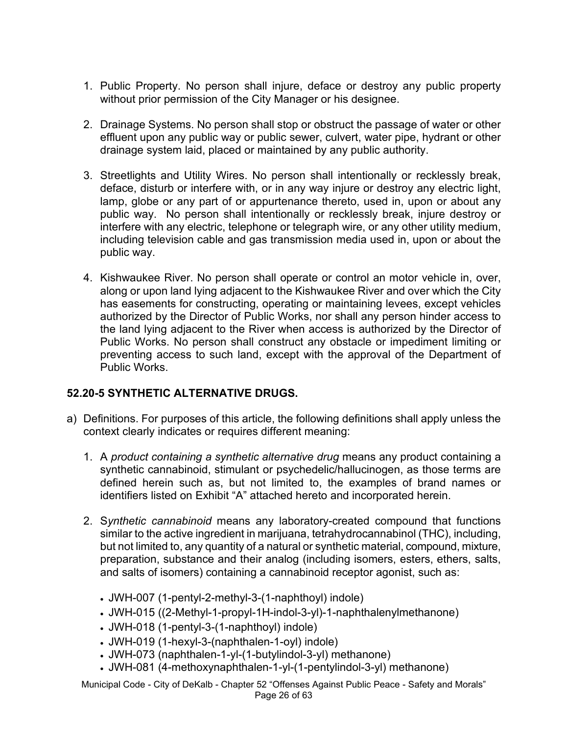- 1. Public Property. No person shall injure, deface or destroy any public property without prior permission of the City Manager or his designee.
- 2. Drainage Systems. No person shall stop or obstruct the passage of water or other effluent upon any public way or public sewer, culvert, water pipe, hydrant or other drainage system laid, placed or maintained by any public authority.
- 3. Streetlights and Utility Wires. No person shall intentionally or recklessly break, deface, disturb or interfere with, or in any way injure or destroy any electric light, lamp, globe or any part of or appurtenance thereto, used in, upon or about any public way. No person shall intentionally or recklessly break, injure destroy or interfere with any electric, telephone or telegraph wire, or any other utility medium, including television cable and gas transmission media used in, upon or about the public way.
- 4. Kishwaukee River. No person shall operate or control an motor vehicle in, over, along or upon land lying adjacent to the Kishwaukee River and over which the City has easements for constructing, operating or maintaining levees, except vehicles authorized by the Director of Public Works, nor shall any person hinder access to the land lying adjacent to the River when access is authorized by the Director of Public Works. No person shall construct any obstacle or impediment limiting or preventing access to such land, except with the approval of the Department of Public Works.

### **52.20-5 SYNTHETIC ALTERNATIVE DRUGS.**

- a) Definitions. For purposes of this article, the following definitions shall apply unless the context clearly indicates or requires different meaning:
	- 1. A *product containing a synthetic alternative drug* means any product containing a synthetic cannabinoid, stimulant or psychedelic/hallucinogen, as those terms are defined herein such as, but not limited to, the examples of brand names or identifiers listed on Exhibit "A" attached hereto and incorporated herein.
	- 2. S*ynthetic cannabinoid* means any laboratory-created compound that functions similar to the active ingredient in marijuana, tetrahydrocannabinol (THC), including, but not limited to, any quantity of a natural or synthetic material, compound, mixture, preparation, substance and their analog (including isomers, esters, ethers, salts, and salts of isomers) containing a cannabinoid receptor agonist, such as:
		- JWH-007 (1-pentyl-2-methyl-3-(1-naphthoyl) indole)
		- JWH-015 ((2-Methyl-1-propyl-1H-indol-3-yl)-1-naphthalenylmethanone)
		- JWH-018 (1-pentyl-3-(1-naphthoyl) indole)
		- JWH-019 (1-hexyl-3-(naphthalen-1-oyl) indole)
		- JWH-073 (naphthalen-1-yl-(1-butylindol-3-yl) methanone)
		- JWH-081 (4-methoxynaphthalen-1-yl-(1-pentylindol-3-yl) methanone)

Municipal Code - City of DeKalb - Chapter 52 "Offenses Against Public Peace - Safety and Morals" Page 26 of 63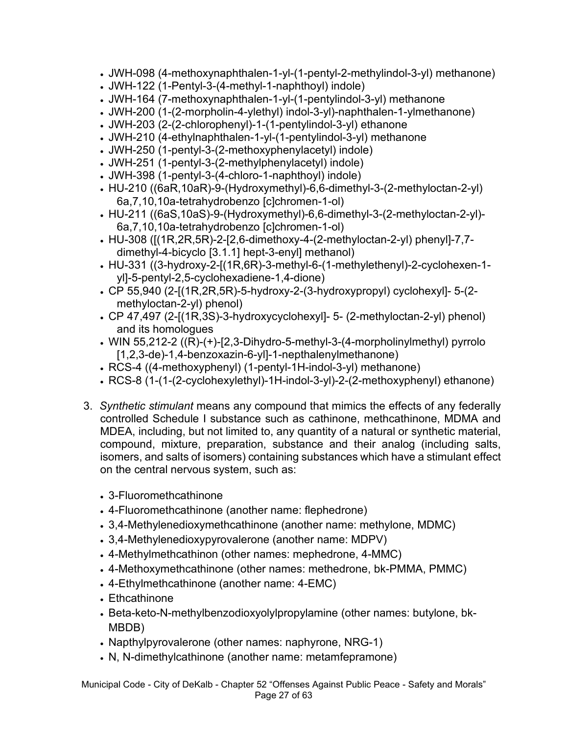- JWH-098 (4-methoxynaphthalen-1-yl-(1-pentyl-2-methylindol-3-yl) methanone)
- JWH-122 (1-Pentyl-3-(4-methyl-1-naphthoyl) indole)
- JWH-164 (7-methoxynaphthalen-1-yl-(1-pentylindol-3-yl) methanone
- JWH-200 (1-(2-morpholin-4-ylethyl) indol-3-yl)-naphthalen-1-ylmethanone)
- JWH-203 (2-(2-chlorophenyl)-1-(1-pentylindol-3-yl) ethanone
- JWH-210 (4-ethylnaphthalen-1-yl-(1-pentylindol-3-yl) methanone
- JWH-250 (1-pentyl-3-(2-methoxyphenylacetyl) indole)
- JWH-251 (1-pentyl-3-(2-methylphenylacetyl) indole)
- JWH-398 (1-pentyl-3-(4-chloro-1-naphthoyl) indole)
- HU-210 ((6aR,10aR)-9-(Hydroxymethyl)-6,6-dimethyl-3-(2-methyloctan-2-yl) 6a,7,10,10a-tetrahydrobenzo [c]chromen-1-ol)
- HU-211 ((6aS,10aS)-9-(Hydroxymethyl)-6,6-dimethyl-3-(2-methyloctan-2-yl)- 6a,7,10,10a-tetrahydrobenzo [c]chromen-1-ol)
- HU-308 ([(1R,2R,5R)-2-[2,6-dimethoxy-4-(2-methyloctan-2-yl) phenyl]-7,7 dimethyl-4-bicyclo [3.1.1] hept-3-enyl] methanol)
- HU-331 ((3-hydroxy-2-[(1R,6R)-3-methyl-6-(1-methylethenyl)-2-cyclohexen-1 yl]-5-pentyl-2,5-cyclohexadiene-1,4-dione)
- CP 55,940 (2-[(1R,2R,5R)-5-hydroxy-2-(3-hydroxypropyl) cyclohexyl]- 5-(2 methyloctan-2-yl) phenol)
- CP 47,497 (2-[(1R,3S)-3-hydroxycyclohexyl]- 5- (2-methyloctan-2-yl) phenol) and its homologues
- WIN 55,212-2 ((R)-(+)-[2,3-Dihydro-5-methyl-3-(4-morpholinylmethyl) pyrrolo [1,2,3-de)-1,4-benzoxazin-6-yl]-1-nepthalenylmethanone)
- RCS-4 ((4-methoxyphenyl) (1-pentyl-1H-indol-3-yl) methanone)
- RCS-8 (1-(1-(2-cyclohexylethyl)-1H-indol-3-yl)-2-(2-methoxyphenyl) ethanone)
- 3. *Synthetic stimulant* means any compound that mimics the effects of any federally controlled Schedule I substance such as cathinone, methcathinone, MDMA and MDEA, including, but not limited to, any quantity of a natural or synthetic material, compound, mixture, preparation, substance and their analog (including salts, isomers, and salts of isomers) containing substances which have a stimulant effect on the central nervous system, such as:
	- 3-Fluoromethcathinone
	- 4-Fluoromethcathinone (another name: flephedrone)
	- 3,4-Methylenedioxymethcathinone (another name: methylone, MDMC)
	- 3,4-Methylenedioxypyrovalerone (another name: MDPV)
	- 4-Methylmethcathinon (other names: mephedrone, 4-MMC)
	- 4-Methoxymethcathinone (other names: methedrone, bk-PMMA, PMMC)
	- 4-Ethylmethcathinone (another name: 4-EMC)
	- Ethcathinone
	- Beta-keto-N-methylbenzodioxyolylpropylamine (other names: butylone, bk-MBDB)
	- Napthylpyrovalerone (other names: naphyrone, NRG-1)
	- N, N-dimethylcathinone (another name: metamfepramone)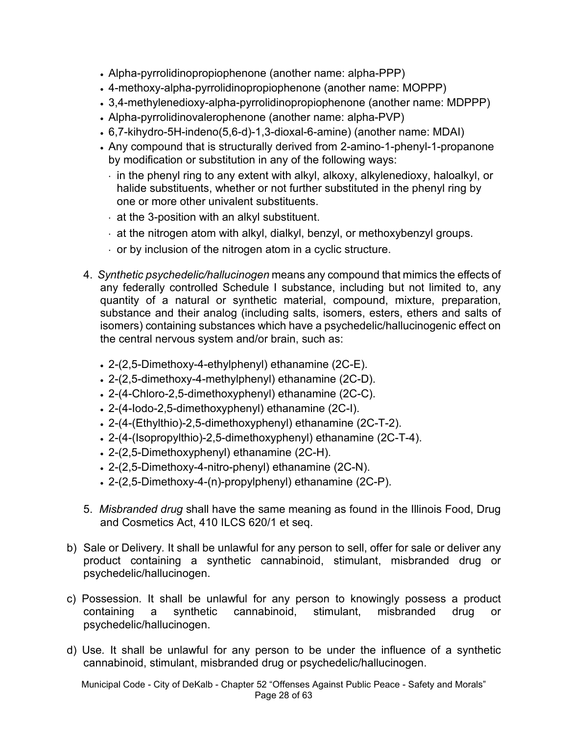- Alpha-pyrrolidinopropiophenone (another name: alpha-PPP)
- 4-methoxy-alpha-pyrrolidinopropiophenone (another name: MOPPP)
- 3,4-methylenedioxy-alpha-pyrrolidinopropiophenone (another name: MDPPP)
- Alpha-pyrrolidinovalerophenone (another name: alpha-PVP)
- 6,7-kihydro-5H-indeno(5,6-d)-1,3-dioxal-6-amine) (another name: MDAI)
- Any compound that is structurally derived from 2-amino-1-phenyl-1-propanone by modification or substitution in any of the following ways:
	- $\cdot$  in the phenyl ring to any extent with alkyl, alkoxy, alkylenedioxy, haloalkyl, or halide substituents, whether or not further substituted in the phenyl ring by one or more other univalent substituents.
	- $\cdot$  at the 3-position with an alkyl substituent.
	- at the nitrogen atom with alkyl, dialkyl, benzyl, or methoxybenzyl groups.
	- $\cdot$  or by inclusion of the nitrogen atom in a cyclic structure.
- 4. *Synthetic psychedelic/hallucinogen* means any compound that mimics the effects of any federally controlled Schedule I substance, including but not limited to, any quantity of a natural or synthetic material, compound, mixture, preparation, substance and their analog (including salts, isomers, esters, ethers and salts of isomers) containing substances which have a psychedelic/hallucinogenic effect on the central nervous system and/or brain, such as:
	- 2-(2,5-Dimethoxy-4-ethylphenyl) ethanamine (2C-E).
	- 2-(2,5-dimethoxy-4-methylphenyl) ethanamine (2C-D).
	- 2-(4-Chloro-2,5-dimethoxyphenyl) ethanamine (2C-C).
	- 2-(4-Iodo-2,5-dimethoxyphenyl) ethanamine (2C-I).
	- 2-(4-(Ethylthio)-2,5-dimethoxyphenyl) ethanamine (2C-T-2).
	- 2-(4-(Isopropylthio)-2,5-dimethoxyphenyl) ethanamine (2C-T-4).
	- 2-(2,5-Dimethoxyphenyl) ethanamine (2C-H).
	- 2-(2,5-Dimethoxy-4-nitro-phenyl) ethanamine (2C-N).
	- 2-(2,5-Dimethoxy-4-(n)-propylphenyl) ethanamine (2C-P).
- 5. *Misbranded drug* shall have the same meaning as found in the Illinois Food, Drug and Cosmetics Act, 410 ILCS 620/1 et seq.
- b) Sale or Delivery*.* It shall be unlawful for any person to sell, offer for sale or deliver any product containing a synthetic cannabinoid, stimulant, misbranded drug or psychedelic/hallucinogen.
- c) Possession*.* It shall be unlawful for any person to knowingly possess a product containing a synthetic cannabinoid, stimulant, misbranded drug or psychedelic/hallucinogen.
- d) Use*.* It shall be unlawful for any person to be under the influence of a synthetic cannabinoid, stimulant, misbranded drug or psychedelic/hallucinogen.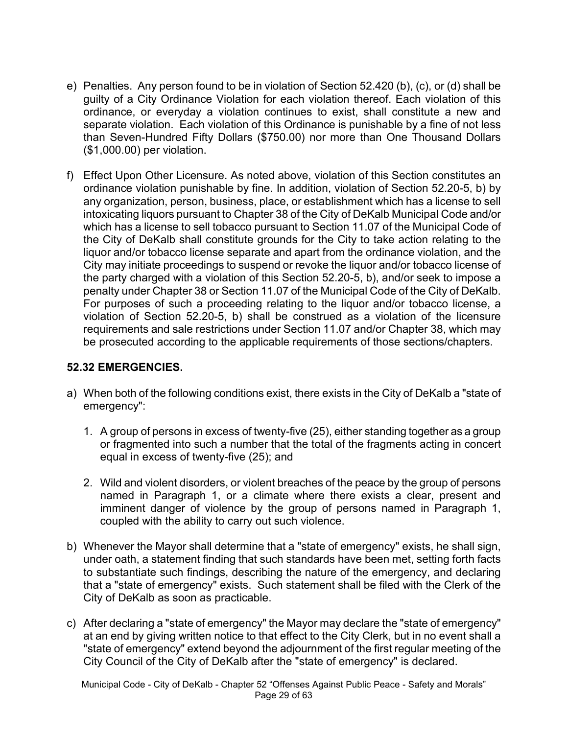- e) Penalties. Any person found to be in violation of Section 52.420 (b), (c), or (d) shall be guilty of a City Ordinance Violation for each violation thereof. Each violation of this ordinance, or everyday a violation continues to exist, shall constitute a new and separate violation. Each violation of this Ordinance is punishable by a fine of not less than Seven-Hundred Fifty Dollars (\$750.00) nor more than One Thousand Dollars (\$1,000.00) per violation.
- f) Effect Upon Other Licensure. As noted above, violation of this Section constitutes an ordinance violation punishable by fine. In addition, violation of Section 52.20-5, b) by any organization, person, business, place, or establishment which has a license to sell intoxicating liquors pursuant to Chapter 38 of the City of DeKalb Municipal Code and/or which has a license to sell tobacco pursuant to Section 11.07 of the Municipal Code of the City of DeKalb shall constitute grounds for the City to take action relating to the liquor and/or tobacco license separate and apart from the ordinance violation, and the City may initiate proceedings to suspend or revoke the liquor and/or tobacco license of the party charged with a violation of this Section 52.20-5, b), and/or seek to impose a penalty under Chapter 38 or Section 11.07 of the Municipal Code of the City of DeKalb. For purposes of such a proceeding relating to the liquor and/or tobacco license, a violation of Section 52.20-5, b) shall be construed as a violation of the licensure requirements and sale restrictions under Section 11.07 and/or Chapter 38, which may be prosecuted according to the applicable requirements of those sections/chapters.

### **52.32 EMERGENCIES.**

- a) When both of the following conditions exist, there exists in the City of DeKalb a "state of emergency":
	- 1. A group of persons in excess of twenty-five (25), either standing together as a group or fragmented into such a number that the total of the fragments acting in concert equal in excess of twenty-five (25); and
	- 2. Wild and violent disorders, or violent breaches of the peace by the group of persons named in Paragraph 1, or a climate where there exists a clear, present and imminent danger of violence by the group of persons named in Paragraph 1, coupled with the ability to carry out such violence.
- b) Whenever the Mayor shall determine that a "state of emergency" exists, he shall sign, under oath, a statement finding that such standards have been met, setting forth facts to substantiate such findings, describing the nature of the emergency, and declaring that a "state of emergency" exists. Such statement shall be filed with the Clerk of the City of DeKalb as soon as practicable.
- c) After declaring a "state of emergency" the Mayor may declare the "state of emergency" at an end by giving written notice to that effect to the City Clerk, but in no event shall a "state of emergency" extend beyond the adjournment of the first regular meeting of the City Council of the City of DeKalb after the "state of emergency" is declared.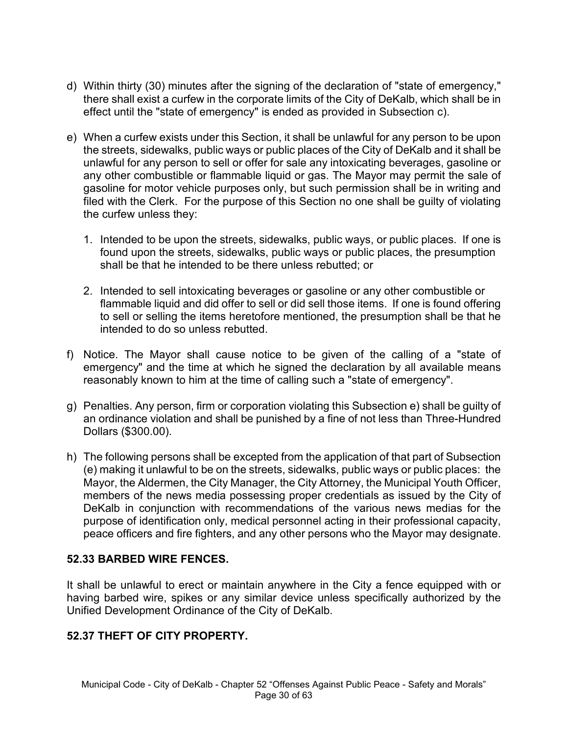- d) Within thirty (30) minutes after the signing of the declaration of "state of emergency," there shall exist a curfew in the corporate limits of the City of DeKalb, which shall be in effect until the "state of emergency" is ended as provided in Subsection c).
- e) When a curfew exists under this Section, it shall be unlawful for any person to be upon the streets, sidewalks, public ways or public places of the City of DeKalb and it shall be unlawful for any person to sell or offer for sale any intoxicating beverages, gasoline or any other combustible or flammable liquid or gas. The Mayor may permit the sale of gasoline for motor vehicle purposes only, but such permission shall be in writing and filed with the Clerk. For the purpose of this Section no one shall be guilty of violating the curfew unless they:
	- 1. Intended to be upon the streets, sidewalks, public ways, or public places. If one is found upon the streets, sidewalks, public ways or public places, the presumption shall be that he intended to be there unless rebutted; or
	- 2. Intended to sell intoxicating beverages or gasoline or any other combustible or flammable liquid and did offer to sell or did sell those items. If one is found offering to sell or selling the items heretofore mentioned, the presumption shall be that he intended to do so unless rebutted.
- f) Notice. The Mayor shall cause notice to be given of the calling of a "state of emergency" and the time at which he signed the declaration by all available means reasonably known to him at the time of calling such a "state of emergency".
- g) Penalties. Any person, firm or corporation violating this Subsection e) shall be guilty of an ordinance violation and shall be punished by a fine of not less than Three-Hundred Dollars (\$300.00).
- h) The following persons shall be excepted from the application of that part of Subsection (e) making it unlawful to be on the streets, sidewalks, public ways or public places: the Mayor, the Aldermen, the City Manager, the City Attorney, the Municipal Youth Officer, members of the news media possessing proper credentials as issued by the City of DeKalb in conjunction with recommendations of the various news medias for the purpose of identification only, medical personnel acting in their professional capacity, peace officers and fire fighters, and any other persons who the Mayor may designate.

### **52.33 BARBED WIRE FENCES.**

It shall be unlawful to erect or maintain anywhere in the City a fence equipped with or having barbed wire, spikes or any similar device unless specifically authorized by the Unified Development Ordinance of the City of DeKalb.

## **52.37 THEFT OF CITY PROPERTY.**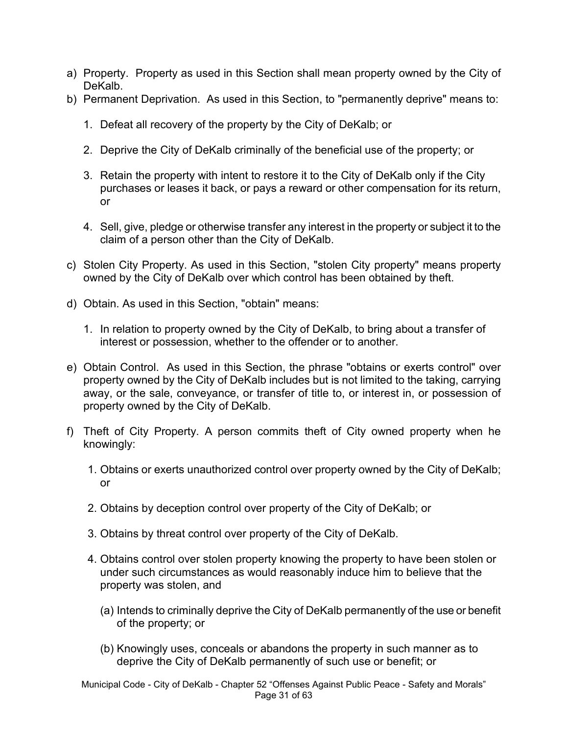- a) Property. Property as used in this Section shall mean property owned by the City of DeKalb.
- b) Permanent Deprivation. As used in this Section, to "permanently deprive" means to:
	- 1. Defeat all recovery of the property by the City of DeKalb; or
	- 2. Deprive the City of DeKalb criminally of the beneficial use of the property; or
	- 3. Retain the property with intent to restore it to the City of DeKalb only if the City purchases or leases it back, or pays a reward or other compensation for its return, or
	- 4. Sell, give, pledge or otherwise transfer any interest in the property or subject it to the claim of a person other than the City of DeKalb.
- c) Stolen City Property. As used in this Section, "stolen City property" means property owned by the City of DeKalb over which control has been obtained by theft.
- d) Obtain. As used in this Section, "obtain" means:
	- 1. In relation to property owned by the City of DeKalb, to bring about a transfer of interest or possession, whether to the offender or to another.
- e) Obtain Control. As used in this Section, the phrase "obtains or exerts control" over property owned by the City of DeKalb includes but is not limited to the taking, carrying away, or the sale, conveyance, or transfer of title to, or interest in, or possession of property owned by the City of DeKalb.
- f) Theft of City Property. A person commits theft of City owned property when he knowingly:
	- 1. Obtains or exerts unauthorized control over property owned by the City of DeKalb; or
	- 2. Obtains by deception control over property of the City of DeKalb; or
	- 3. Obtains by threat control over property of the City of DeKalb.
	- 4. Obtains control over stolen property knowing the property to have been stolen or under such circumstances as would reasonably induce him to believe that the property was stolen, and
		- (a) Intends to criminally deprive the City of DeKalb permanently of the use or benefit of the property; or
		- (b) Knowingly uses, conceals or abandons the property in such manner as to deprive the City of DeKalb permanently of such use or benefit; or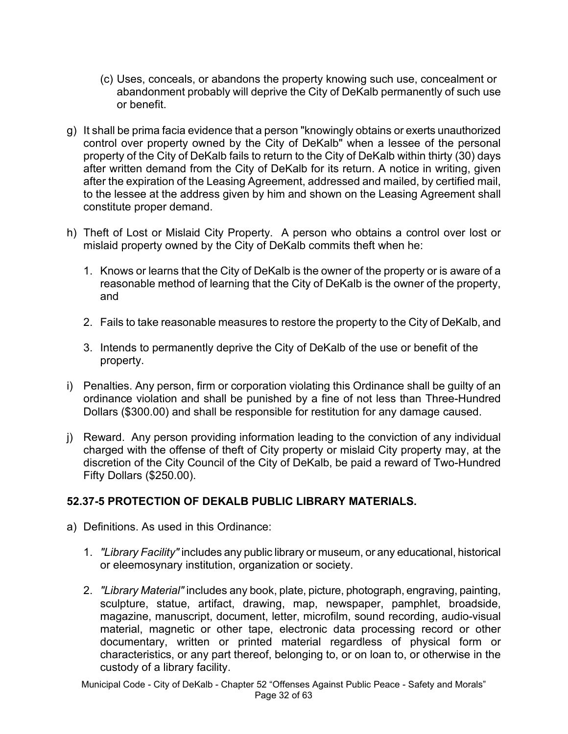- (c) Uses, conceals, or abandons the property knowing such use, concealment or abandonment probably will deprive the City of DeKalb permanently of such use or benefit.
- g) It shall be prima facia evidence that a person "knowingly obtains or exerts unauthorized control over property owned by the City of DeKalb" when a lessee of the personal property of the City of DeKalb fails to return to the City of DeKalb within thirty (30) days after written demand from the City of DeKalb for its return. A notice in writing, given after the expiration of the Leasing Agreement, addressed and mailed, by certified mail, to the lessee at the address given by him and shown on the Leasing Agreement shall constitute proper demand.
- h) Theft of Lost or Mislaid City Property. A person who obtains a control over lost or mislaid property owned by the City of DeKalb commits theft when he:
	- 1. Knows or learns that the City of DeKalb is the owner of the property or is aware of a reasonable method of learning that the City of DeKalb is the owner of the property, and
	- 2. Fails to take reasonable measures to restore the property to the City of DeKalb, and
	- 3. Intends to permanently deprive the City of DeKalb of the use or benefit of the property.
- i) Penalties. Any person, firm or corporation violating this Ordinance shall be guilty of an ordinance violation and shall be punished by a fine of not less than Three-Hundred Dollars (\$300.00) and shall be responsible for restitution for any damage caused.
- j) Reward. Any person providing information leading to the conviction of any individual charged with the offense of theft of City property or mislaid City property may, at the discretion of the City Council of the City of DeKalb, be paid a reward of Two-Hundred Fifty Dollars (\$250.00).

### **52.37-5 PROTECTION OF DEKALB PUBLIC LIBRARY MATERIALS.**

- a) Definitions. As used in this Ordinance:
	- 1. *"Library Facility"* includes any public library or museum, or any educational, historical or eleemosynary institution, organization or society.
	- 2. *"Library Material"* includes any book, plate, picture, photograph, engraving, painting, sculpture, statue, artifact, drawing, map, newspaper, pamphlet, broadside, magazine, manuscript, document, letter, microfilm, sound recording, audio-visual material, magnetic or other tape, electronic data processing record or other documentary, written or printed material regardless of physical form or characteristics, or any part thereof, belonging to, or on loan to, or otherwise in the custody of a library facility.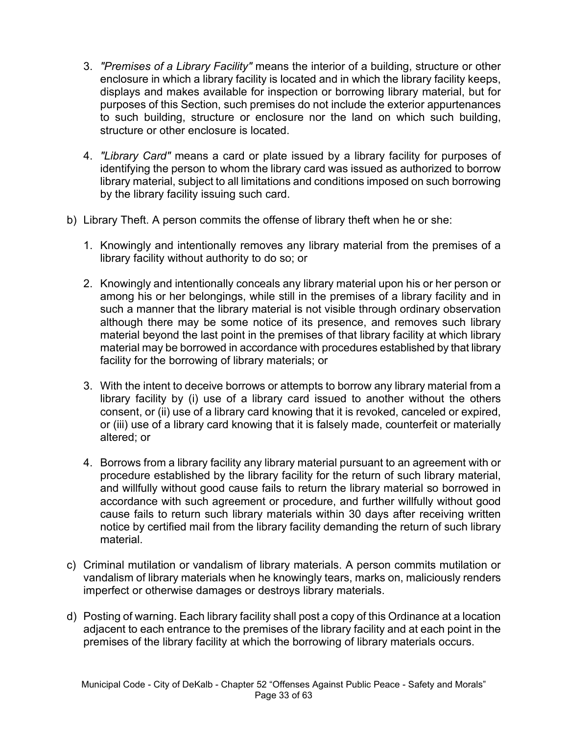- 3. *"Premises of a Library Facility"* means the interior of a building, structure or other enclosure in which a library facility is located and in which the library facility keeps, displays and makes available for inspection or borrowing library material, but for purposes of this Section, such premises do not include the exterior appurtenances to such building, structure or enclosure nor the land on which such building, structure or other enclosure is located.
- 4. *"Library Card"* means a card or plate issued by a library facility for purposes of identifying the person to whom the library card was issued as authorized to borrow library material, subject to all limitations and conditions imposed on such borrowing by the library facility issuing such card.
- b) Library Theft. A person commits the offense of library theft when he or she:
	- 1. Knowingly and intentionally removes any library material from the premises of a library facility without authority to do so; or
	- 2. Knowingly and intentionally conceals any library material upon his or her person or among his or her belongings, while still in the premises of a library facility and in such a manner that the library material is not visible through ordinary observation although there may be some notice of its presence, and removes such library material beyond the last point in the premises of that library facility at which library material may be borrowed in accordance with procedures established by that library facility for the borrowing of library materials; or
	- 3. With the intent to deceive borrows or attempts to borrow any library material from a library facility by (i) use of a library card issued to another without the others consent, or (ii) use of a library card knowing that it is revoked, canceled or expired, or (iii) use of a library card knowing that it is falsely made, counterfeit or materially altered; or
	- 4. Borrows from a library facility any library material pursuant to an agreement with or procedure established by the library facility for the return of such library material, and willfully without good cause fails to return the library material so borrowed in accordance with such agreement or procedure, and further willfully without good cause fails to return such library materials within 30 days after receiving written notice by certified mail from the library facility demanding the return of such library material.
- c) Criminal mutilation or vandalism of library materials. A person commits mutilation or vandalism of library materials when he knowingly tears, marks on, maliciously renders imperfect or otherwise damages or destroys library materials.
- d) Posting of warning. Each library facility shall post a copy of this Ordinance at a location adjacent to each entrance to the premises of the library facility and at each point in the premises of the library facility at which the borrowing of library materials occurs.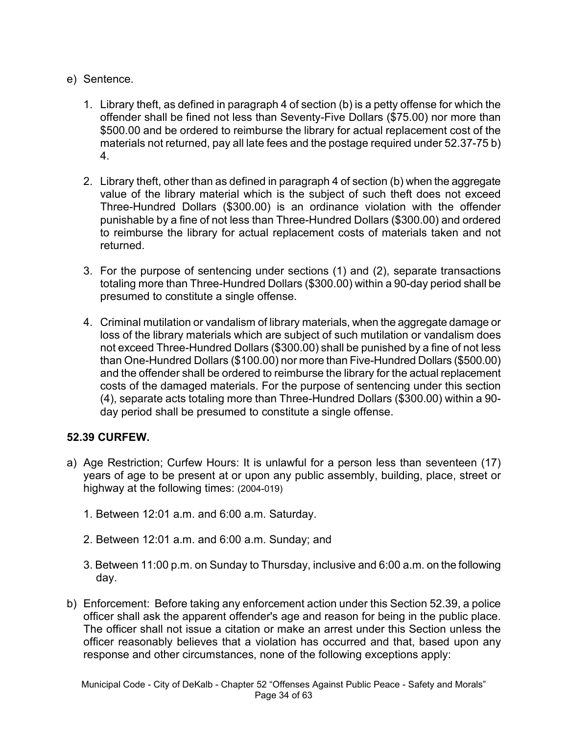- e) Sentence.
	- 1. Library theft, as defined in paragraph 4 of section (b) is a petty offense for which the offender shall be fined not less than Seventy-Five Dollars (\$75.00) nor more than \$500.00 and be ordered to reimburse the library for actual replacement cost of the materials not returned, pay all late fees and the postage required under 52.37-75 b) 4.
	- 2. Library theft, other than as defined in paragraph 4 of section (b) when the aggregate value of the library material which is the subject of such theft does not exceed Three-Hundred Dollars (\$300.00) is an ordinance violation with the offender punishable by a fine of not less than Three-Hundred Dollars (\$300.00) and ordered to reimburse the library for actual replacement costs of materials taken and not returned.
	- 3. For the purpose of sentencing under sections (1) and (2), separate transactions totaling more than Three-Hundred Dollars (\$300.00) within a 90-day period shall be presumed to constitute a single offense.
	- 4. Criminal mutilation or vandalism of library materials, when the aggregate damage or loss of the library materials which are subject of such mutilation or vandalism does not exceed Three-Hundred Dollars (\$300.00) shall be punished by a fine of not less than One-Hundred Dollars (\$100.00) nor more than Five-Hundred Dollars (\$500.00) and the offender shall be ordered to reimburse the library for the actual replacement costs of the damaged materials. For the purpose of sentencing under this section (4), separate acts totaling more than Three-Hundred Dollars (\$300.00) within a 90 day period shall be presumed to constitute a single offense.

### **52.39 CURFEW.**

- a) Age Restriction; Curfew Hours: It is unlawful for a person less than seventeen (17) years of age to be present at or upon any public assembly, building, place, street or highway at the following times: (2004-019)
	- 1. Between 12:01 a.m. and 6:00 a.m. Saturday.
	- 2. Between 12:01 a.m. and 6:00 a.m. Sunday; and
	- 3. Between 11:00 p.m. on Sunday to Thursday, inclusive and 6:00 a.m. on the following day.
- b) Enforcement: Before taking any enforcement action under this Section 52.39, a police officer shall ask the apparent offender's age and reason for being in the public place. The officer shall not issue a citation or make an arrest under this Section unless the officer reasonably believes that a violation has occurred and that, based upon any response and other circumstances, none of the following exceptions apply: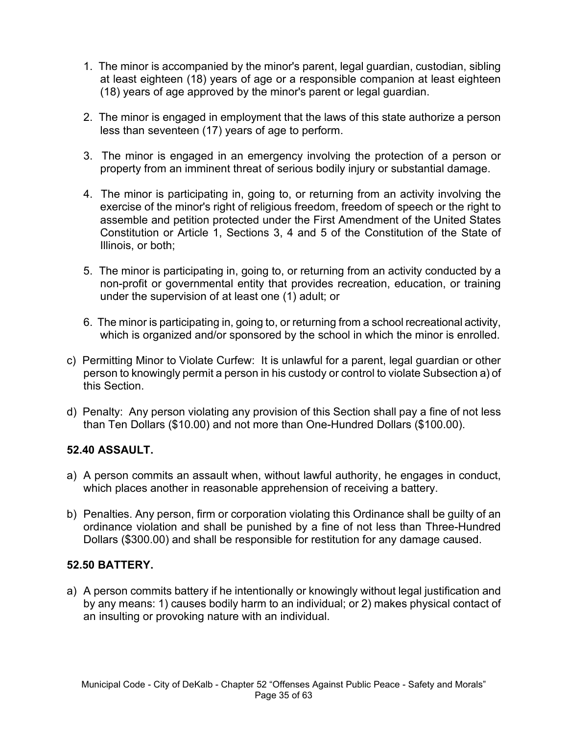- 1. The minor is accompanied by the minor's parent, legal guardian, custodian, sibling at least eighteen (18) years of age or a responsible companion at least eighteen (18) years of age approved by the minor's parent or legal guardian.
- 2. The minor is engaged in employment that the laws of this state authorize a person less than seventeen (17) years of age to perform.
- 3. The minor is engaged in an emergency involving the protection of a person or property from an imminent threat of serious bodily injury or substantial damage.
- 4. The minor is participating in, going to, or returning from an activity involving the exercise of the minor's right of religious freedom, freedom of speech or the right to assemble and petition protected under the First Amendment of the United States Constitution or Article 1, Sections 3, 4 and 5 of the Constitution of the State of Illinois, or both;
- 5. The minor is participating in, going to, or returning from an activity conducted by a non-profit or governmental entity that provides recreation, education, or training under the supervision of at least one (1) adult; or
- 6. The minor is participating in, going to, or returning from a school recreational activity, which is organized and/or sponsored by the school in which the minor is enrolled.
- c) Permitting Minor to Violate Curfew:It is unlawful for a parent, legal guardian or other person to knowingly permit a person in his custody or control to violate Subsection a) of this Section.
- d) Penalty:Any person violating any provision of this Section shall pay a fine of not less than Ten Dollars (\$10.00) and not more than One-Hundred Dollars (\$100.00).

### **52.40 ASSAULT.**

- a) A person commits an assault when, without lawful authority, he engages in conduct, which places another in reasonable apprehension of receiving a battery.
- b) Penalties. Any person, firm or corporation violating this Ordinance shall be guilty of an ordinance violation and shall be punished by a fine of not less than Three-Hundred Dollars (\$300.00) and shall be responsible for restitution for any damage caused.

### **52.50 BATTERY.**

a) A person commits battery if he intentionally or knowingly without legal justification and by any means: 1) causes bodily harm to an individual; or 2) makes physical contact of an insulting or provoking nature with an individual.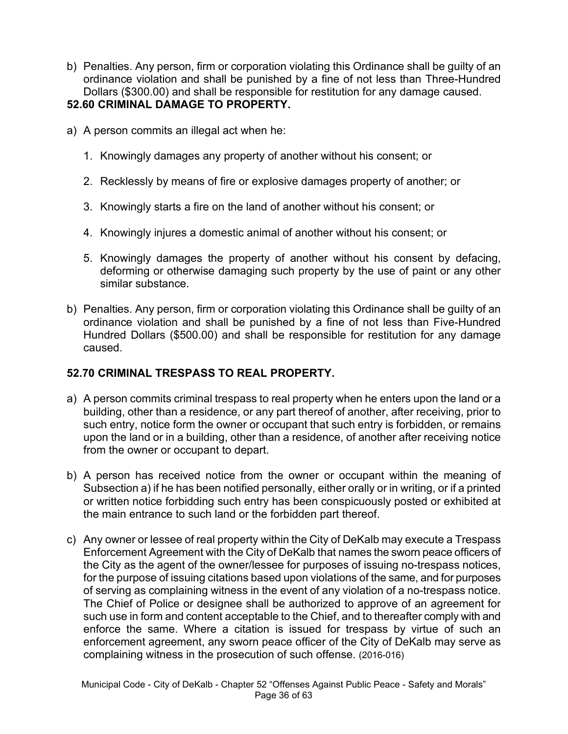b) Penalties. Any person, firm or corporation violating this Ordinance shall be guilty of an ordinance violation and shall be punished by a fine of not less than Three-Hundred Dollars (\$300.00) and shall be responsible for restitution for any damage caused.

### **52.60 CRIMINAL DAMAGE TO PROPERTY.**

- a) A person commits an illegal act when he:
	- 1. Knowingly damages any property of another without his consent; or
	- 2. Recklessly by means of fire or explosive damages property of another; or
	- 3. Knowingly starts a fire on the land of another without his consent; or
	- 4. Knowingly injures a domestic animal of another without his consent; or
	- 5. Knowingly damages the property of another without his consent by defacing, deforming or otherwise damaging such property by the use of paint or any other similar substance.
- b) Penalties. Any person, firm or corporation violating this Ordinance shall be guilty of an ordinance violation and shall be punished by a fine of not less than Five-Hundred Hundred Dollars (\$500.00) and shall be responsible for restitution for any damage caused.

### **52.70 CRIMINAL TRESPASS TO REAL PROPERTY.**

- a) A person commits criminal trespass to real property when he enters upon the land or a building, other than a residence, or any part thereof of another, after receiving, prior to such entry, notice form the owner or occupant that such entry is forbidden, or remains upon the land or in a building, other than a residence, of another after receiving notice from the owner or occupant to depart.
- b) A person has received notice from the owner or occupant within the meaning of Subsection a) if he has been notified personally, either orally or in writing, or if a printed or written notice forbidding such entry has been conspicuously posted or exhibited at the main entrance to such land or the forbidden part thereof.
- c) Any owner or lessee of real property within the City of DeKalb may execute a Trespass Enforcement Agreement with the City of DeKalb that names the sworn peace officers of the City as the agent of the owner/lessee for purposes of issuing no-trespass notices, for the purpose of issuing citations based upon violations of the same, and for purposes of serving as complaining witness in the event of any violation of a no-trespass notice. The Chief of Police or designee shall be authorized to approve of an agreement for such use in form and content acceptable to the Chief, and to thereafter comply with and enforce the same. Where a citation is issued for trespass by virtue of such an enforcement agreement, any sworn peace officer of the City of DeKalb may serve as complaining witness in the prosecution of such offense. (2016-016)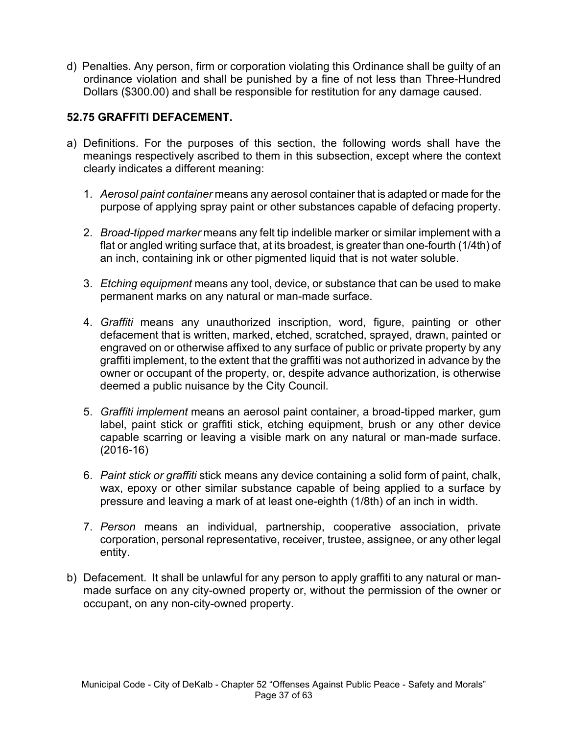d) Penalties. Any person, firm or corporation violating this Ordinance shall be guilty of an ordinance violation and shall be punished by a fine of not less than Three-Hundred Dollars (\$300.00) and shall be responsible for restitution for any damage caused.

## **52.75 GRAFFITI DEFACEMENT.**

- a) Definitions. For the purposes of this section, the following words shall have the meanings respectively ascribed to them in this subsection, except where the context clearly indicates a different meaning:
	- 1. *Aerosol paint container* means any aerosol container that is adapted or made for the purpose of applying spray paint or other substances capable of defacing property.
	- 2. *Broad-tipped marker* means any felt tip indelible marker or similar implement with a flat or angled writing surface that, at its broadest, is greater than one-fourth (1/4th) of an inch, containing ink or other pigmented liquid that is not water soluble.
	- 3. *Etching equipment* means any tool, device, or substance that can be used to make permanent marks on any natural or man-made surface.
	- 4. *Graffiti* means any unauthorized inscription, word, figure, painting or other defacement that is written, marked, etched, scratched, sprayed, drawn, painted or engraved on or otherwise affixed to any surface of public or private property by any graffiti implement, to the extent that the graffiti was not authorized in advance by the owner or occupant of the property, or, despite advance authorization, is otherwise deemed a public nuisance by the City Council.
	- 5. *Graffiti implement* means an aerosol paint container, a broad-tipped marker, gum label, paint stick or graffiti stick, etching equipment, brush or any other device capable scarring or leaving a visible mark on any natural or man-made surface. (2016-16)
	- 6. *Paint stick or graffiti* stick means any device containing a solid form of paint, chalk, wax, epoxy or other similar substance capable of being applied to a surface by pressure and leaving a mark of at least one-eighth (1/8th) of an inch in width.
	- 7. *Person* means an individual, partnership, cooperative association, private corporation, personal representative, receiver, trustee, assignee, or any other legal entity.
- b) Defacement. It shall be unlawful for any person to apply graffiti to any natural or manmade surface on any city-owned property or, without the permission of the owner or occupant, on any non-city-owned property.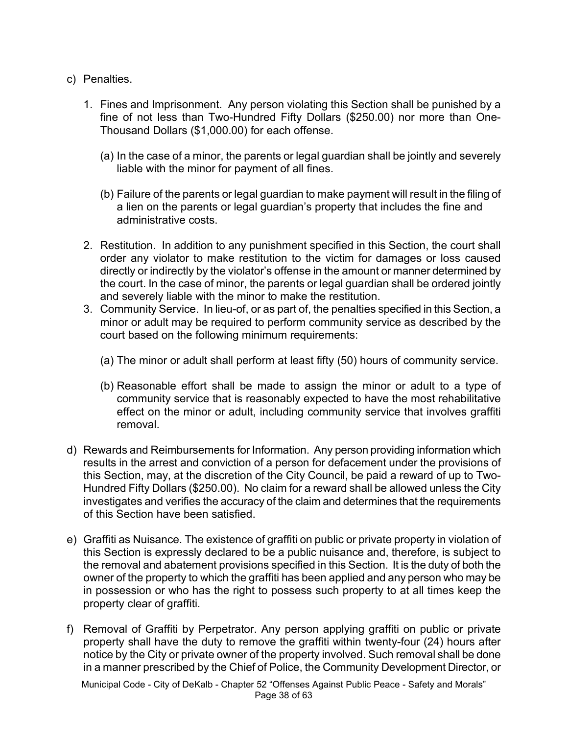- c) Penalties.
	- 1. Fines and Imprisonment. Any person violating this Section shall be punished by a fine of not less than Two-Hundred Fifty Dollars (\$250.00) nor more than One-Thousand Dollars (\$1,000.00) for each offense.
		- (a) In the case of a minor, the parents or legal guardian shall be jointly and severely liable with the minor for payment of all fines.
		- (b) Failure of the parents or legal guardian to make payment will result in the filing of a lien on the parents or legal guardian's property that includes the fine and administrative costs.
	- 2. Restitution. In addition to any punishment specified in this Section, the court shall order any violator to make restitution to the victim for damages or loss caused directly or indirectly by the violator's offense in the amount or manner determined by the court. In the case of minor, the parents or legal guardian shall be ordered jointly and severely liable with the minor to make the restitution.
	- 3. Community Service. In lieu-of, or as part of, the penalties specified in this Section, a minor or adult may be required to perform community service as described by the court based on the following minimum requirements:
		- (a) The minor or adult shall perform at least fifty (50) hours of community service.
		- (b) Reasonable effort shall be made to assign the minor or adult to a type of community service that is reasonably expected to have the most rehabilitative effect on the minor or adult, including community service that involves graffiti removal.
- d) Rewards and Reimbursements for Information. Any person providing information which results in the arrest and conviction of a person for defacement under the provisions of this Section, may, at the discretion of the City Council, be paid a reward of up to Two-Hundred Fifty Dollars (\$250.00). No claim for a reward shall be allowed unless the City investigates and verifies the accuracy of the claim and determines that the requirements of this Section have been satisfied.
- e) Graffiti as Nuisance. The existence of graffiti on public or private property in violation of this Section is expressly declared to be a public nuisance and, therefore, is subject to the removal and abatement provisions specified in this Section. It is the duty of both the owner of the property to which the graffiti has been applied and any person who may be in possession or who has the right to possess such property to at all times keep the property clear of graffiti.
- f) Removal of Graffiti by Perpetrator. Any person applying graffiti on public or private property shall have the duty to remove the graffiti within twenty-four (24) hours after notice by the City or private owner of the property involved. Such removal shall be done in a manner prescribed by the Chief of Police, the Community Development Director, or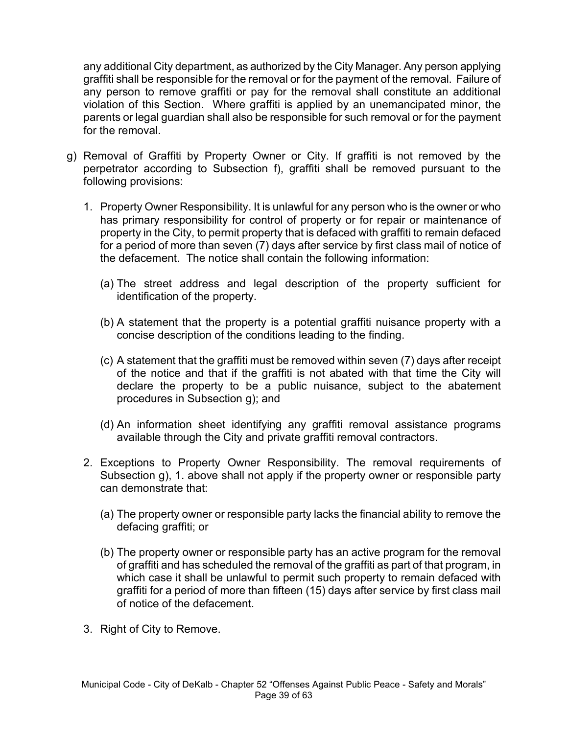any additional City department, as authorized by the City Manager. Any person applying graffiti shall be responsible for the removal or for the payment of the removal. Failure of any person to remove graffiti or pay for the removal shall constitute an additional violation of this Section. Where graffiti is applied by an unemancipated minor, the parents or legal guardian shall also be responsible for such removal or for the payment for the removal.

- g) Removal of Graffiti by Property Owner or City. If graffiti is not removed by the perpetrator according to Subsection f), graffiti shall be removed pursuant to the following provisions:
	- 1. Property Owner Responsibility. It is unlawful for any person who is the owner or who has primary responsibility for control of property or for repair or maintenance of property in the City, to permit property that is defaced with graffiti to remain defaced for a period of more than seven (7) days after service by first class mail of notice of the defacement. The notice shall contain the following information:
		- (a) The street address and legal description of the property sufficient for identification of the property.
		- (b) A statement that the property is a potential graffiti nuisance property with a concise description of the conditions leading to the finding.
		- (c) A statement that the graffiti must be removed within seven (7) days after receipt of the notice and that if the graffiti is not abated with that time the City will declare the property to be a public nuisance, subject to the abatement procedures in Subsection g); and
		- (d) An information sheet identifying any graffiti removal assistance programs available through the City and private graffiti removal contractors.
	- 2. Exceptions to Property Owner Responsibility. The removal requirements of Subsection g), 1. above shall not apply if the property owner or responsible party can demonstrate that:
		- (a) The property owner or responsible party lacks the financial ability to remove the defacing graffiti; or
		- (b) The property owner or responsible party has an active program for the removal of graffiti and has scheduled the removal of the graffiti as part of that program, in which case it shall be unlawful to permit such property to remain defaced with graffiti for a period of more than fifteen (15) days after service by first class mail of notice of the defacement.
	- 3. Right of City to Remove.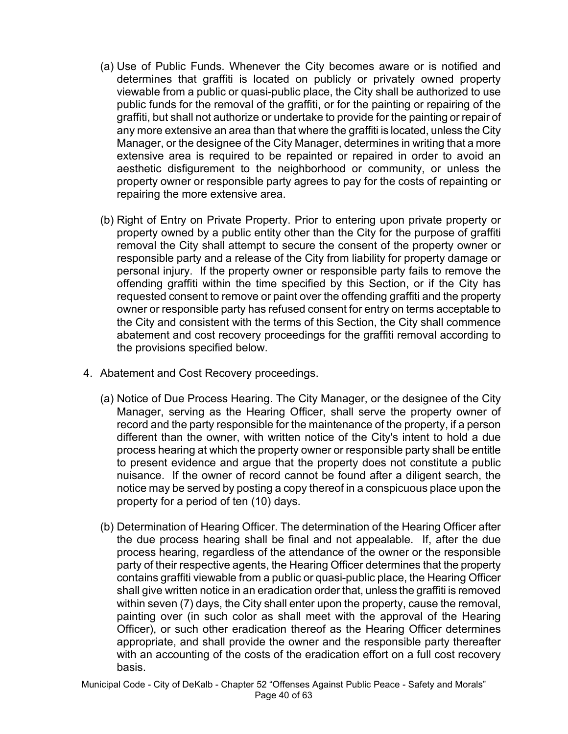- (a) Use of Public Funds. Whenever the City becomes aware or is notified and determines that graffiti is located on publicly or privately owned property viewable from a public or quasi-public place, the City shall be authorized to use public funds for the removal of the graffiti, or for the painting or repairing of the graffiti, but shall not authorize or undertake to provide for the painting or repair of any more extensive an area than that where the graffiti is located, unless the City Manager, or the designee of the City Manager, determines in writing that a more extensive area is required to be repainted or repaired in order to avoid an aesthetic disfigurement to the neighborhood or community, or unless the property owner or responsible party agrees to pay for the costs of repainting or repairing the more extensive area.
- (b) Right of Entry on Private Property. Prior to entering upon private property or property owned by a public entity other than the City for the purpose of graffiti removal the City shall attempt to secure the consent of the property owner or responsible party and a release of the City from liability for property damage or personal injury. If the property owner or responsible party fails to remove the offending graffiti within the time specified by this Section, or if the City has requested consent to remove or paint over the offending graffiti and the property owner or responsible party has refused consent for entry on terms acceptable to the City and consistent with the terms of this Section, the City shall commence abatement and cost recovery proceedings for the graffiti removal according to the provisions specified below.
- 4. Abatement and Cost Recovery proceedings.
	- (a) Notice of Due Process Hearing. The City Manager, or the designee of the City Manager, serving as the Hearing Officer, shall serve the property owner of record and the party responsible for the maintenance of the property, if a person different than the owner, with written notice of the City's intent to hold a due process hearing at which the property owner or responsible party shall be entitle to present evidence and argue that the property does not constitute a public nuisance. If the owner of record cannot be found after a diligent search, the notice may be served by posting a copy thereof in a conspicuous place upon the property for a period of ten (10) days.
	- (b) Determination of Hearing Officer. The determination of the Hearing Officer after the due process hearing shall be final and not appealable. If, after the due process hearing, regardless of the attendance of the owner or the responsible party of their respective agents, the Hearing Officer determines that the property contains graffiti viewable from a public or quasi-public place, the Hearing Officer shall give written notice in an eradication order that, unless the graffiti is removed within seven (7) days, the City shall enter upon the property, cause the removal, painting over (in such color as shall meet with the approval of the Hearing Officer), or such other eradication thereof as the Hearing Officer determines appropriate, and shall provide the owner and the responsible party thereafter with an accounting of the costs of the eradication effort on a full cost recovery basis.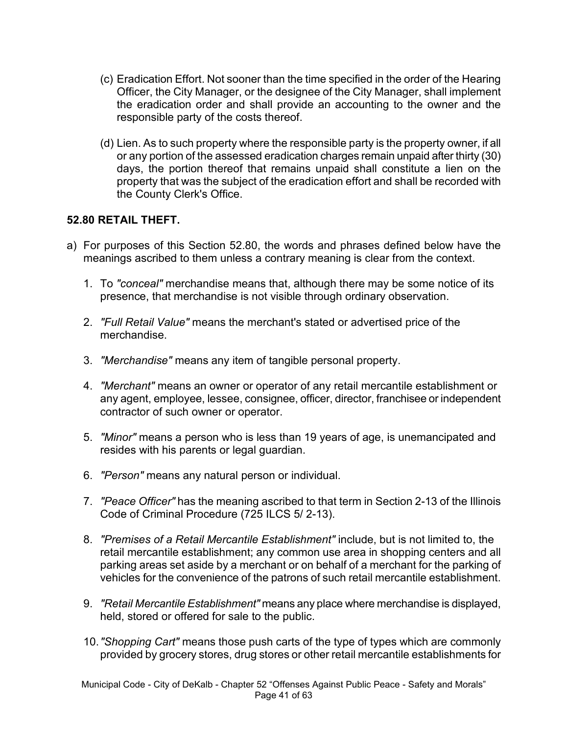- (c) Eradication Effort. Not sooner than the time specified in the order of the Hearing Officer, the City Manager, or the designee of the City Manager, shall implement the eradication order and shall provide an accounting to the owner and the responsible party of the costs thereof.
- (d) Lien. As to such property where the responsible party is the property owner, if all or any portion of the assessed eradication charges remain unpaid after thirty (30) days, the portion thereof that remains unpaid shall constitute a lien on the property that was the subject of the eradication effort and shall be recorded with the County Clerk's Office.

#### **52.80 RETAIL THEFT.**

- a) For purposes of this Section 52.80, the words and phrases defined below have the meanings ascribed to them unless a contrary meaning is clear from the context.
	- 1. To *"conceal"* merchandise means that, although there may be some notice of its presence, that merchandise is not visible through ordinary observation.
	- 2. *"Full Retail Value"* means the merchant's stated or advertised price of the merchandise.
	- 3. *"Merchandise"* means any item of tangible personal property.
	- 4. *"Merchant"* means an owner or operator of any retail mercantile establishment or any agent, employee, lessee, consignee, officer, director, franchisee or independent contractor of such owner or operator.
	- 5. *"Minor"* means a person who is less than 19 years of age, is unemancipated and resides with his parents or legal guardian.
	- 6. *"Person"* means any natural person or individual.
	- 7. *"Peace Officer"* has the meaning ascribed to that term in Section 2-13 of the Illinois Code of Criminal Procedure (725 ILCS 5/ 2-13).
	- 8. *"Premises of a Retail Mercantile Establishment"* include, but is not limited to, the retail mercantile establishment; any common use area in shopping centers and all parking areas set aside by a merchant or on behalf of a merchant for the parking of vehicles for the convenience of the patrons of such retail mercantile establishment.
	- 9. *"Retail Mercantile Establishment"* means any place where merchandise is displayed, held, stored or offered for sale to the public.
	- 10.*"Shopping Cart"* means those push carts of the type of types which are commonly provided by grocery stores, drug stores or other retail mercantile establishments for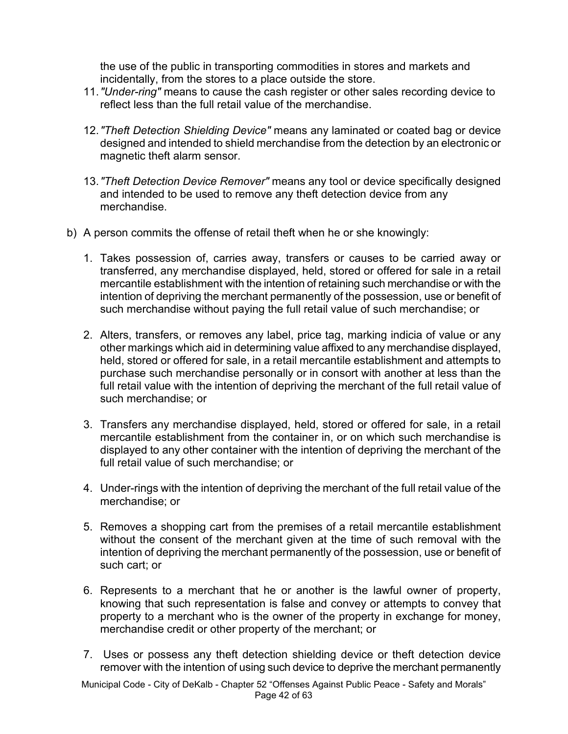the use of the public in transporting commodities in stores and markets and incidentally, from the stores to a place outside the store.

- 11.*"Under-ring"* means to cause the cash register or other sales recording device to reflect less than the full retail value of the merchandise.
- 12.*"Theft Detection Shielding Device"* means any laminated or coated bag or device designed and intended to shield merchandise from the detection by an electronic or magnetic theft alarm sensor.
- 13.*"Theft Detection Device Remover"* means any tool or device specifically designed and intended to be used to remove any theft detection device from any merchandise.
- b) A person commits the offense of retail theft when he or she knowingly:
	- 1. Takes possession of, carries away, transfers or causes to be carried away or transferred, any merchandise displayed, held, stored or offered for sale in a retail mercantile establishment with the intention of retaining such merchandise or with the intention of depriving the merchant permanently of the possession, use or benefit of such merchandise without paying the full retail value of such merchandise; or
	- 2. Alters, transfers, or removes any label, price tag, marking indicia of value or any other markings which aid in determining value affixed to any merchandise displayed, held, stored or offered for sale, in a retail mercantile establishment and attempts to purchase such merchandise personally or in consort with another at less than the full retail value with the intention of depriving the merchant of the full retail value of such merchandise; or
	- 3. Transfers any merchandise displayed, held, stored or offered for sale, in a retail mercantile establishment from the container in, or on which such merchandise is displayed to any other container with the intention of depriving the merchant of the full retail value of such merchandise; or
	- 4. Under-rings with the intention of depriving the merchant of the full retail value of the merchandise; or
	- 5. Removes a shopping cart from the premises of a retail mercantile establishment without the consent of the merchant given at the time of such removal with the intention of depriving the merchant permanently of the possession, use or benefit of such cart; or
	- 6. Represents to a merchant that he or another is the lawful owner of property, knowing that such representation is false and convey or attempts to convey that property to a merchant who is the owner of the property in exchange for money, merchandise credit or other property of the merchant; or
	- 7. Uses or possess any theft detection shielding device or theft detection device remover with the intention of using such device to deprive the merchant permanently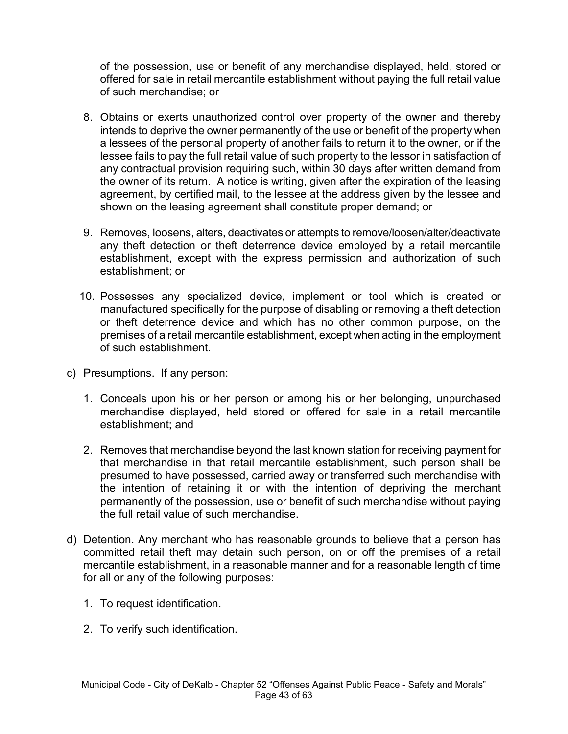of the possession, use or benefit of any merchandise displayed, held, stored or offered for sale in retail mercantile establishment without paying the full retail value of such merchandise; or

- 8. Obtains or exerts unauthorized control over property of the owner and thereby intends to deprive the owner permanently of the use or benefit of the property when a lessees of the personal property of another fails to return it to the owner, or if the lessee fails to pay the full retail value of such property to the lessor in satisfaction of any contractual provision requiring such, within 30 days after written demand from the owner of its return. A notice is writing, given after the expiration of the leasing agreement, by certified mail, to the lessee at the address given by the lessee and shown on the leasing agreement shall constitute proper demand; or
- 9. Removes, loosens, alters, deactivates or attempts to remove/loosen/alter/deactivate any theft detection or theft deterrence device employed by a retail mercantile establishment, except with the express permission and authorization of such establishment; or
- 10. Possesses any specialized device, implement or tool which is created or manufactured specifically for the purpose of disabling or removing a theft detection or theft deterrence device and which has no other common purpose, on the premises of a retail mercantile establishment, except when acting in the employment of such establishment.
- c) Presumptions. If any person:
	- 1. Conceals upon his or her person or among his or her belonging, unpurchased merchandise displayed, held stored or offered for sale in a retail mercantile establishment; and
	- 2. Removes that merchandise beyond the last known station for receiving payment for that merchandise in that retail mercantile establishment, such person shall be presumed to have possessed, carried away or transferred such merchandise with the intention of retaining it or with the intention of depriving the merchant permanently of the possession, use or benefit of such merchandise without paying the full retail value of such merchandise.
- d) Detention. Any merchant who has reasonable grounds to believe that a person has committed retail theft may detain such person, on or off the premises of a retail mercantile establishment, in a reasonable manner and for a reasonable length of time for all or any of the following purposes:
	- 1. To request identification.
	- 2. To verify such identification.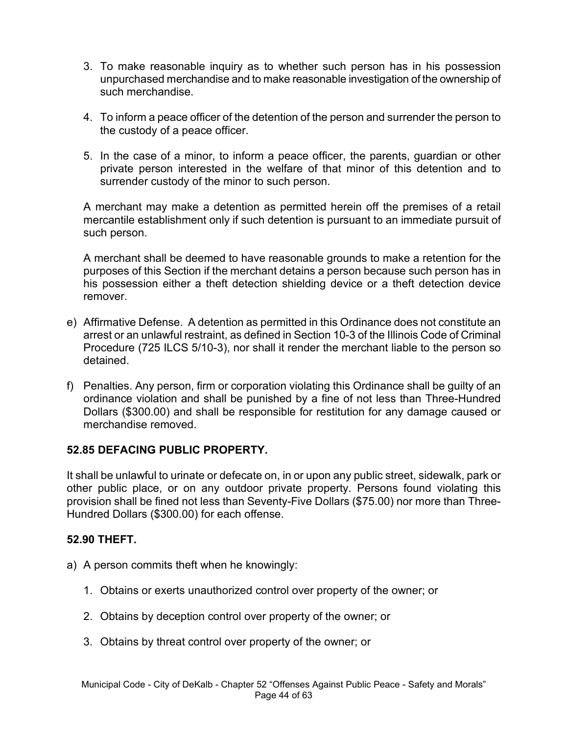- 3. To make reasonable inquiry as to whether such person has in his possession unpurchased merchandise and to make reasonable investigation of the ownership of such merchandise.
- 4. To inform a peace officer of the detention of the person and surrender the person to the custody of a peace officer.
- 5. In the case of a minor, to inform a peace officer, the parents, guardian or other private person interested in the welfare of that minor of this detention and to surrender custody of the minor to such person.

A merchant may make a detention as permitted herein off the premises of a retail mercantile establishment only if such detention is pursuant to an immediate pursuit of such person.

A merchant shall be deemed to have reasonable grounds to make a retention for the purposes of this Section if the merchant detains a person because such person has in his possession either a theft detection shielding device or a theft detection device remover.

- e) Affirmative Defense. A detention as permitted in this Ordinance does not constitute an arrest or an unlawful restraint, as defined in Section 10-3 of the Illinois Code of Criminal Procedure (725 ILCS 5/10-3), nor shall it render the merchant liable to the person so detained.
- f) Penalties. Any person, firm or corporation violating this Ordinance shall be guilty of an ordinance violation and shall be punished by a fine of not less than Three-Hundred Dollars (\$300.00) and shall be responsible for restitution for any damage caused or merchandise removed.

### **52.85 DEFACING PUBLIC PROPERTY.**

It shall be unlawful to urinate or defecate on, in or upon any public street, sidewalk, park or other public place, or on any outdoor private property. Persons found violating this provision shall be fined not less than Seventy-Five Dollars (\$75.00) nor more than Three-Hundred Dollars (\$300.00) for each offense.

### **52.90 THEFT.**

- a) A person commits theft when he knowingly:
	- 1. Obtains or exerts unauthorized control over property of the owner; or
	- 2. Obtains by deception control over property of the owner; or
	- 3. Obtains by threat control over property of the owner; or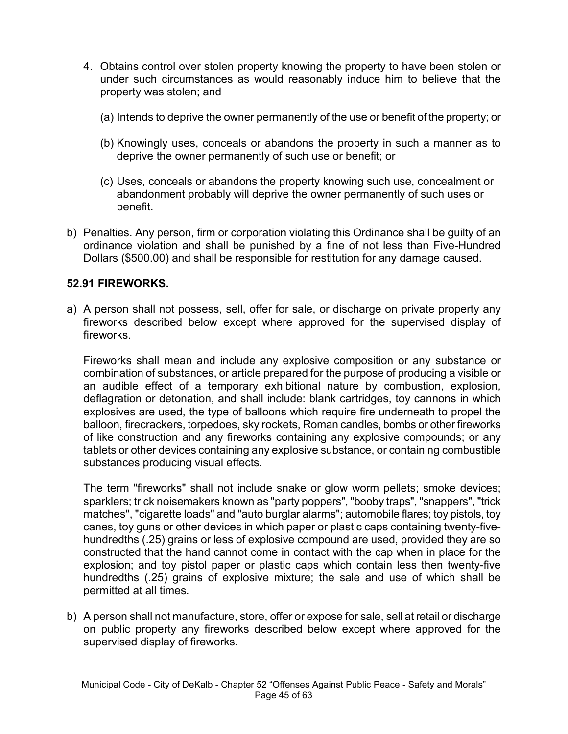- 4. Obtains control over stolen property knowing the property to have been stolen or under such circumstances as would reasonably induce him to believe that the property was stolen; and
	- (a) Intends to deprive the owner permanently of the use or benefit of the property; or
	- (b) Knowingly uses, conceals or abandons the property in such a manner as to deprive the owner permanently of such use or benefit; or
	- (c) Uses, conceals or abandons the property knowing such use, concealment or abandonment probably will deprive the owner permanently of such uses or benefit.
- b) Penalties. Any person, firm or corporation violating this Ordinance shall be guilty of an ordinance violation and shall be punished by a fine of not less than Five-Hundred Dollars (\$500.00) and shall be responsible for restitution for any damage caused.

#### **52.91 FIREWORKS.**

a) A person shall not possess, sell, offer for sale, or discharge on private property any fireworks described below except where approved for the supervised display of fireworks.

Fireworks shall mean and include any explosive composition or any substance or combination of substances, or article prepared for the purpose of producing a visible or an audible effect of a temporary exhibitional nature by combustion, explosion, deflagration or detonation, and shall include: blank cartridges, toy cannons in which explosives are used, the type of balloons which require fire underneath to propel the balloon, firecrackers, torpedoes, sky rockets, Roman candles, bombs or other fireworks of like construction and any fireworks containing any explosive compounds; or any tablets or other devices containing any explosive substance, or containing combustible substances producing visual effects.

The term "fireworks" shall not include snake or glow worm pellets; smoke devices; sparklers; trick noisemakers known as "party poppers", "booby traps", "snappers", "trick matches", "cigarette loads" and "auto burglar alarms"; automobile flares; toy pistols, toy canes, toy guns or other devices in which paper or plastic caps containing twenty-fivehundredths (.25) grains or less of explosive compound are used, provided they are so constructed that the hand cannot come in contact with the cap when in place for the explosion; and toy pistol paper or plastic caps which contain less then twenty-five hundredths (.25) grains of explosive mixture; the sale and use of which shall be permitted at all times.

b) A person shall not manufacture, store, offer or expose for sale, sell at retail or discharge on public property any fireworks described below except where approved for the supervised display of fireworks.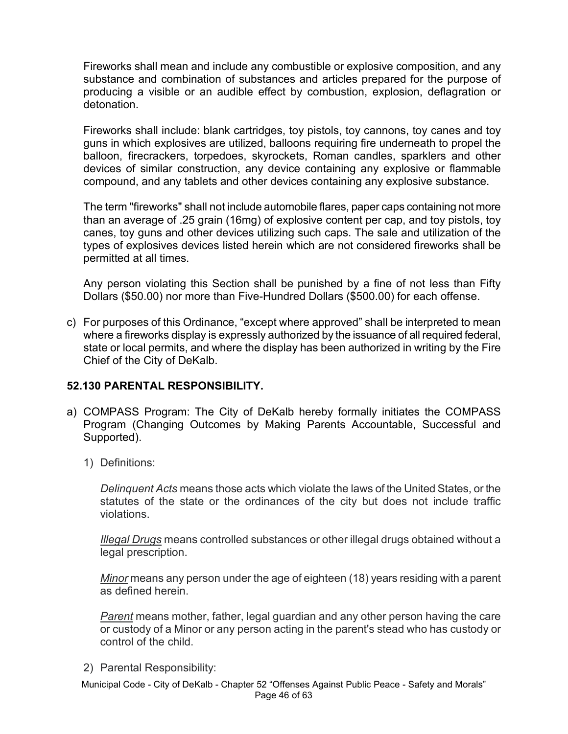Fireworks shall mean and include any combustible or explosive composition, and any substance and combination of substances and articles prepared for the purpose of producing a visible or an audible effect by combustion, explosion, deflagration or detonation.

Fireworks shall include: blank cartridges, toy pistols, toy cannons, toy canes and toy guns in which explosives are utilized, balloons requiring fire underneath to propel the balloon, firecrackers, torpedoes, skyrockets, Roman candles, sparklers and other devices of similar construction, any device containing any explosive or flammable compound, and any tablets and other devices containing any explosive substance.

The term "fireworks" shall not include automobile flares, paper caps containing not more than an average of .25 grain (16mg) of explosive content per cap, and toy pistols, toy canes, toy guns and other devices utilizing such caps. The sale and utilization of the types of explosives devices listed herein which are not considered fireworks shall be permitted at all times.

Any person violating this Section shall be punished by a fine of not less than Fifty Dollars (\$50.00) nor more than Five-Hundred Dollars (\$500.00) for each offense.

c) For purposes of this Ordinance, "except where approved" shall be interpreted to mean where a fireworks display is expressly authorized by the issuance of all required federal, state or local permits, and where the display has been authorized in writing by the Fire Chief of the City of DeKalb.

### **52.130 PARENTAL RESPONSIBILITY.**

- a) COMPASS Program: The City of DeKalb hereby formally initiates the COMPASS Program (Changing Outcomes by Making Parents Accountable, Successful and Supported).
	- 1) Definitions:

*Delinquent Acts* means those acts which violate the laws of the United States, or the statutes of the state or the ordinances of the city but does not include traffic violations.

*Illegal Drugs* means controlled substances or other illegal drugs obtained without a legal prescription.

*Minor* means any person under the age of eighteen (18) years residing with a parent as defined herein.

*Parent* means mother, father, legal guardian and any other person having the care or custody of a Minor or any person acting in the parent's stead who has custody or control of the child.

2) Parental Responsibility:

Municipal Code - City of DeKalb - Chapter 52 "Offenses Against Public Peace - Safety and Morals" Page 46 of 63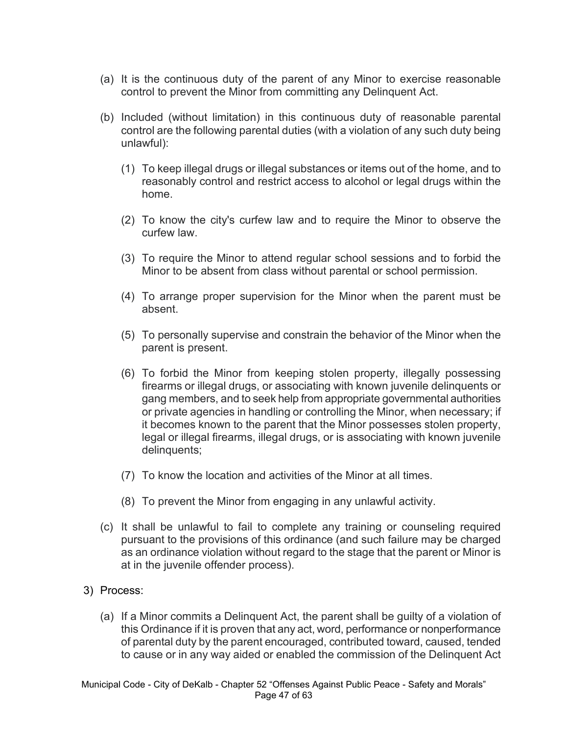- (a) It is the continuous duty of the parent of any Minor to exercise reasonable control to prevent the Minor from committing any Delinquent Act.
- (b) Included (without limitation) in this continuous duty of reasonable parental control are the following parental duties (with a violation of any such duty being unlawful):
	- (1) To keep illegal drugs or illegal substances or items out of the home, and to reasonably control and restrict access to alcohol or legal drugs within the home.
	- (2) To know the city's curfew law and to require the Minor to observe the curfew law.
	- (3) To require the Minor to attend regular school sessions and to forbid the Minor to be absent from class without parental or school permission.
	- (4) To arrange proper supervision for the Minor when the parent must be absent.
	- (5) To personally supervise and constrain the behavior of the Minor when the parent is present.
	- (6) To forbid the Minor from keeping stolen property, illegally possessing firearms or illegal drugs, or associating with known juvenile delinquents or gang members, and to seek help from appropriate governmental authorities or private agencies in handling or controlling the Minor, when necessary; if it becomes known to the parent that the Minor possesses stolen property, legal or illegal firearms, illegal drugs, or is associating with known juvenile delinquents;
	- (7) To know the location and activities of the Minor at all times.
	- (8) To prevent the Minor from engaging in any unlawful activity.
- (c) It shall be unlawful to fail to complete any training or counseling required pursuant to the provisions of this ordinance (and such failure may be charged as an ordinance violation without regard to the stage that the parent or Minor is at in the juvenile offender process).
- 3) Process:
	- (a) If a Minor commits a Delinquent Act, the parent shall be guilty of a violation of this Ordinance if it is proven that any act, word, performance or nonperformance of parental duty by the parent encouraged, contributed toward, caused, tended to cause or in any way aided or enabled the commission of the Delinquent Act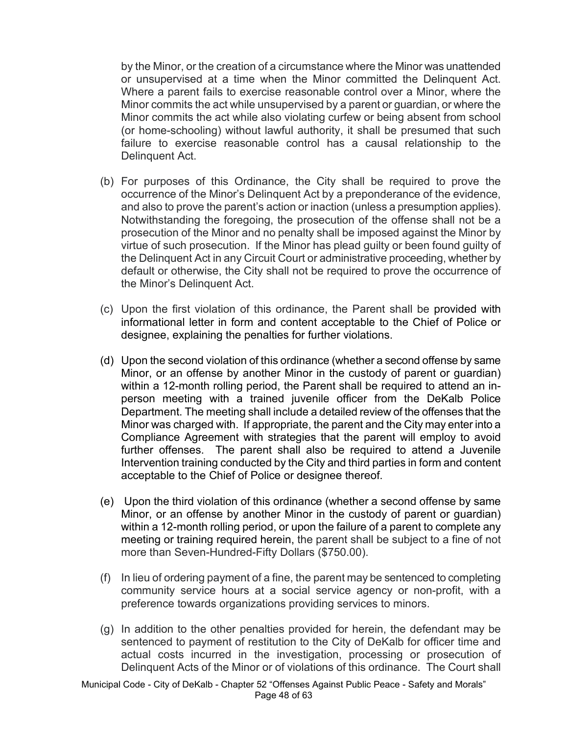by the Minor, or the creation of a circumstance where the Minor was unattended or unsupervised at a time when the Minor committed the Delinquent Act. Where a parent fails to exercise reasonable control over a Minor, where the Minor commits the act while unsupervised by a parent or guardian, or where the Minor commits the act while also violating curfew or being absent from school (or home-schooling) without lawful authority, it shall be presumed that such failure to exercise reasonable control has a causal relationship to the Delinquent Act.

- (b) For purposes of this Ordinance, the City shall be required to prove the occurrence of the Minor's Delinquent Act by a preponderance of the evidence, and also to prove the parent's action or inaction (unless a presumption applies). Notwithstanding the foregoing, the prosecution of the offense shall not be a prosecution of the Minor and no penalty shall be imposed against the Minor by virtue of such prosecution. If the Minor has plead guilty or been found guilty of the Delinquent Act in any Circuit Court or administrative proceeding, whether by default or otherwise, the City shall not be required to prove the occurrence of the Minor's Delinquent Act.
- (c) Upon the first violation of this ordinance, the Parent shall be provided with informational letter in form and content acceptable to the Chief of Police or designee, explaining the penalties for further violations.
- (d) Upon the second violation of this ordinance (whether a second offense by same Minor, or an offense by another Minor in the custody of parent or guardian) within a 12-month rolling period, the Parent shall be required to attend an inperson meeting with a trained juvenile officer from the DeKalb Police Department. The meeting shall include a detailed review of the offenses that the Minor was charged with. If appropriate, the parent and the City may enter into a Compliance Agreement with strategies that the parent will employ to avoid further offenses. The parent shall also be required to attend a Juvenile Intervention training conducted by the City and third parties in form and content acceptable to the Chief of Police or designee thereof.
- (e) Upon the third violation of this ordinance (whether a second offense by same Minor, or an offense by another Minor in the custody of parent or guardian) within a 12-month rolling period, or upon the failure of a parent to complete any meeting or training required herein, the parent shall be subject to a fine of not more than Seven-Hundred-Fifty Dollars (\$750.00).
- (f) In lieu of ordering payment of a fine, the parent may be sentenced to completing community service hours at a social service agency or non-profit, with a preference towards organizations providing services to minors.
- (g) In addition to the other penalties provided for herein, the defendant may be sentenced to payment of restitution to the City of DeKalb for officer time and actual costs incurred in the investigation, processing or prosecution of Delinquent Acts of the Minor or of violations of this ordinance. The Court shall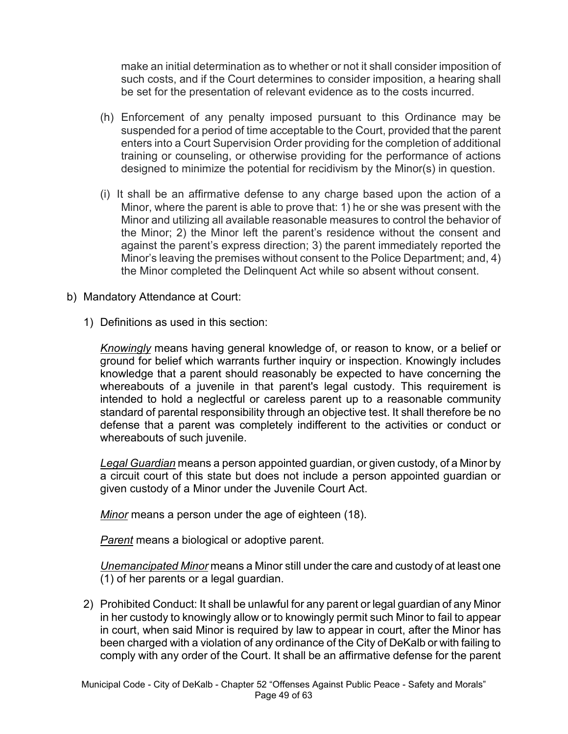make an initial determination as to whether or not it shall consider imposition of such costs, and if the Court determines to consider imposition, a hearing shall be set for the presentation of relevant evidence as to the costs incurred.

- (h) Enforcement of any penalty imposed pursuant to this Ordinance may be suspended for a period of time acceptable to the Court, provided that the parent enters into a Court Supervision Order providing for the completion of additional training or counseling, or otherwise providing for the performance of actions designed to minimize the potential for recidivism by the Minor(s) in question.
- (i) It shall be an affirmative defense to any charge based upon the action of a Minor, where the parent is able to prove that: 1) he or she was present with the Minor and utilizing all available reasonable measures to control the behavior of the Minor; 2) the Minor left the parent's residence without the consent and against the parent's express direction; 3) the parent immediately reported the Minor's leaving the premises without consent to the Police Department; and, 4) the Minor completed the Delinquent Act while so absent without consent.
- b) Mandatory Attendance at Court:
	- 1) Definitions as used in this section:

*Knowingly* means having general knowledge of, or reason to know, or a belief or ground for belief which warrants further inquiry or inspection. Knowingly includes knowledge that a parent should reasonably be expected to have concerning the whereabouts of a juvenile in that parent's legal custody. This requirement is intended to hold a neglectful or careless parent up to a reasonable community standard of parental responsibility through an objective test. It shall therefore be no defense that a parent was completely indifferent to the activities or conduct or whereabouts of such juvenile.

*Legal Guardian* means a person appointed guardian, or given custody, of a Minor by a circuit court of this state but does not include a person appointed guardian or given custody of a Minor under the Juvenile Court Act.

*Minor* means a person under the age of eighteen (18).

*Parent* means a biological or adoptive parent.

*Unemancipated Minor* means a Minor still under the care and custody of at least one (1) of her parents or a legal guardian.

2) Prohibited Conduct: It shall be unlawful for any parent or legal guardian of any Minor in her custody to knowingly allow or to knowingly permit such Minor to fail to appear in court, when said Minor is required by law to appear in court, after the Minor has been charged with a violation of any ordinance of the City of DeKalb or with failing to comply with any order of the Court. It shall be an affirmative defense for the parent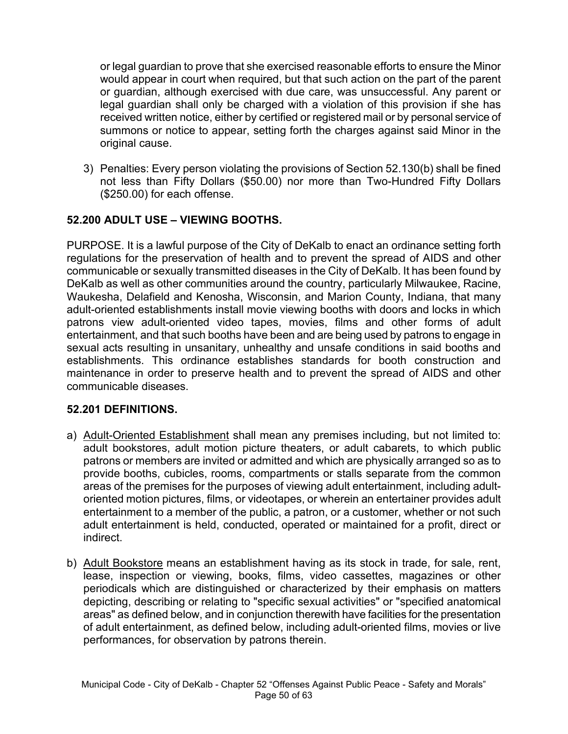or legal guardian to prove that she exercised reasonable efforts to ensure the Minor would appear in court when required, but that such action on the part of the parent or guardian, although exercised with due care, was unsuccessful. Any parent or legal guardian shall only be charged with a violation of this provision if she has received written notice, either by certified or registered mail or by personal service of summons or notice to appear, setting forth the charges against said Minor in the original cause.

3) Penalties: Every person violating the provisions of Section 52.130(b) shall be fined not less than Fifty Dollars (\$50.00) nor more than Two-Hundred Fifty Dollars (\$250.00) for each offense.

## **52.200 ADULT USE – VIEWING BOOTHS.**

PURPOSE. It is a lawful purpose of the City of DeKalb to enact an ordinance setting forth regulations for the preservation of health and to prevent the spread of AIDS and other communicable or sexually transmitted diseases in the City of DeKalb. It has been found by DeKalb as well as other communities around the country, particularly Milwaukee, Racine, Waukesha, Delafield and Kenosha, Wisconsin, and Marion County, Indiana, that many adult-oriented establishments install movie viewing booths with doors and locks in which patrons view adult-oriented video tapes, movies, films and other forms of adult entertainment, and that such booths have been and are being used by patrons to engage in sexual acts resulting in unsanitary, unhealthy and unsafe conditions in said booths and establishments. This ordinance establishes standards for booth construction and maintenance in order to preserve health and to prevent the spread of AIDS and other communicable diseases.

### **52.201 DEFINITIONS.**

- a) Adult-Oriented Establishment shall mean any premises including, but not limited to: adult bookstores, adult motion picture theaters, or adult cabarets, to which public patrons or members are invited or admitted and which are physically arranged so as to provide booths, cubicles, rooms, compartments or stalls separate from the common areas of the premises for the purposes of viewing adult entertainment, including adultoriented motion pictures, films, or videotapes, or wherein an entertainer provides adult entertainment to a member of the public, a patron, or a customer, whether or not such adult entertainment is held, conducted, operated or maintained for a profit, direct or indirect.
- b) Adult Bookstore means an establishment having as its stock in trade, for sale, rent, lease, inspection or viewing, books, films, video cassettes, magazines or other periodicals which are distinguished or characterized by their emphasis on matters depicting, describing or relating to "specific sexual activities" or "specified anatomical areas" as defined below, and in conjunction therewith have facilities for the presentation of adult entertainment, as defined below, including adult-oriented films, movies or live performances, for observation by patrons therein.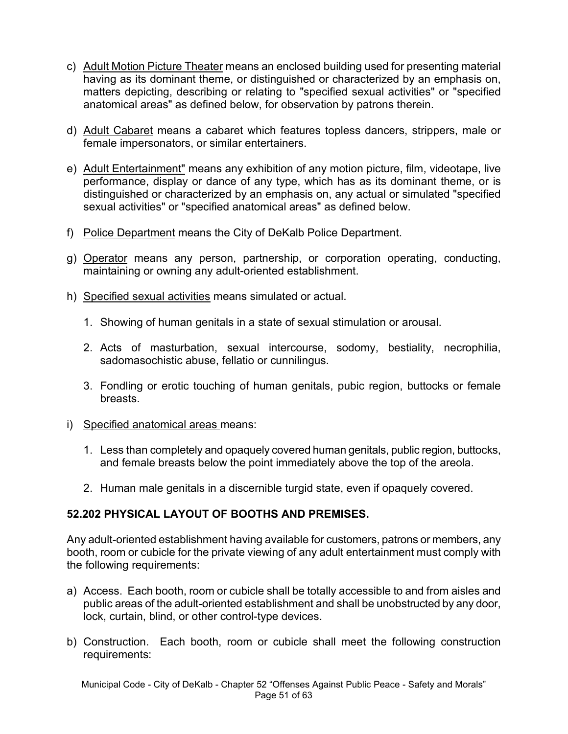- c) Adult Motion Picture Theater means an enclosed building used for presenting material having as its dominant theme, or distinguished or characterized by an emphasis on, matters depicting, describing or relating to "specified sexual activities" or "specified anatomical areas" as defined below, for observation by patrons therein.
- d) Adult Cabaret means a cabaret which features topless dancers, strippers, male or female impersonators, or similar entertainers.
- e) Adult Entertainment" means any exhibition of any motion picture, film, videotape, live performance, display or dance of any type, which has as its dominant theme, or is distinguished or characterized by an emphasis on, any actual or simulated "specified sexual activities" or "specified anatomical areas" as defined below.
- f) Police Department means the City of DeKalb Police Department.
- g) Operator means any person, partnership, or corporation operating, conducting, maintaining or owning any adult-oriented establishment.
- h) Specified sexual activities means simulated or actual.
	- 1. Showing of human genitals in a state of sexual stimulation or arousal.
	- 2. Acts of masturbation, sexual intercourse, sodomy, bestiality, necrophilia, sadomasochistic abuse, fellatio or cunnilingus.
	- 3. Fondling or erotic touching of human genitals, pubic region, buttocks or female breasts.
- i) Specified anatomical areas means:
	- 1. Less than completely and opaquely covered human genitals, public region, buttocks, and female breasts below the point immediately above the top of the areola.
	- 2. Human male genitals in a discernible turgid state, even if opaquely covered.

## **52.202 PHYSICAL LAYOUT OF BOOTHS AND PREMISES.**

Any adult-oriented establishment having available for customers, patrons or members, any booth, room or cubicle for the private viewing of any adult entertainment must comply with the following requirements:

- a) Access. Each booth, room or cubicle shall be totally accessible to and from aisles and public areas of the adult-oriented establishment and shall be unobstructed by any door, lock, curtain, blind, or other control-type devices.
- b) Construction. Each booth, room or cubicle shall meet the following construction requirements: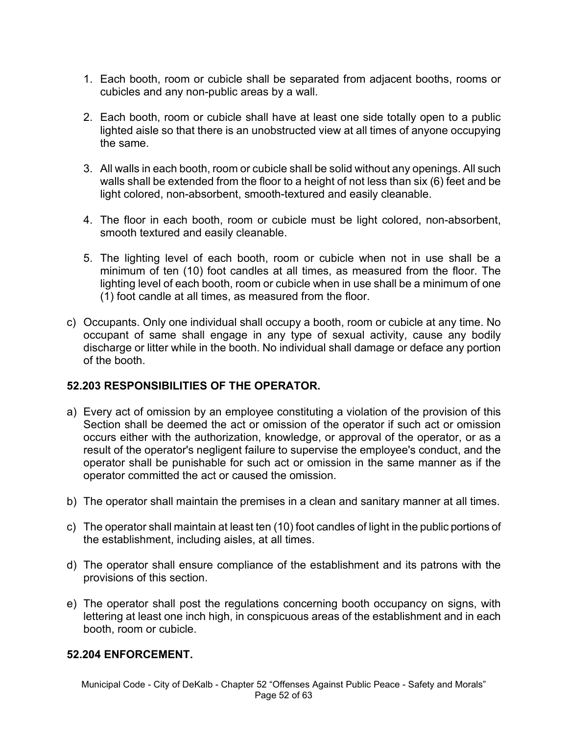- 1. Each booth, room or cubicle shall be separated from adjacent booths, rooms or cubicles and any non-public areas by a wall.
- 2. Each booth, room or cubicle shall have at least one side totally open to a public lighted aisle so that there is an unobstructed view at all times of anyone occupying the same.
- 3. All walls in each booth, room or cubicle shall be solid without any openings. All such walls shall be extended from the floor to a height of not less than six (6) feet and be light colored, non-absorbent, smooth-textured and easily cleanable.
- 4. The floor in each booth, room or cubicle must be light colored, non-absorbent, smooth textured and easily cleanable.
- 5. The lighting level of each booth, room or cubicle when not in use shall be a minimum of ten (10) foot candles at all times, as measured from the floor. The lighting level of each booth, room or cubicle when in use shall be a minimum of one (1) foot candle at all times, as measured from the floor.
- c) Occupants. Only one individual shall occupy a booth, room or cubicle at any time. No occupant of same shall engage in any type of sexual activity, cause any bodily discharge or litter while in the booth. No individual shall damage or deface any portion of the booth.

## **52.203 RESPONSIBILITIES OF THE OPERATOR.**

- a) Every act of omission by an employee constituting a violation of the provision of this Section shall be deemed the act or omission of the operator if such act or omission occurs either with the authorization, knowledge, or approval of the operator, or as a result of the operator's negligent failure to supervise the employee's conduct, and the operator shall be punishable for such act or omission in the same manner as if the operator committed the act or caused the omission.
- b) The operator shall maintain the premises in a clean and sanitary manner at all times.
- c) The operator shall maintain at least ten (10) foot candles of light in the public portions of the establishment, including aisles, at all times.
- d) The operator shall ensure compliance of the establishment and its patrons with the provisions of this section.
- e) The operator shall post the regulations concerning booth occupancy on signs, with lettering at least one inch high, in conspicuous areas of the establishment and in each booth, room or cubicle.

#### **52.204 ENFORCEMENT.**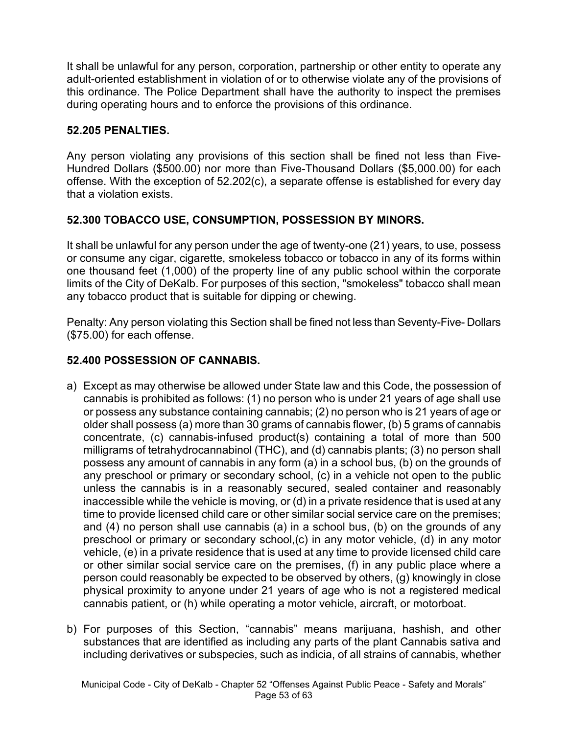It shall be unlawful for any person, corporation, partnership or other entity to operate any adult-oriented establishment in violation of or to otherwise violate any of the provisions of this ordinance. The Police Department shall have the authority to inspect the premises during operating hours and to enforce the provisions of this ordinance.

### **52.205 PENALTIES.**

Any person violating any provisions of this section shall be fined not less than Five-Hundred Dollars (\$500.00) nor more than Five-Thousand Dollars (\$5,000.00) for each offense. With the exception of 52.202(c), a separate offense is established for every day that a violation exists.

## **52.300 TOBACCO USE, CONSUMPTION, POSSESSION BY MINORS.**

It shall be unlawful for any person under the age of twenty-one (21) years, to use, possess or consume any cigar, cigarette, smokeless tobacco or tobacco in any of its forms within one thousand feet (1,000) of the property line of any public school within the corporate limits of the City of DeKalb. For purposes of this section, "smokeless" tobacco shall mean any tobacco product that is suitable for dipping or chewing.

Penalty: Any person violating this Section shall be fined not less than Seventy-Five- Dollars (\$75.00) for each offense.

## **52.400 POSSESSION OF CANNABIS.**

- a) Except as may otherwise be allowed under State law and this Code, the possession of cannabis is prohibited as follows: (1) no person who is under 21 years of age shall use or possess any substance containing cannabis; (2) no person who is 21 years of age or older shall possess (a) more than 30 grams of cannabis flower, (b) 5 grams of cannabis concentrate, (c) cannabis-infused product(s) containing a total of more than 500 milligrams of tetrahydrocannabinol (THC), and (d) cannabis plants; (3) no person shall possess any amount of cannabis in any form (a) in a school bus, (b) on the grounds of any preschool or primary or secondary school, (c) in a vehicle not open to the public unless the cannabis is in a reasonably secured, sealed container and reasonably inaccessible while the vehicle is moving, or (d) in a private residence that is used at any time to provide licensed child care or other similar social service care on the premises; and (4) no person shall use cannabis (a) in a school bus, (b) on the grounds of any preschool or primary or secondary school,(c) in any motor vehicle, (d) in any motor vehicle, (e) in a private residence that is used at any time to provide licensed child care or other similar social service care on the premises, (f) in any public place where a person could reasonably be expected to be observed by others, (g) knowingly in close physical proximity to anyone under 21 years of age who is not a registered medical cannabis patient, or (h) while operating a motor vehicle, aircraft, or motorboat.
- b) For purposes of this Section, "cannabis" means marijuana, hashish, and other substances that are identified as including any parts of the plant Cannabis sativa and including derivatives or subspecies, such as indicia, of all strains of cannabis, whether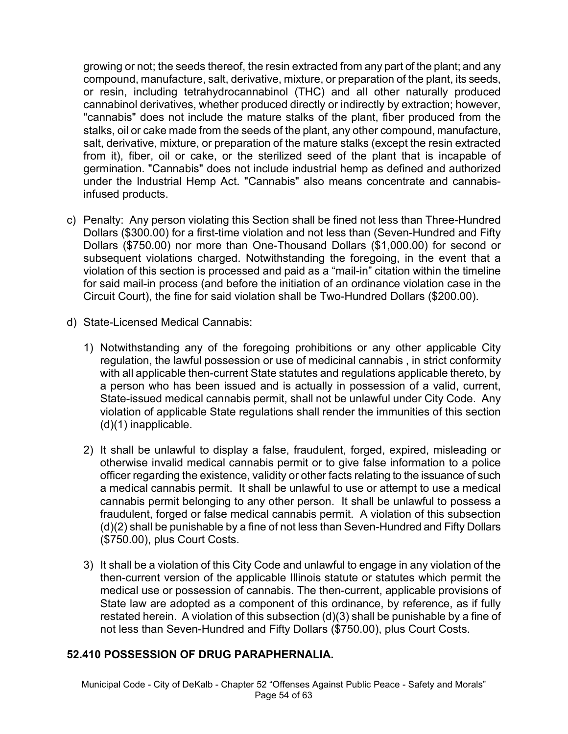growing or not; the seeds thereof, the resin extracted from any part of the plant; and any compound, manufacture, salt, derivative, mixture, or preparation of the plant, its seeds, or resin, including tetrahydrocannabinol (THC) and all other naturally produced cannabinol derivatives, whether produced directly or indirectly by extraction; however, "cannabis" does not include the mature stalks of the plant, fiber produced from the stalks, oil or cake made from the seeds of the plant, any other compound, manufacture, salt, derivative, mixture, or preparation of the mature stalks (except the resin extracted from it), fiber, oil or cake, or the sterilized seed of the plant that is incapable of germination. "Cannabis" does not include industrial hemp as defined and authorized under the Industrial Hemp Act. "Cannabis" also means concentrate and cannabisinfused products.

- c) Penalty: Any person violating this Section shall be fined not less than Three-Hundred Dollars (\$300.00) for a first-time violation and not less than (Seven-Hundred and Fifty Dollars (\$750.00) nor more than One-Thousand Dollars (\$1,000.00) for second or subsequent violations charged. Notwithstanding the foregoing, in the event that a violation of this section is processed and paid as a "mail-in" citation within the timeline for said mail-in process (and before the initiation of an ordinance violation case in the Circuit Court), the fine for said violation shall be Two-Hundred Dollars (\$200.00).
- d) State-Licensed Medical Cannabis:
	- 1) Notwithstanding any of the foregoing prohibitions or any other applicable City regulation, the lawful possession or use of medicinal cannabis , in strict conformity with all applicable then-current State statutes and regulations applicable thereto, by a person who has been issued and is actually in possession of a valid, current, State-issued medical cannabis permit, shall not be unlawful under City Code. Any violation of applicable State regulations shall render the immunities of this section (d)(1) inapplicable.
	- 2) It shall be unlawful to display a false, fraudulent, forged, expired, misleading or otherwise invalid medical cannabis permit or to give false information to a police officer regarding the existence, validity or other facts relating to the issuance of such a medical cannabis permit. It shall be unlawful to use or attempt to use a medical cannabis permit belonging to any other person. It shall be unlawful to possess a fraudulent, forged or false medical cannabis permit. A violation of this subsection (d)(2) shall be punishable by a fine of not less than Seven-Hundred and Fifty Dollars (\$750.00), plus Court Costs.
	- 3) It shall be a violation of this City Code and unlawful to engage in any violation of the then-current version of the applicable Illinois statute or statutes which permit the medical use or possession of cannabis. The then-current, applicable provisions of State law are adopted as a component of this ordinance, by reference, as if fully restated herein. A violation of this subsection (d)(3) shall be punishable by a fine of not less than Seven-Hundred and Fifty Dollars (\$750.00), plus Court Costs.

### **52.410 POSSESSION OF DRUG PARAPHERNALIA.**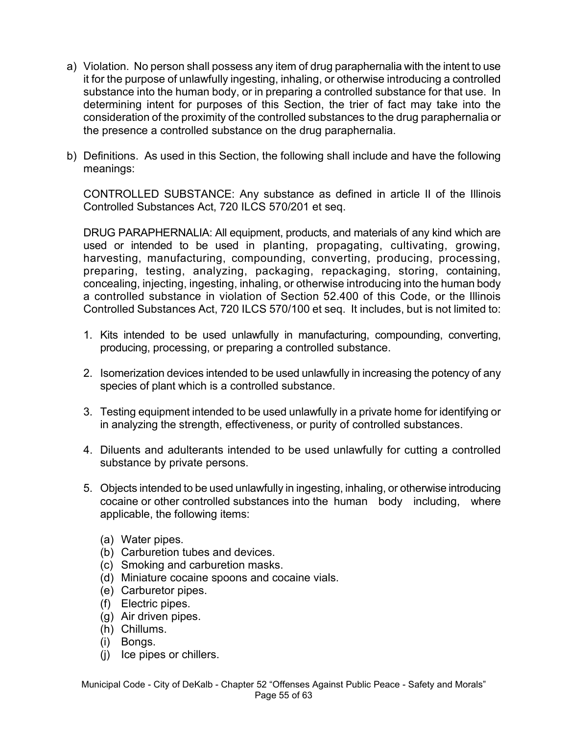- a) Violation. No person shall possess any item of drug paraphernalia with the intent to use it for the purpose of unlawfully ingesting, inhaling, or otherwise introducing a controlled substance into the human body, or in preparing a controlled substance for that use. In determining intent for purposes of this Section, the trier of fact may take into the consideration of the proximity of the controlled substances to the drug paraphernalia or the presence a controlled substance on the drug paraphernalia.
- b) Definitions. As used in this Section, the following shall include and have the following meanings:

CONTROLLED SUBSTANCE: Any substance as defined in article II of the Illinois Controlled Substances Act, 720 ILCS 570/201 et seq.

DRUG PARAPHERNALIA: All equipment, products, and materials of any kind which are used or intended to be used in planting, propagating, cultivating, growing, harvesting, manufacturing, compounding, converting, producing, processing, preparing, testing, analyzing, packaging, repackaging, storing, containing, concealing, injecting, ingesting, inhaling, or otherwise introducing into the human body a controlled substance in violation of Section 52.400 of this Code, or the Illinois Controlled Substances Act, 720 ILCS 570/100 et seq. It includes, but is not limited to:

- 1. Kits intended to be used unlawfully in manufacturing, compounding, converting, producing, processing, or preparing a controlled substance.
- 2. Isomerization devices intended to be used unlawfully in increasing the potency of any species of plant which is a controlled substance.
- 3. Testing equipment intended to be used unlawfully in a private home for identifying or in analyzing the strength, effectiveness, or purity of controlled substances.
- 4. Diluents and adulterants intended to be used unlawfully for cutting a controlled substance by private persons.
- 5. Objects intended to be used unlawfully in ingesting, inhaling, or otherwise introducing cocaine or other controlled substances into the human body including, where applicable, the following items:
	- (a) Water pipes.
	- (b) Carburetion tubes and devices.
	- (c) Smoking and carburetion masks.
	- (d) Miniature cocaine spoons and cocaine vials.
	- (e) Carburetor pipes.
	- (f) Electric pipes.
	- (g) Air driven pipes.
	- (h) Chillums.
	- (i) Bongs.
	- (j) Ice pipes or chillers.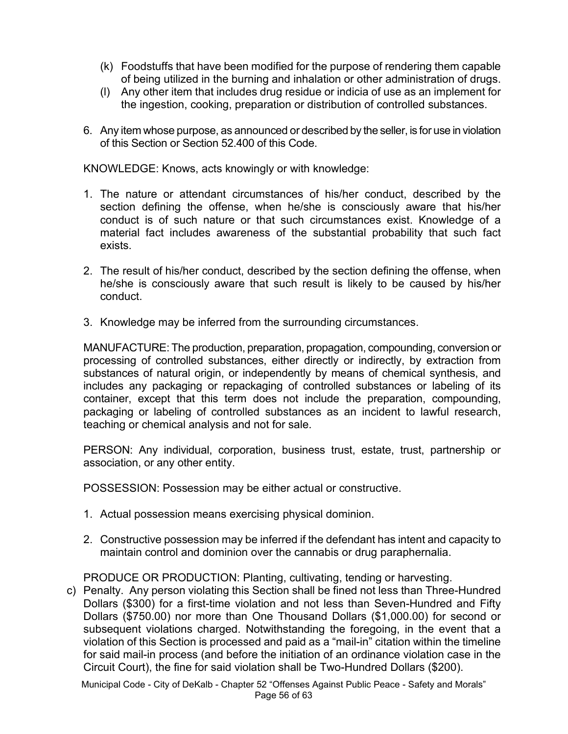- (k) Foodstuffs that have been modified for the purpose of rendering them capable of being utilized in the burning and inhalation or other administration of drugs.
- (l) Any other item that includes drug residue or indicia of use as an implement for the ingestion, cooking, preparation or distribution of controlled substances.
- 6. Any item whose purpose, as announced or described by the seller, is for use in violation of this Section or Section 52.400 of this Code.

KNOWLEDGE: Knows, acts knowingly or with knowledge:

- 1. The nature or attendant circumstances of his/her conduct, described by the section defining the offense, when he/she is consciously aware that his/her conduct is of such nature or that such circumstances exist. Knowledge of a material fact includes awareness of the substantial probability that such fact exists.
- 2. The result of his/her conduct, described by the section defining the offense, when he/she is consciously aware that such result is likely to be caused by his/her conduct.
- 3. Knowledge may be inferred from the surrounding circumstances.

MANUFACTURE: The production, preparation, propagation, compounding, conversion or processing of controlled substances, either directly or indirectly, by extraction from substances of natural origin, or independently by means of chemical synthesis, and includes any packaging or repackaging of controlled substances or labeling of its container, except that this term does not include the preparation, compounding, packaging or labeling of controlled substances as an incident to lawful research, teaching or chemical analysis and not for sale.

PERSON: Any individual, corporation, business trust, estate, trust, partnership or association, or any other entity.

POSSESSION: Possession may be either actual or constructive.

- 1. Actual possession means exercising physical dominion.
- 2. Constructive possession may be inferred if the defendant has intent and capacity to maintain control and dominion over the cannabis or drug paraphernalia.

PRODUCE OR PRODUCTION: Planting, cultivating, tending or harvesting.

c) Penalty. Any person violating this Section shall be fined not less than Three-Hundred Dollars (\$300) for a first-time violation and not less than Seven-Hundred and Fifty Dollars (\$750.00) nor more than One Thousand Dollars (\$1,000.00) for second or subsequent violations charged. Notwithstanding the foregoing, in the event that a violation of this Section is processed and paid as a "mail-in" citation within the timeline for said mail-in process (and before the initiation of an ordinance violation case in the Circuit Court), the fine for said violation shall be Two-Hundred Dollars (\$200).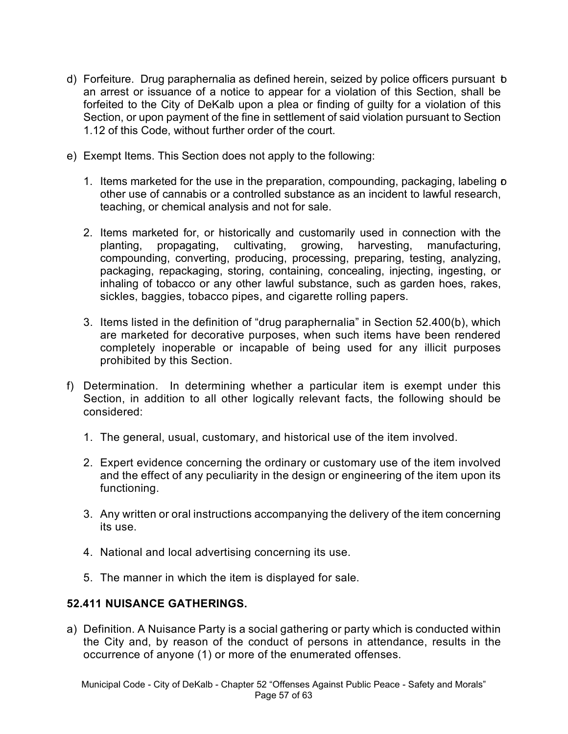- d) Forfeiture. Drug paraphernalia as defined herein, seized by police officers pursuant to an arrest or issuance of a notice to appear for a violation of this Section, shall be forfeited to the City of DeKalb upon a plea or finding of guilty for a violation of this Section, or upon payment of the fine in settlement of said violation pursuant to Section 1.12 of this Code, without further order of the court.
- e) Exempt Items. This Section does not apply to the following:
	- 1. Items marketed for the use in the preparation, compounding, packaging, labeling **p** other use of cannabis or a controlled substance as an incident to lawful research, teaching, or chemical analysis and not for sale.
	- 2. Items marketed for, or historically and customarily used in connection with the planting, propagating, cultivating, growing, harvesting, manufacturing, compounding, converting, producing, processing, preparing, testing, analyzing, packaging, repackaging, storing, containing, concealing, injecting, ingesting, or inhaling of tobacco or any other lawful substance, such as garden hoes, rakes, sickles, baggies, tobacco pipes, and cigarette rolling papers.
	- 3. Items listed in the definition of "drug paraphernalia" in Section 52.400(b), which are marketed for decorative purposes, when such items have been rendered completely inoperable or incapable of being used for any illicit purposes prohibited by this Section.
- f) Determination. In determining whether a particular item is exempt under this Section, in addition to all other logically relevant facts, the following should be considered:
	- 1. The general, usual, customary, and historical use of the item involved.
	- 2. Expert evidence concerning the ordinary or customary use of the item involved and the effect of any peculiarity in the design or engineering of the item upon its functioning.
	- 3. Any written or oral instructions accompanying the delivery of the item concerning its use.
	- 4. National and local advertising concerning its use.
	- 5. The manner in which the item is displayed for sale.

### **52.411 NUISANCE GATHERINGS.**

a) Definition. A Nuisance Party is a social gathering or party which is conducted within the City and, by reason of the conduct of persons in attendance, results in the occurrence of anyone (1) or more of the enumerated offenses.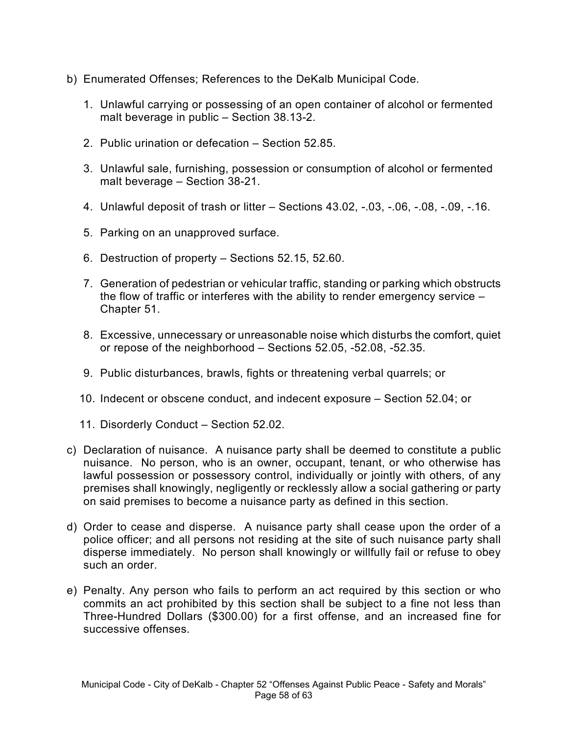- b) Enumerated Offenses; References to the DeKalb Municipal Code.
	- 1. Unlawful carrying or possessing of an open container of alcohol or fermented malt beverage in public – Section 38.13-2.
	- 2. Public urination or defecation Section 52.85.
	- 3. Unlawful sale, furnishing, possession or consumption of alcohol or fermented malt beverage – Section 38-21.
	- 4. Unlawful deposit of trash or litter Sections 43.02, -.03, -.06, -.08, -.09, -.16.
	- 5. Parking on an unapproved surface.
	- 6. Destruction of property Sections 52.15, 52.60.
	- 7. Generation of pedestrian or vehicular traffic, standing or parking which obstructs the flow of traffic or interferes with the ability to render emergency service – Chapter 51.
	- 8. Excessive, unnecessary or unreasonable noise which disturbs the comfort, quiet or repose of the neighborhood – Sections 52.05, -52.08, -52.35.
	- 9. Public disturbances, brawls, fights or threatening verbal quarrels; or
	- 10. Indecent or obscene conduct, and indecent exposure Section 52.04; or
	- 11. Disorderly Conduct Section 52.02.
- c) Declaration of nuisance. A nuisance party shall be deemed to constitute a public nuisance. No person, who is an owner, occupant, tenant, or who otherwise has lawful possession or possessory control, individually or jointly with others, of any premises shall knowingly, negligently or recklessly allow a social gathering or party on said premises to become a nuisance party as defined in this section.
- d) Order to cease and disperse. A nuisance party shall cease upon the order of a police officer; and all persons not residing at the site of such nuisance party shall disperse immediately. No person shall knowingly or willfully fail or refuse to obey such an order.
- e) Penalty. Any person who fails to perform an act required by this section or who commits an act prohibited by this section shall be subject to a fine not less than Three-Hundred Dollars (\$300.00) for a first offense, and an increased fine for successive offenses.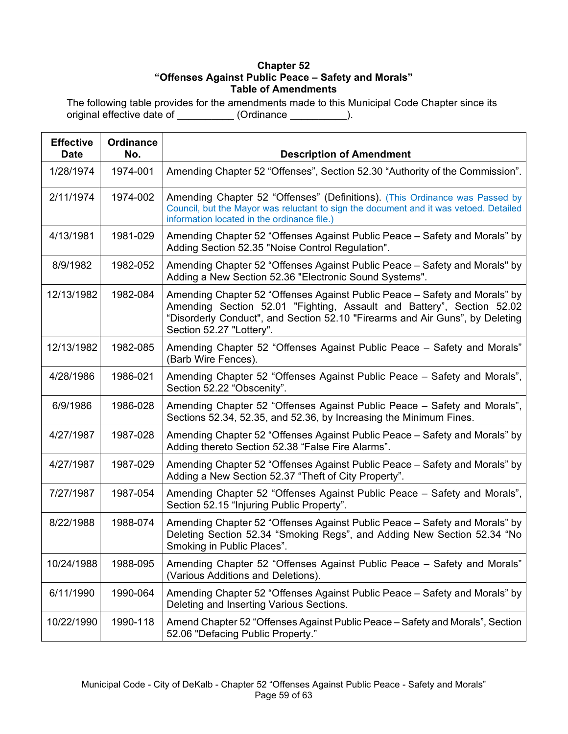#### **Chapter 52 "Offenses Against Public Peace – Safety and Morals" Table of Amendments**

The following table provides for the amendments made to this Municipal Code Chapter since its original effective date of \_\_\_\_\_\_\_\_\_\_ (Ordinance \_\_\_\_\_\_\_\_\_\_).

| <b>Effective</b><br><b>Date</b> | <b>Ordinance</b><br>No. | <b>Description of Amendment</b>                                                                                                                                                                                                                                 |
|---------------------------------|-------------------------|-----------------------------------------------------------------------------------------------------------------------------------------------------------------------------------------------------------------------------------------------------------------|
| 1/28/1974                       | 1974-001                | Amending Chapter 52 "Offenses", Section 52.30 "Authority of the Commission".                                                                                                                                                                                    |
| 2/11/1974                       | 1974-002                | Amending Chapter 52 "Offenses" (Definitions). (This Ordinance was Passed by<br>Council, but the Mayor was reluctant to sign the document and it was vetoed. Detailed<br>information located in the ordinance file.)                                             |
| 4/13/1981                       | 1981-029                | Amending Chapter 52 "Offenses Against Public Peace - Safety and Morals" by<br>Adding Section 52.35 "Noise Control Regulation".                                                                                                                                  |
| 8/9/1982                        | 1982-052                | Amending Chapter 52 "Offenses Against Public Peace – Safety and Morals" by<br>Adding a New Section 52.36 "Electronic Sound Systems".                                                                                                                            |
| 12/13/1982                      | 1982-084                | Amending Chapter 52 "Offenses Against Public Peace – Safety and Morals" by<br>Amending Section 52.01 "Fighting, Assault and Battery", Section 52.02<br>"Disorderly Conduct", and Section 52.10 "Firearms and Air Guns", by Deleting<br>Section 52.27 "Lottery". |
| 12/13/1982                      | 1982-085                | Amending Chapter 52 "Offenses Against Public Peace - Safety and Morals"<br>(Barb Wire Fences).                                                                                                                                                                  |
| 4/28/1986                       | 1986-021                | Amending Chapter 52 "Offenses Against Public Peace - Safety and Morals",<br>Section 52.22 "Obscenity".                                                                                                                                                          |
| 6/9/1986                        | 1986-028                | Amending Chapter 52 "Offenses Against Public Peace – Safety and Morals",<br>Sections 52.34, 52.35, and 52.36, by Increasing the Minimum Fines.                                                                                                                  |
| 4/27/1987                       | 1987-028                | Amending Chapter 52 "Offenses Against Public Peace – Safety and Morals" by<br>Adding thereto Section 52.38 "False Fire Alarms".                                                                                                                                 |
| 4/27/1987                       | 1987-029                | Amending Chapter 52 "Offenses Against Public Peace – Safety and Morals" by<br>Adding a New Section 52.37 "Theft of City Property".                                                                                                                              |
| 7/27/1987                       | 1987-054                | Amending Chapter 52 "Offenses Against Public Peace - Safety and Morals",<br>Section 52.15 "Injuring Public Property".                                                                                                                                           |
| 8/22/1988                       | 1988-074                | Amending Chapter 52 "Offenses Against Public Peace – Safety and Morals" by<br>Deleting Section 52.34 "Smoking Regs", and Adding New Section 52.34 "No<br>Smoking in Public Places".                                                                             |
| 10/24/1988                      | 1988-095                | Amending Chapter 52 "Offenses Against Public Peace - Safety and Morals"<br>(Various Additions and Deletions).                                                                                                                                                   |
| 6/11/1990                       | 1990-064                | Amending Chapter 52 "Offenses Against Public Peace – Safety and Morals" by<br>Deleting and Inserting Various Sections.                                                                                                                                          |
| 10/22/1990                      | 1990-118                | Amend Chapter 52 "Offenses Against Public Peace – Safety and Morals", Section<br>52.06 "Defacing Public Property."                                                                                                                                              |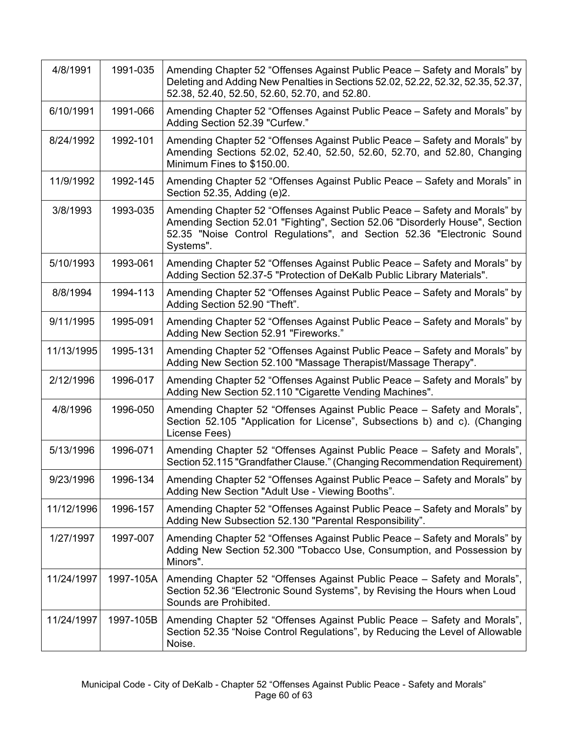| 4/8/1991   | 1991-035  | Amending Chapter 52 "Offenses Against Public Peace - Safety and Morals" by<br>Deleting and Adding New Penalties in Sections 52.02, 52.22, 52.32, 52.35, 52.37,<br>52.38, 52.40, 52.50, 52.60, 52.70, and 52.80.                                   |
|------------|-----------|---------------------------------------------------------------------------------------------------------------------------------------------------------------------------------------------------------------------------------------------------|
| 6/10/1991  | 1991-066  | Amending Chapter 52 "Offenses Against Public Peace – Safety and Morals" by<br>Adding Section 52.39 "Curfew."                                                                                                                                      |
| 8/24/1992  | 1992-101  | Amending Chapter 52 "Offenses Against Public Peace – Safety and Morals" by<br>Amending Sections 52.02, 52.40, 52.50, 52.60, 52.70, and 52.80, Changing<br>Minimum Fines to \$150.00.                                                              |
| 11/9/1992  | 1992-145  | Amending Chapter 52 "Offenses Against Public Peace - Safety and Morals" in<br>Section 52.35, Adding (e)2.                                                                                                                                         |
| 3/8/1993   | 1993-035  | Amending Chapter 52 "Offenses Against Public Peace – Safety and Morals" by<br>Amending Section 52.01 "Fighting", Section 52.06 "Disorderly House", Section<br>52.35 "Noise Control Regulations", and Section 52.36 "Electronic Sound<br>Systems". |
| 5/10/1993  | 1993-061  | Amending Chapter 52 "Offenses Against Public Peace – Safety and Morals" by<br>Adding Section 52.37-5 "Protection of DeKalb Public Library Materials".                                                                                             |
| 8/8/1994   | 1994-113  | Amending Chapter 52 "Offenses Against Public Peace – Safety and Morals" by<br>Adding Section 52.90 "Theft".                                                                                                                                       |
| 9/11/1995  | 1995-091  | Amending Chapter 52 "Offenses Against Public Peace – Safety and Morals" by<br>Adding New Section 52.91 "Fireworks."                                                                                                                               |
| 11/13/1995 | 1995-131  | Amending Chapter 52 "Offenses Against Public Peace - Safety and Morals" by<br>Adding New Section 52.100 "Massage Therapist/Massage Therapy".                                                                                                      |
| 2/12/1996  | 1996-017  | Amending Chapter 52 "Offenses Against Public Peace – Safety and Morals" by<br>Adding New Section 52.110 "Cigarette Vending Machines".                                                                                                             |
| 4/8/1996   | 1996-050  | Amending Chapter 52 "Offenses Against Public Peace - Safety and Morals",<br>Section 52.105 "Application for License", Subsections b) and c). (Changing<br>License Fees)                                                                           |
| 5/13/1996  | 1996-071  | Amending Chapter 52 "Offenses Against Public Peace - Safety and Morals",<br>Section 52.115 "Grandfather Clause." (Changing Recommendation Requirement)                                                                                            |
| 9/23/1996  | 1996-134  | Amending Chapter 52 "Offenses Against Public Peace - Safety and Morals" by<br>Adding New Section "Adult Use - Viewing Booths".                                                                                                                    |
| 11/12/1996 | 1996-157  | Amending Chapter 52 "Offenses Against Public Peace – Safety and Morals" by<br>Adding New Subsection 52.130 "Parental Responsibility".                                                                                                             |
| 1/27/1997  | 1997-007  | Amending Chapter 52 "Offenses Against Public Peace – Safety and Morals" by<br>Adding New Section 52.300 "Tobacco Use, Consumption, and Possession by<br>Minors".                                                                                  |
| 11/24/1997 | 1997-105A | Amending Chapter 52 "Offenses Against Public Peace - Safety and Morals",<br>Section 52.36 "Electronic Sound Systems", by Revising the Hours when Loud<br>Sounds are Prohibited.                                                                   |
| 11/24/1997 | 1997-105B | Amending Chapter 52 "Offenses Against Public Peace - Safety and Morals",<br>Section 52.35 "Noise Control Regulations", by Reducing the Level of Allowable<br>Noise.                                                                               |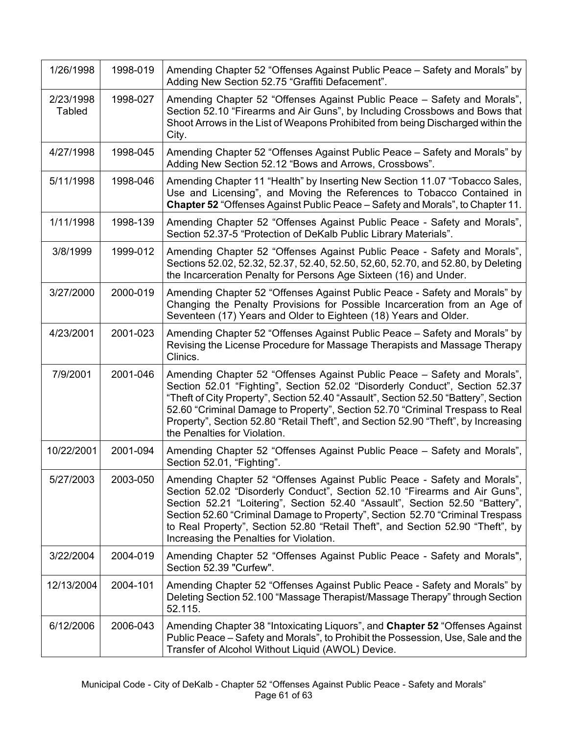| 1/26/1998                  | 1998-019 | Amending Chapter 52 "Offenses Against Public Peace - Safety and Morals" by<br>Adding New Section 52.75 "Graffiti Defacement".                                                                                                                                                                                                                                                                                                                        |
|----------------------------|----------|------------------------------------------------------------------------------------------------------------------------------------------------------------------------------------------------------------------------------------------------------------------------------------------------------------------------------------------------------------------------------------------------------------------------------------------------------|
| 2/23/1998<br><b>Tabled</b> | 1998-027 | Amending Chapter 52 "Offenses Against Public Peace - Safety and Morals",<br>Section 52.10 "Firearms and Air Guns", by Including Crossbows and Bows that<br>Shoot Arrows in the List of Weapons Prohibited from being Discharged within the<br>City.                                                                                                                                                                                                  |
| 4/27/1998                  | 1998-045 | Amending Chapter 52 "Offenses Against Public Peace - Safety and Morals" by<br>Adding New Section 52.12 "Bows and Arrows, Crossbows".                                                                                                                                                                                                                                                                                                                 |
| 5/11/1998                  | 1998-046 | Amending Chapter 11 "Health" by Inserting New Section 11.07 "Tobacco Sales,<br>Use and Licensing", and Moving the References to Tobacco Contained in<br>Chapter 52 "Offenses Against Public Peace - Safety and Morals", to Chapter 11.                                                                                                                                                                                                               |
| 1/11/1998                  | 1998-139 | Amending Chapter 52 "Offenses Against Public Peace - Safety and Morals",<br>Section 52.37-5 "Protection of DeKalb Public Library Materials".                                                                                                                                                                                                                                                                                                         |
| 3/8/1999                   | 1999-012 | Amending Chapter 52 "Offenses Against Public Peace - Safety and Morals",<br>Sections 52.02, 52.32, 52.37, 52.40, 52.50, 52,60, 52.70, and 52.80, by Deleting<br>the Incarceration Penalty for Persons Age Sixteen (16) and Under.                                                                                                                                                                                                                    |
| 3/27/2000                  | 2000-019 | Amending Chapter 52 "Offenses Against Public Peace - Safety and Morals" by<br>Changing the Penalty Provisions for Possible Incarceration from an Age of<br>Seventeen (17) Years and Older to Eighteen (18) Years and Older.                                                                                                                                                                                                                          |
| 4/23/2001                  | 2001-023 | Amending Chapter 52 "Offenses Against Public Peace – Safety and Morals" by<br>Revising the License Procedure for Massage Therapists and Massage Therapy<br>Clinics.                                                                                                                                                                                                                                                                                  |
| 7/9/2001                   | 2001-046 | Amending Chapter 52 "Offenses Against Public Peace - Safety and Morals",<br>Section 52.01 "Fighting", Section 52.02 "Disorderly Conduct", Section 52.37<br>"Theft of City Property", Section 52.40 "Assault", Section 52.50 "Battery", Section<br>52.60 "Criminal Damage to Property", Section 52.70 "Criminal Trespass to Real<br>Property", Section 52.80 "Retail Theft", and Section 52.90 "Theft", by Increasing<br>the Penalties for Violation. |
| 10/22/2001                 | 2001-094 | Amending Chapter 52 "Offenses Against Public Peace – Safety and Morals",<br>Section 52.01, "Fighting".                                                                                                                                                                                                                                                                                                                                               |
| 5/27/2003                  | 2003-050 | Amending Chapter 52 "Offenses Against Public Peace - Safety and Morals",<br>Section 52.02 "Disorderly Conduct", Section 52.10 "Firearms and Air Guns",<br>Section 52.21 "Loitering", Section 52.40 "Assault", Section 52.50 "Battery",<br>Section 52.60 "Criminal Damage to Property", Section 52.70 "Criminal Trespass<br>to Real Property", Section 52.80 "Retail Theft", and Section 52.90 "Theft", by<br>Increasing the Penalties for Violation. |
| 3/22/2004                  | 2004-019 | Amending Chapter 52 "Offenses Against Public Peace - Safety and Morals",<br>Section 52.39 "Curfew".                                                                                                                                                                                                                                                                                                                                                  |
| 12/13/2004                 | 2004-101 | Amending Chapter 52 "Offenses Against Public Peace - Safety and Morals" by<br>Deleting Section 52.100 "Massage Therapist/Massage Therapy" through Section<br>52.115.                                                                                                                                                                                                                                                                                 |
| 6/12/2006                  | 2006-043 | Amending Chapter 38 "Intoxicating Liquors", and Chapter 52 "Offenses Against<br>Public Peace – Safety and Morals", to Prohibit the Possession, Use, Sale and the<br>Transfer of Alcohol Without Liquid (AWOL) Device.                                                                                                                                                                                                                                |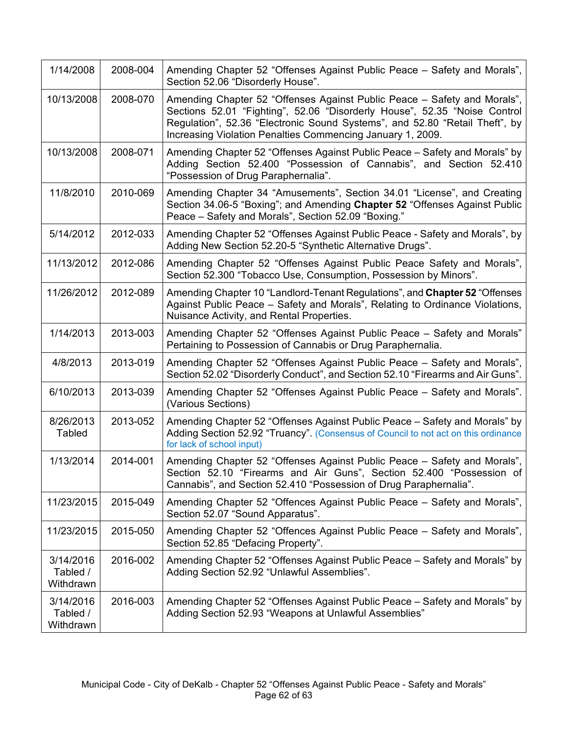| 1/14/2008                          | 2008-004 | Amending Chapter 52 "Offenses Against Public Peace - Safety and Morals",<br>Section 52.06 "Disorderly House".                                                                                                                                                                                      |
|------------------------------------|----------|----------------------------------------------------------------------------------------------------------------------------------------------------------------------------------------------------------------------------------------------------------------------------------------------------|
| 10/13/2008                         | 2008-070 | Amending Chapter 52 "Offenses Against Public Peace – Safety and Morals",<br>Sections 52.01 "Fighting", 52.06 "Disorderly House", 52.35 "Noise Control<br>Regulation", 52.36 "Electronic Sound Systems", and 52.80 "Retail Theft", by<br>Increasing Violation Penalties Commencing January 1, 2009. |
| 10/13/2008                         | 2008-071 | Amending Chapter 52 "Offenses Against Public Peace – Safety and Morals" by<br>Adding Section 52.400 "Possession of Cannabis", and Section 52.410<br>"Possession of Drug Paraphernalia".                                                                                                            |
| 11/8/2010                          | 2010-069 | Amending Chapter 34 "Amusements", Section 34.01 "License", and Creating<br>Section 34.06-5 "Boxing"; and Amending Chapter 52 "Offenses Against Public<br>Peace - Safety and Morals", Section 52.09 "Boxing."                                                                                       |
| 5/14/2012                          | 2012-033 | Amending Chapter 52 "Offenses Against Public Peace - Safety and Morals", by<br>Adding New Section 52.20-5 "Synthetic Alternative Drugs".                                                                                                                                                           |
| 11/13/2012                         | 2012-086 | Amending Chapter 52 "Offenses Against Public Peace Safety and Morals",<br>Section 52.300 "Tobacco Use, Consumption, Possession by Minors".                                                                                                                                                         |
| 11/26/2012                         | 2012-089 | Amending Chapter 10 "Landlord-Tenant Regulations", and Chapter 52 "Offenses<br>Against Public Peace - Safety and Morals", Relating to Ordinance Violations,<br>Nuisance Activity, and Rental Properties.                                                                                           |
| 1/14/2013                          | 2013-003 | Amending Chapter 52 "Offenses Against Public Peace - Safety and Morals"<br>Pertaining to Possession of Cannabis or Drug Paraphernalia.                                                                                                                                                             |
| 4/8/2013                           | 2013-019 | Amending Chapter 52 "Offenses Against Public Peace – Safety and Morals",<br>Section 52.02 "Disorderly Conduct", and Section 52.10 "Firearms and Air Guns".                                                                                                                                         |
| 6/10/2013                          | 2013-039 | Amending Chapter 52 "Offenses Against Public Peace - Safety and Morals".<br>(Various Sections)                                                                                                                                                                                                     |
| 8/26/2013<br><b>Tabled</b>         | 2013-052 | Amending Chapter 52 "Offenses Against Public Peace – Safety and Morals" by<br>Adding Section 52.92 "Truancy". (Consensus of Council to not act on this ordinance<br>for lack of school input)                                                                                                      |
| 1/13/2014                          | 2014-001 | Amending Chapter 52 "Offenses Against Public Peace - Safety and Morals",<br>Section 52.10 "Firearms and Air Guns", Section 52.400 "Possession of<br>Cannabis", and Section 52.410 "Possession of Drug Paraphernalia".                                                                              |
| 11/23/2015                         | 2015-049 | Amending Chapter 52 "Offences Against Public Peace - Safety and Morals",<br>Section 52.07 "Sound Apparatus".                                                                                                                                                                                       |
| 11/23/2015                         | 2015-050 | Amending Chapter 52 "Offences Against Public Peace - Safety and Morals",<br>Section 52.85 "Defacing Property".                                                                                                                                                                                     |
| 3/14/2016<br>Tabled /<br>Withdrawn | 2016-002 | Amending Chapter 52 "Offenses Against Public Peace – Safety and Morals" by<br>Adding Section 52.92 "Unlawful Assemblies".                                                                                                                                                                          |
| 3/14/2016<br>Tabled /<br>Withdrawn | 2016-003 | Amending Chapter 52 "Offenses Against Public Peace – Safety and Morals" by<br>Adding Section 52.93 "Weapons at Unlawful Assemblies"                                                                                                                                                                |